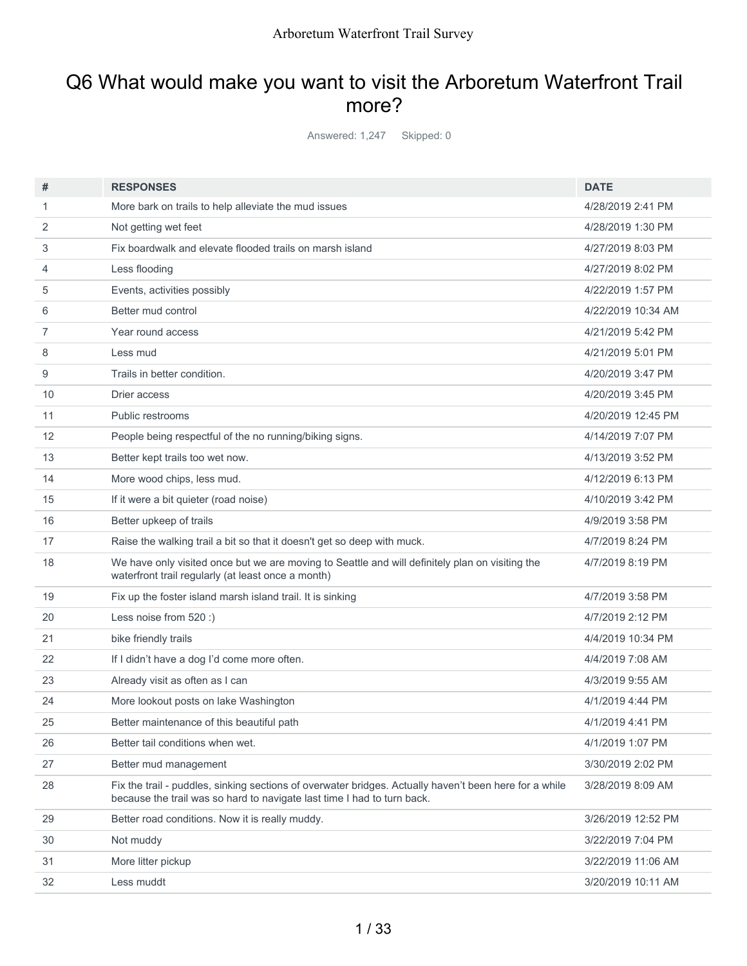# Q6 What would make you want to visit the Arboretum Waterfront Trail more?

Answered: 1,247 Skipped: 0

| #  | <b>RESPONSES</b>                                                                                                                                                                  | <b>DATE</b>        |
|----|-----------------------------------------------------------------------------------------------------------------------------------------------------------------------------------|--------------------|
| 1  | More bark on trails to help alleviate the mud issues                                                                                                                              | 4/28/2019 2:41 PM  |
| 2  | Not getting wet feet                                                                                                                                                              | 4/28/2019 1:30 PM  |
| 3  | Fix boardwalk and elevate flooded trails on marsh island                                                                                                                          | 4/27/2019 8:03 PM  |
| 4  | Less flooding                                                                                                                                                                     | 4/27/2019 8:02 PM  |
| 5  | Events, activities possibly                                                                                                                                                       | 4/22/2019 1:57 PM  |
| 6  | Better mud control                                                                                                                                                                | 4/22/2019 10:34 AM |
| 7  | Year round access                                                                                                                                                                 | 4/21/2019 5:42 PM  |
| 8  | Less mud                                                                                                                                                                          | 4/21/2019 5:01 PM  |
| 9  | Trails in better condition.                                                                                                                                                       | 4/20/2019 3:47 PM  |
| 10 | Drier access                                                                                                                                                                      | 4/20/2019 3:45 PM  |
| 11 | Public restrooms                                                                                                                                                                  | 4/20/2019 12:45 PM |
| 12 | People being respectful of the no running/biking signs.                                                                                                                           | 4/14/2019 7:07 PM  |
| 13 | Better kept trails too wet now.                                                                                                                                                   | 4/13/2019 3:52 PM  |
| 14 | More wood chips, less mud.                                                                                                                                                        | 4/12/2019 6:13 PM  |
| 15 | If it were a bit quieter (road noise)                                                                                                                                             | 4/10/2019 3:42 PM  |
| 16 | Better upkeep of trails                                                                                                                                                           | 4/9/2019 3:58 PM   |
| 17 | Raise the walking trail a bit so that it doesn't get so deep with muck.                                                                                                           | 4/7/2019 8:24 PM   |
| 18 | We have only visited once but we are moving to Seattle and will definitely plan on visiting the<br>waterfront trail regularly (at least once a month)                             | 4/7/2019 8:19 PM   |
| 19 | Fix up the foster island marsh island trail. It is sinking                                                                                                                        | 4/7/2019 3:58 PM   |
| 20 | Less noise from 520 :)                                                                                                                                                            | 4/7/2019 2:12 PM   |
| 21 | bike friendly trails                                                                                                                                                              | 4/4/2019 10:34 PM  |
| 22 | If I didn't have a dog I'd come more often.                                                                                                                                       | 4/4/2019 7:08 AM   |
| 23 | Already visit as often as I can                                                                                                                                                   | 4/3/2019 9:55 AM   |
| 24 | More lookout posts on lake Washington                                                                                                                                             | 4/1/2019 4:44 PM   |
| 25 | Better maintenance of this beautiful path                                                                                                                                         | 4/1/2019 4:41 PM   |
| 26 | Better tail conditions when wet.                                                                                                                                                  | 4/1/2019 1:07 PM   |
| 27 | Better mud management                                                                                                                                                             | 3/30/2019 2:02 PM  |
| 28 | Fix the trail - puddles, sinking sections of overwater bridges. Actually haven't been here for a while<br>because the trail was so hard to navigate last time I had to turn back. | 3/28/2019 8:09 AM  |
| 29 | Better road conditions. Now it is really muddy.                                                                                                                                   | 3/26/2019 12:52 PM |
| 30 | Not muddy                                                                                                                                                                         | 3/22/2019 7:04 PM  |
| 31 | More litter pickup                                                                                                                                                                | 3/22/2019 11:06 AM |
| 32 | Less muddt                                                                                                                                                                        | 3/20/2019 10:11 AM |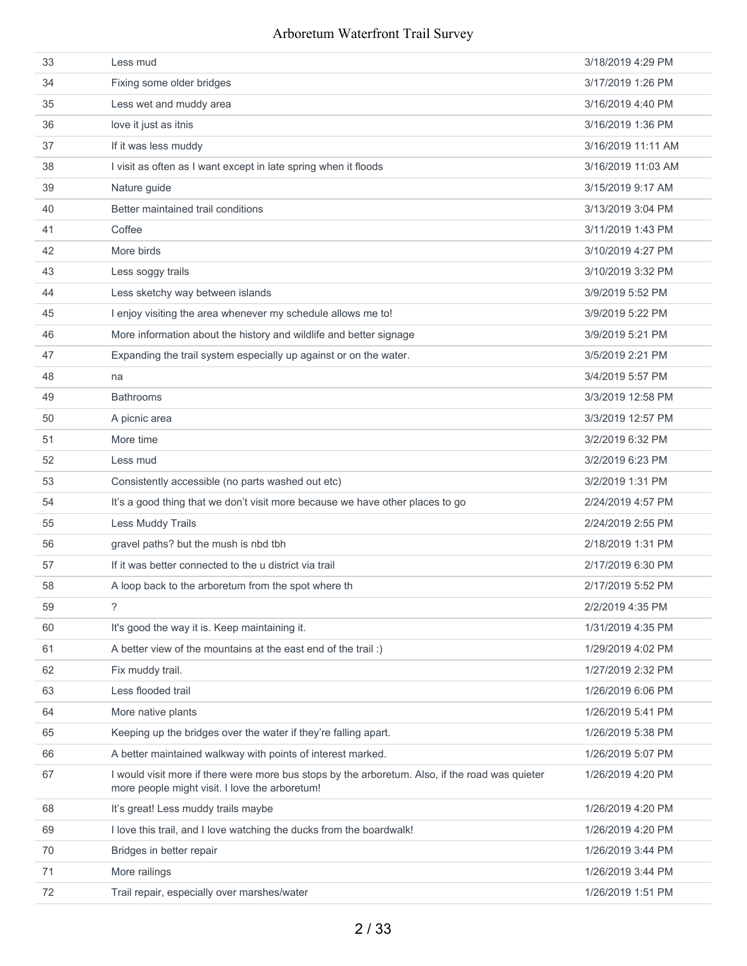| 33 | Less mud                                                                                                                                          | 3/18/2019 4:29 PM  |
|----|---------------------------------------------------------------------------------------------------------------------------------------------------|--------------------|
| 34 | Fixing some older bridges                                                                                                                         | 3/17/2019 1:26 PM  |
| 35 | Less wet and muddy area                                                                                                                           | 3/16/2019 4:40 PM  |
| 36 | love it just as itnis                                                                                                                             | 3/16/2019 1:36 PM  |
| 37 | If it was less muddy                                                                                                                              | 3/16/2019 11:11 AM |
| 38 | I visit as often as I want except in late spring when it floods                                                                                   | 3/16/2019 11:03 AM |
| 39 | Nature guide                                                                                                                                      | 3/15/2019 9:17 AM  |
| 40 | Better maintained trail conditions                                                                                                                | 3/13/2019 3:04 PM  |
| 41 | Coffee                                                                                                                                            | 3/11/2019 1:43 PM  |
| 42 | More birds                                                                                                                                        | 3/10/2019 4:27 PM  |
| 43 | Less soggy trails                                                                                                                                 | 3/10/2019 3:32 PM  |
| 44 | Less sketchy way between islands                                                                                                                  | 3/9/2019 5:52 PM   |
| 45 | I enjoy visiting the area whenever my schedule allows me to!                                                                                      | 3/9/2019 5:22 PM   |
| 46 | More information about the history and wildlife and better signage                                                                                | 3/9/2019 5:21 PM   |
| 47 | Expanding the trail system especially up against or on the water.                                                                                 | 3/5/2019 2:21 PM   |
| 48 | na                                                                                                                                                | 3/4/2019 5:57 PM   |
| 49 | <b>Bathrooms</b>                                                                                                                                  | 3/3/2019 12:58 PM  |
| 50 | A picnic area                                                                                                                                     | 3/3/2019 12:57 PM  |
| 51 | More time                                                                                                                                         | 3/2/2019 6:32 PM   |
| 52 | Less mud                                                                                                                                          | 3/2/2019 6:23 PM   |
| 53 | Consistently accessible (no parts washed out etc)                                                                                                 | 3/2/2019 1:31 PM   |
| 54 | It's a good thing that we don't visit more because we have other places to go                                                                     | 2/24/2019 4:57 PM  |
| 55 | Less Muddy Trails                                                                                                                                 | 2/24/2019 2:55 PM  |
| 56 | gravel paths? but the mush is nbd tbh                                                                                                             | 2/18/2019 1:31 PM  |
| 57 | If it was better connected to the u district via trail                                                                                            | 2/17/2019 6:30 PM  |
| 58 | A loop back to the arboretum from the spot where th                                                                                               | 2/17/2019 5:52 PM  |
| 59 | $\tilde{?}$                                                                                                                                       | 2/2/2019 4:35 PM   |
| 60 | It's good the way it is. Keep maintaining it.                                                                                                     | 1/31/2019 4:35 PM  |
| 61 | A better view of the mountains at the east end of the trail:)                                                                                     | 1/29/2019 4:02 PM  |
| 62 | Fix muddy trail.                                                                                                                                  | 1/27/2019 2:32 PM  |
| 63 | Less flooded trail                                                                                                                                | 1/26/2019 6:06 PM  |
| 64 | More native plants                                                                                                                                | 1/26/2019 5:41 PM  |
| 65 | Keeping up the bridges over the water if they're falling apart.                                                                                   | 1/26/2019 5:38 PM  |
| 66 | A better maintained walkway with points of interest marked.                                                                                       | 1/26/2019 5:07 PM  |
| 67 | I would visit more if there were more bus stops by the arboretum. Also, if the road was quieter<br>more people might visit. I love the arboretum! | 1/26/2019 4:20 PM  |
| 68 | It's great! Less muddy trails maybe                                                                                                               | 1/26/2019 4:20 PM  |
| 69 | I love this trail, and I love watching the ducks from the boardwalk!                                                                              | 1/26/2019 4:20 PM  |
| 70 | Bridges in better repair                                                                                                                          | 1/26/2019 3:44 PM  |
| 71 | More railings                                                                                                                                     | 1/26/2019 3:44 PM  |
| 72 | Trail repair, especially over marshes/water                                                                                                       | 1/26/2019 1:51 PM  |
|    |                                                                                                                                                   |                    |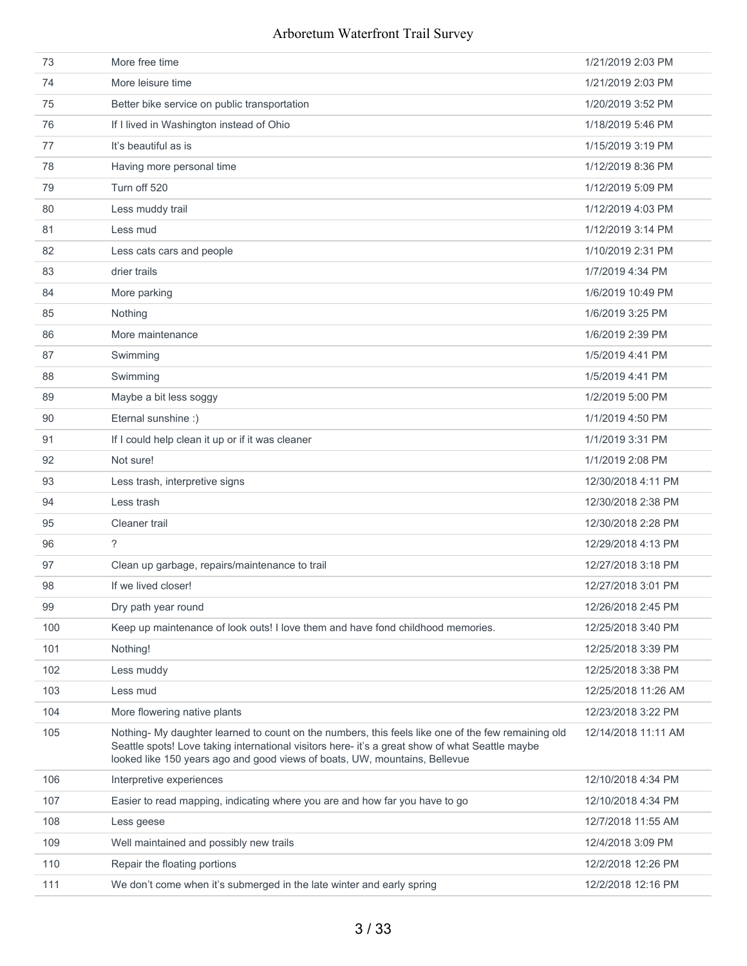| 73  | More free time                                                                                                                                                                                                                                                                      | 1/21/2019 2:03 PM   |
|-----|-------------------------------------------------------------------------------------------------------------------------------------------------------------------------------------------------------------------------------------------------------------------------------------|---------------------|
| 74  | More leisure time                                                                                                                                                                                                                                                                   | 1/21/2019 2:03 PM   |
| 75  | Better bike service on public transportation                                                                                                                                                                                                                                        | 1/20/2019 3:52 PM   |
| 76  | If I lived in Washington instead of Ohio                                                                                                                                                                                                                                            | 1/18/2019 5:46 PM   |
| 77  | It's beautiful as is                                                                                                                                                                                                                                                                | 1/15/2019 3:19 PM   |
| 78  | Having more personal time                                                                                                                                                                                                                                                           | 1/12/2019 8:36 PM   |
| 79  | Turn off 520                                                                                                                                                                                                                                                                        | 1/12/2019 5:09 PM   |
| 80  | Less muddy trail                                                                                                                                                                                                                                                                    | 1/12/2019 4:03 PM   |
| 81  | Less mud                                                                                                                                                                                                                                                                            | 1/12/2019 3:14 PM   |
| 82  | Less cats cars and people                                                                                                                                                                                                                                                           | 1/10/2019 2:31 PM   |
| 83  | drier trails                                                                                                                                                                                                                                                                        | 1/7/2019 4:34 PM    |
| 84  | More parking                                                                                                                                                                                                                                                                        | 1/6/2019 10:49 PM   |
| 85  | Nothing                                                                                                                                                                                                                                                                             | 1/6/2019 3:25 PM    |
| 86  | More maintenance                                                                                                                                                                                                                                                                    | 1/6/2019 2:39 PM    |
| 87  | Swimming                                                                                                                                                                                                                                                                            | 1/5/2019 4:41 PM    |
| 88  | Swimming                                                                                                                                                                                                                                                                            | 1/5/2019 4:41 PM    |
| 89  | Maybe a bit less soggy                                                                                                                                                                                                                                                              | 1/2/2019 5:00 PM    |
| 90  | Eternal sunshine :)                                                                                                                                                                                                                                                                 | 1/1/2019 4:50 PM    |
| 91  | If I could help clean it up or if it was cleaner                                                                                                                                                                                                                                    | 1/1/2019 3:31 PM    |
| 92  | Not sure!                                                                                                                                                                                                                                                                           | 1/1/2019 2:08 PM    |
| 93  | Less trash, interpretive signs                                                                                                                                                                                                                                                      | 12/30/2018 4:11 PM  |
| 94  | Less trash                                                                                                                                                                                                                                                                          | 12/30/2018 2:38 PM  |
| 95  | Cleaner trail                                                                                                                                                                                                                                                                       | 12/30/2018 2:28 PM  |
| 96  | ?                                                                                                                                                                                                                                                                                   | 12/29/2018 4:13 PM  |
| 97  | Clean up garbage, repairs/maintenance to trail                                                                                                                                                                                                                                      | 12/27/2018 3:18 PM  |
| 98  | If we lived closer!                                                                                                                                                                                                                                                                 | 12/27/2018 3:01 PM  |
| 99  | Dry path year round                                                                                                                                                                                                                                                                 | 12/26/2018 2:45 PM  |
| 100 | Keep up maintenance of look outs! I love them and have fond childhood memories.                                                                                                                                                                                                     | 12/25/2018 3:40 PM  |
| 101 | Nothing!                                                                                                                                                                                                                                                                            | 12/25/2018 3:39 PM  |
| 102 | Less muddy                                                                                                                                                                                                                                                                          | 12/25/2018 3:38 PM  |
| 103 | Less mud                                                                                                                                                                                                                                                                            | 12/25/2018 11:26 AM |
| 104 | More flowering native plants                                                                                                                                                                                                                                                        | 12/23/2018 3:22 PM  |
| 105 | Nothing- My daughter learned to count on the numbers, this feels like one of the few remaining old<br>Seattle spots! Love taking international visitors here- it's a great show of what Seattle maybe<br>looked like 150 years ago and good views of boats, UW, mountains, Bellevue | 12/14/2018 11:11 AM |
| 106 | Interpretive experiences                                                                                                                                                                                                                                                            | 12/10/2018 4:34 PM  |
| 107 | Easier to read mapping, indicating where you are and how far you have to go                                                                                                                                                                                                         | 12/10/2018 4:34 PM  |
| 108 | Less geese                                                                                                                                                                                                                                                                          | 12/7/2018 11:55 AM  |
| 109 | Well maintained and possibly new trails                                                                                                                                                                                                                                             | 12/4/2018 3:09 PM   |
| 110 | Repair the floating portions                                                                                                                                                                                                                                                        | 12/2/2018 12:26 PM  |
| 111 | We don't come when it's submerged in the late winter and early spring                                                                                                                                                                                                               | 12/2/2018 12:16 PM  |
|     |                                                                                                                                                                                                                                                                                     |                     |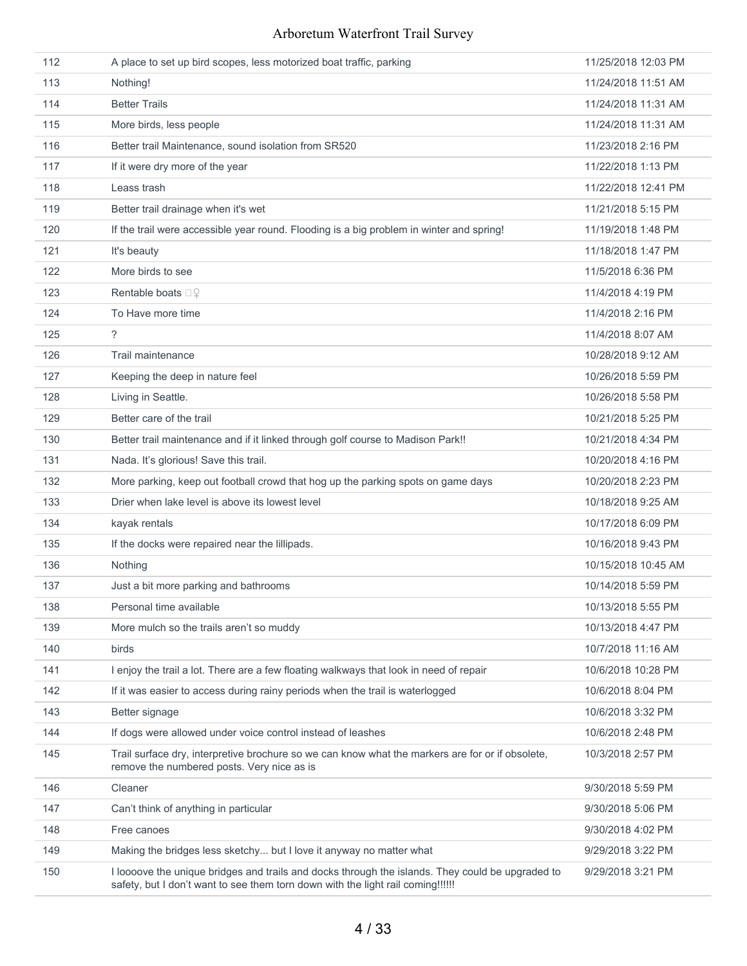| 112 | A place to set up bird scopes, less motorized boat traffic, parking                                                                                                                 | 11/25/2018 12:03 PM |
|-----|-------------------------------------------------------------------------------------------------------------------------------------------------------------------------------------|---------------------|
| 113 | Nothing!                                                                                                                                                                            | 11/24/2018 11:51 AM |
| 114 | <b>Better Trails</b>                                                                                                                                                                | 11/24/2018 11:31 AM |
| 115 | More birds, less people                                                                                                                                                             | 11/24/2018 11:31 AM |
| 116 | Better trail Maintenance, sound isolation from SR520                                                                                                                                | 11/23/2018 2:16 PM  |
| 117 | If it were dry more of the year                                                                                                                                                     | 11/22/2018 1:13 PM  |
| 118 | Leass trash                                                                                                                                                                         | 11/22/2018 12:41 PM |
| 119 | Better trail drainage when it's wet                                                                                                                                                 | 11/21/2018 5:15 PM  |
| 120 | If the trail were accessible year round. Flooding is a big problem in winter and spring!                                                                                            | 11/19/2018 1:48 PM  |
| 121 | It's beauty                                                                                                                                                                         | 11/18/2018 1:47 PM  |
| 122 | More birds to see                                                                                                                                                                   | 11/5/2018 6:36 PM   |
| 123 | Rentable boats $\square$                                                                                                                                                            | 11/4/2018 4:19 PM   |
| 124 | To Have more time                                                                                                                                                                   | 11/4/2018 2:16 PM   |
| 125 | ?                                                                                                                                                                                   | 11/4/2018 8:07 AM   |
| 126 | Trail maintenance                                                                                                                                                                   | 10/28/2018 9:12 AM  |
| 127 | Keeping the deep in nature feel                                                                                                                                                     | 10/26/2018 5:59 PM  |
| 128 | Living in Seattle.                                                                                                                                                                  | 10/26/2018 5:58 PM  |
| 129 | Better care of the trail                                                                                                                                                            | 10/21/2018 5:25 PM  |
| 130 | Better trail maintenance and if it linked through golf course to Madison Park!!                                                                                                     | 10/21/2018 4:34 PM  |
| 131 | Nada. It's glorious! Save this trail.                                                                                                                                               | 10/20/2018 4:16 PM  |
| 132 | More parking, keep out football crowd that hog up the parking spots on game days                                                                                                    | 10/20/2018 2:23 PM  |
| 133 | Drier when lake level is above its lowest level                                                                                                                                     | 10/18/2018 9:25 AM  |
| 134 | kayak rentals                                                                                                                                                                       | 10/17/2018 6:09 PM  |
| 135 | If the docks were repaired near the lillipads.                                                                                                                                      | 10/16/2018 9:43 PM  |
| 136 | Nothing                                                                                                                                                                             | 10/15/2018 10:45 AM |
| 137 | Just a bit more parking and bathrooms                                                                                                                                               | 10/14/2018 5:59 PM  |
| 138 | Personal time available                                                                                                                                                             | 10/13/2018 5:55 PM  |
| 139 | More mulch so the trails aren't so muddy                                                                                                                                            | 10/13/2018 4:47 PM  |
| 140 | birds                                                                                                                                                                               | 10/7/2018 11:16 AM  |
| 141 | I enjoy the trail a lot. There are a few floating walkways that look in need of repair                                                                                              | 10/6/2018 10:28 PM  |
| 142 | If it was easier to access during rainy periods when the trail is waterlogged                                                                                                       | 10/6/2018 8:04 PM   |
| 143 | Better signage                                                                                                                                                                      | 10/6/2018 3:32 PM   |
| 144 | If dogs were allowed under voice control instead of leashes                                                                                                                         | 10/6/2018 2:48 PM   |
| 145 | Trail surface dry, interpretive brochure so we can know what the markers are for or if obsolete,<br>remove the numbered posts. Very nice as is                                      | 10/3/2018 2:57 PM   |
| 146 | Cleaner                                                                                                                                                                             | 9/30/2018 5:59 PM   |
| 147 | Can't think of anything in particular                                                                                                                                               | 9/30/2018 5:06 PM   |
| 148 | Free canoes                                                                                                                                                                         | 9/30/2018 4:02 PM   |
| 149 | Making the bridges less sketchy but I love it anyway no matter what                                                                                                                 | 9/29/2018 3:22 PM   |
| 150 | I loooove the unique bridges and trails and docks through the islands. They could be upgraded to<br>safety, but I don't want to see them torn down with the light rail coming!!!!!! | 9/29/2018 3:21 PM   |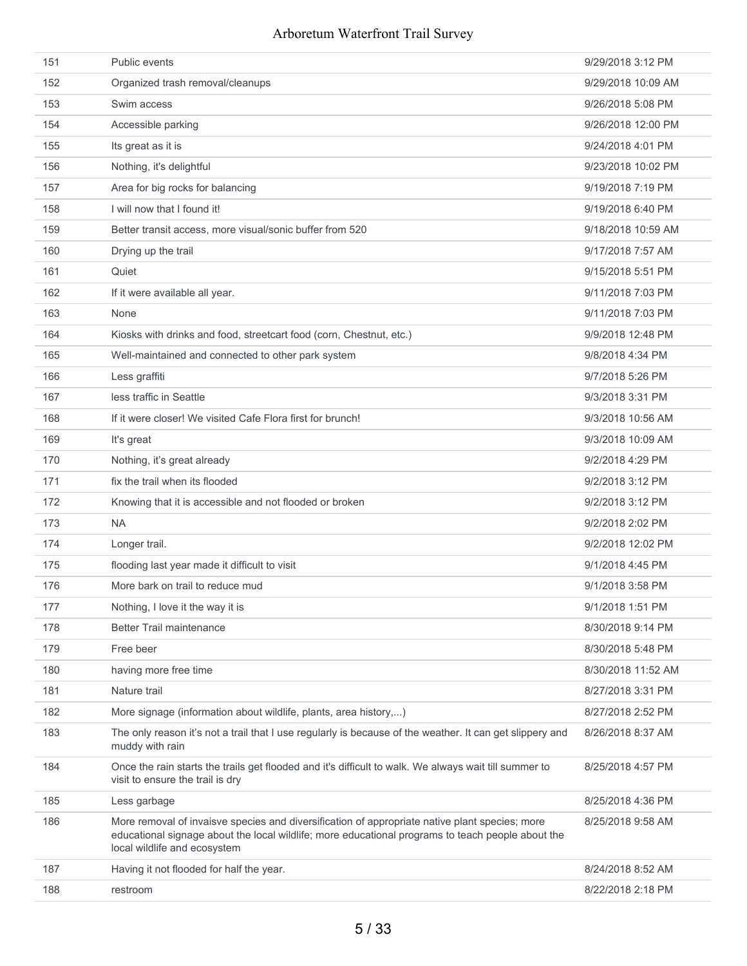| 151 | <b>Public events</b>                                                                                                                                                                                                                | 9/29/2018 3:12 PM  |
|-----|-------------------------------------------------------------------------------------------------------------------------------------------------------------------------------------------------------------------------------------|--------------------|
| 152 | Organized trash removal/cleanups                                                                                                                                                                                                    | 9/29/2018 10:09 AM |
| 153 | Swim access                                                                                                                                                                                                                         | 9/26/2018 5:08 PM  |
| 154 | Accessible parking                                                                                                                                                                                                                  | 9/26/2018 12:00 PM |
| 155 | Its great as it is                                                                                                                                                                                                                  | 9/24/2018 4:01 PM  |
| 156 | Nothing, it's delightful                                                                                                                                                                                                            | 9/23/2018 10:02 PM |
| 157 | Area for big rocks for balancing                                                                                                                                                                                                    | 9/19/2018 7:19 PM  |
| 158 | I will now that I found it!                                                                                                                                                                                                         | 9/19/2018 6:40 PM  |
| 159 | Better transit access, more visual/sonic buffer from 520                                                                                                                                                                            | 9/18/2018 10:59 AM |
| 160 | Drying up the trail                                                                                                                                                                                                                 | 9/17/2018 7:57 AM  |
| 161 | Quiet                                                                                                                                                                                                                               | 9/15/2018 5:51 PM  |
| 162 | If it were available all year.                                                                                                                                                                                                      | 9/11/2018 7:03 PM  |
| 163 | None                                                                                                                                                                                                                                | 9/11/2018 7:03 PM  |
| 164 | Kiosks with drinks and food, streetcart food (corn, Chestnut, etc.)                                                                                                                                                                 | 9/9/2018 12:48 PM  |
| 165 | Well-maintained and connected to other park system                                                                                                                                                                                  | 9/8/2018 4:34 PM   |
| 166 | Less graffiti                                                                                                                                                                                                                       | 9/7/2018 5:26 PM   |
| 167 | less traffic in Seattle                                                                                                                                                                                                             | 9/3/2018 3:31 PM   |
| 168 | If it were closer! We visited Cafe Flora first for brunch!                                                                                                                                                                          | 9/3/2018 10:56 AM  |
| 169 | It's great                                                                                                                                                                                                                          | 9/3/2018 10:09 AM  |
| 170 | Nothing, it's great already                                                                                                                                                                                                         | 9/2/2018 4:29 PM   |
| 171 | fix the trail when its flooded                                                                                                                                                                                                      | 9/2/2018 3:12 PM   |
| 172 | Knowing that it is accessible and not flooded or broken                                                                                                                                                                             | 9/2/2018 3:12 PM   |
| 173 | <b>NA</b>                                                                                                                                                                                                                           | 9/2/2018 2:02 PM   |
| 174 | Longer trail.                                                                                                                                                                                                                       | 9/2/2018 12:02 PM  |
| 175 | flooding last year made it difficult to visit                                                                                                                                                                                       | 9/1/2018 4:45 PM   |
| 176 | More bark on trail to reduce mud                                                                                                                                                                                                    | 9/1/2018 3:58 PM   |
| 177 | Nothing, I love it the way it is                                                                                                                                                                                                    | 9/1/2018 1:51 PM   |
| 178 | <b>Better Trail maintenance</b>                                                                                                                                                                                                     | 8/30/2018 9:14 PM  |
| 179 | Free beer                                                                                                                                                                                                                           | 8/30/2018 5:48 PM  |
| 180 | having more free time                                                                                                                                                                                                               | 8/30/2018 11:52 AM |
| 181 | Nature trail                                                                                                                                                                                                                        | 8/27/2018 3:31 PM  |
| 182 | More signage (information about wildlife, plants, area history,)                                                                                                                                                                    | 8/27/2018 2:52 PM  |
| 183 | The only reason it's not a trail that I use regularly is because of the weather. It can get slippery and<br>muddy with rain                                                                                                         | 8/26/2018 8:37 AM  |
| 184 | Once the rain starts the trails get flooded and it's difficult to walk. We always wait till summer to<br>visit to ensure the trail is dry                                                                                           | 8/25/2018 4:57 PM  |
| 185 | Less garbage                                                                                                                                                                                                                        | 8/25/2018 4:36 PM  |
| 186 | More removal of invaisve species and diversification of appropriate native plant species; more<br>educational signage about the local wildlife; more educational programs to teach people about the<br>local wildlife and ecosystem | 8/25/2018 9:58 AM  |
| 187 | Having it not flooded for half the year.                                                                                                                                                                                            | 8/24/2018 8:52 AM  |
| 188 | restroom                                                                                                                                                                                                                            | 8/22/2018 2:18 PM  |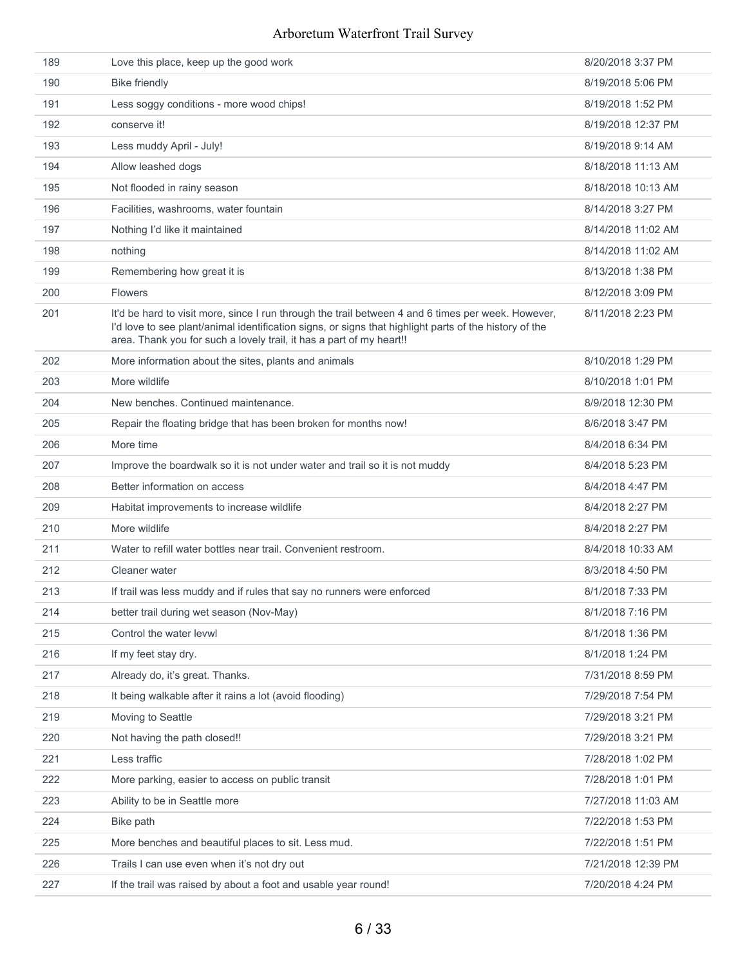| 189 | Love this place, keep up the good work                                                                                                                                                                                                                                               | 8/20/2018 3:37 PM  |
|-----|--------------------------------------------------------------------------------------------------------------------------------------------------------------------------------------------------------------------------------------------------------------------------------------|--------------------|
| 190 | <b>Bike friendly</b>                                                                                                                                                                                                                                                                 | 8/19/2018 5:06 PM  |
| 191 | Less soggy conditions - more wood chips!                                                                                                                                                                                                                                             | 8/19/2018 1:52 PM  |
| 192 | conserve it!                                                                                                                                                                                                                                                                         | 8/19/2018 12:37 PM |
| 193 | Less muddy April - July!                                                                                                                                                                                                                                                             | 8/19/2018 9:14 AM  |
| 194 | Allow leashed dogs                                                                                                                                                                                                                                                                   | 8/18/2018 11:13 AM |
| 195 | Not flooded in rainy season                                                                                                                                                                                                                                                          | 8/18/2018 10:13 AM |
| 196 | Facilities, washrooms, water fountain                                                                                                                                                                                                                                                | 8/14/2018 3:27 PM  |
| 197 | Nothing I'd like it maintained                                                                                                                                                                                                                                                       | 8/14/2018 11:02 AM |
| 198 | nothing                                                                                                                                                                                                                                                                              | 8/14/2018 11:02 AM |
| 199 | Remembering how great it is                                                                                                                                                                                                                                                          | 8/13/2018 1:38 PM  |
| 200 | <b>Flowers</b>                                                                                                                                                                                                                                                                       | 8/12/2018 3:09 PM  |
| 201 | It'd be hard to visit more, since I run through the trail between 4 and 6 times per week. However,<br>I'd love to see plant/animal identification signs, or signs that highlight parts of the history of the<br>area. Thank you for such a lovely trail, it has a part of my heart!! | 8/11/2018 2:23 PM  |
| 202 | More information about the sites, plants and animals                                                                                                                                                                                                                                 | 8/10/2018 1:29 PM  |
| 203 | More wildlife                                                                                                                                                                                                                                                                        | 8/10/2018 1:01 PM  |
| 204 | New benches. Continued maintenance.                                                                                                                                                                                                                                                  | 8/9/2018 12:30 PM  |
| 205 | Repair the floating bridge that has been broken for months now!                                                                                                                                                                                                                      | 8/6/2018 3:47 PM   |
| 206 | More time                                                                                                                                                                                                                                                                            | 8/4/2018 6:34 PM   |
| 207 | Improve the boardwalk so it is not under water and trail so it is not muddy                                                                                                                                                                                                          | 8/4/2018 5:23 PM   |
| 208 | Better information on access                                                                                                                                                                                                                                                         | 8/4/2018 4:47 PM   |
| 209 | Habitat improvements to increase wildlife                                                                                                                                                                                                                                            | 8/4/2018 2:27 PM   |
| 210 | More wildlife                                                                                                                                                                                                                                                                        | 8/4/2018 2:27 PM   |
| 211 | Water to refill water bottles near trail. Convenient restroom.                                                                                                                                                                                                                       | 8/4/2018 10:33 AM  |
| 212 | Cleaner water                                                                                                                                                                                                                                                                        | 8/3/2018 4:50 PM   |
| 213 | If trail was less muddy and if rules that say no runners were enforced                                                                                                                                                                                                               | 8/1/2018 7:33 PM   |
| 214 | better trail during wet season (Nov-May)                                                                                                                                                                                                                                             | 8/1/2018 7:16 PM   |
| 215 | Control the water levwl                                                                                                                                                                                                                                                              | 8/1/2018 1:36 PM   |
| 216 | If my feet stay dry.                                                                                                                                                                                                                                                                 | 8/1/2018 1:24 PM   |
| 217 | Already do, it's great. Thanks.                                                                                                                                                                                                                                                      | 7/31/2018 8:59 PM  |
| 218 | It being walkable after it rains a lot (avoid flooding)                                                                                                                                                                                                                              | 7/29/2018 7:54 PM  |
| 219 | Moving to Seattle                                                                                                                                                                                                                                                                    | 7/29/2018 3:21 PM  |
| 220 | Not having the path closed!!                                                                                                                                                                                                                                                         | 7/29/2018 3:21 PM  |
| 221 | Less traffic                                                                                                                                                                                                                                                                         | 7/28/2018 1:02 PM  |
| 222 | More parking, easier to access on public transit                                                                                                                                                                                                                                     | 7/28/2018 1:01 PM  |
| 223 | Ability to be in Seattle more                                                                                                                                                                                                                                                        | 7/27/2018 11:03 AM |
| 224 | Bike path                                                                                                                                                                                                                                                                            | 7/22/2018 1:53 PM  |
| 225 | More benches and beautiful places to sit. Less mud.                                                                                                                                                                                                                                  | 7/22/2018 1:51 PM  |
| 226 | Trails I can use even when it's not dry out                                                                                                                                                                                                                                          | 7/21/2018 12:39 PM |
| 227 | If the trail was raised by about a foot and usable year round!                                                                                                                                                                                                                       | 7/20/2018 4:24 PM  |
|     |                                                                                                                                                                                                                                                                                      |                    |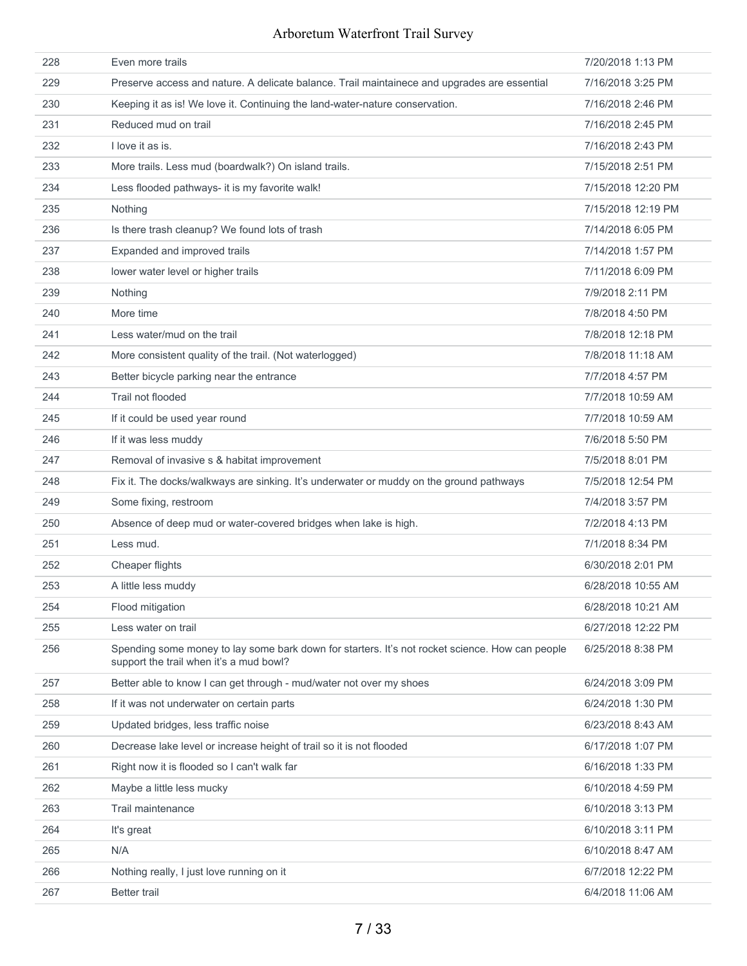| 228 | Even more trails                                                                                                                           | 7/20/2018 1:13 PM  |
|-----|--------------------------------------------------------------------------------------------------------------------------------------------|--------------------|
| 229 | Preserve access and nature. A delicate balance. Trail maintainece and upgrades are essential                                               | 7/16/2018 3:25 PM  |
| 230 | Keeping it as is! We love it. Continuing the land-water-nature conservation.                                                               | 7/16/2018 2:46 PM  |
| 231 | Reduced mud on trail                                                                                                                       | 7/16/2018 2:45 PM  |
| 232 | I love it as is.                                                                                                                           | 7/16/2018 2:43 PM  |
| 233 | More trails. Less mud (boardwalk?) On island trails.                                                                                       | 7/15/2018 2:51 PM  |
| 234 | Less flooded pathways- it is my favorite walk!                                                                                             | 7/15/2018 12:20 PM |
| 235 | Nothing                                                                                                                                    | 7/15/2018 12:19 PM |
| 236 | Is there trash cleanup? We found lots of trash                                                                                             | 7/14/2018 6:05 PM  |
| 237 | Expanded and improved trails                                                                                                               | 7/14/2018 1:57 PM  |
| 238 | lower water level or higher trails                                                                                                         | 7/11/2018 6:09 PM  |
| 239 | Nothing                                                                                                                                    | 7/9/2018 2:11 PM   |
| 240 | More time                                                                                                                                  | 7/8/2018 4:50 PM   |
| 241 | Less water/mud on the trail                                                                                                                | 7/8/2018 12:18 PM  |
| 242 | More consistent quality of the trail. (Not waterlogged)                                                                                    | 7/8/2018 11:18 AM  |
| 243 | Better bicycle parking near the entrance                                                                                                   | 7/7/2018 4:57 PM   |
| 244 | Trail not flooded                                                                                                                          | 7/7/2018 10:59 AM  |
| 245 | If it could be used year round                                                                                                             | 7/7/2018 10:59 AM  |
| 246 | If it was less muddy                                                                                                                       | 7/6/2018 5:50 PM   |
| 247 | Removal of invasive s & habitat improvement                                                                                                | 7/5/2018 8:01 PM   |
| 248 | Fix it. The docks/walkways are sinking. It's underwater or muddy on the ground pathways                                                    | 7/5/2018 12:54 PM  |
| 249 | Some fixing, restroom                                                                                                                      | 7/4/2018 3:57 PM   |
| 250 | Absence of deep mud or water-covered bridges when lake is high.                                                                            | 7/2/2018 4:13 PM   |
| 251 | Less mud.                                                                                                                                  | 7/1/2018 8:34 PM   |
| 252 | Cheaper flights                                                                                                                            | 6/30/2018 2:01 PM  |
| 253 | A little less muddy                                                                                                                        | 6/28/2018 10:55 AM |
| 254 | Flood mitigation                                                                                                                           | 6/28/2018 10:21 AM |
| 255 | Less water on trail                                                                                                                        | 6/27/2018 12:22 PM |
| 256 | Spending some money to lay some bark down for starters. It's not rocket science. How can people<br>support the trail when it's a mud bowl? | 6/25/2018 8:38 PM  |
| 257 | Better able to know I can get through - mud/water not over my shoes                                                                        | 6/24/2018 3:09 PM  |
| 258 | If it was not underwater on certain parts                                                                                                  | 6/24/2018 1:30 PM  |
| 259 | Updated bridges, less traffic noise                                                                                                        | 6/23/2018 8:43 AM  |
| 260 | Decrease lake level or increase height of trail so it is not flooded                                                                       | 6/17/2018 1:07 PM  |
| 261 | Right now it is flooded so I can't walk far                                                                                                | 6/16/2018 1:33 PM  |
| 262 | Maybe a little less mucky                                                                                                                  | 6/10/2018 4:59 PM  |
| 263 | Trail maintenance                                                                                                                          | 6/10/2018 3:13 PM  |
| 264 | It's great                                                                                                                                 | 6/10/2018 3:11 PM  |
| 265 | N/A                                                                                                                                        | 6/10/2018 8:47 AM  |
| 266 | Nothing really, I just love running on it                                                                                                  | 6/7/2018 12:22 PM  |
| 267 | <b>Better trail</b>                                                                                                                        | 6/4/2018 11:06 AM  |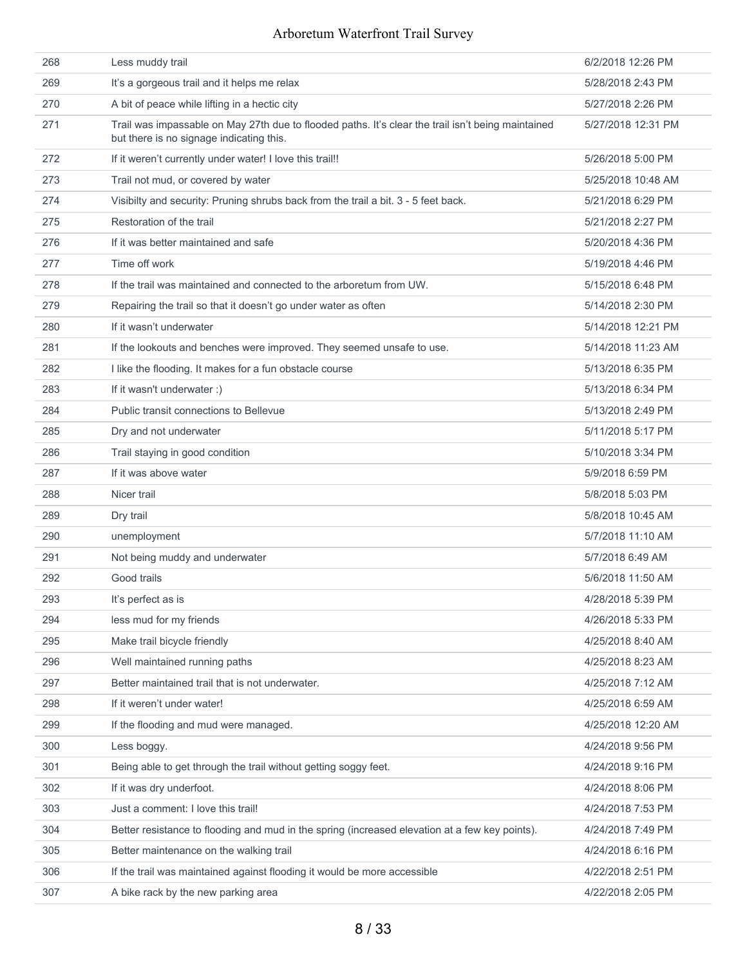| 268 | Less muddy trail                                                                                                                               | 6/2/2018 12:26 PM  |
|-----|------------------------------------------------------------------------------------------------------------------------------------------------|--------------------|
| 269 | It's a gorgeous trail and it helps me relax                                                                                                    | 5/28/2018 2:43 PM  |
| 270 | A bit of peace while lifting in a hectic city                                                                                                  | 5/27/2018 2:26 PM  |
| 271 | Trail was impassable on May 27th due to flooded paths. It's clear the trail isn't being maintained<br>but there is no signage indicating this. | 5/27/2018 12:31 PM |
| 272 | If it weren't currently under water! I love this trail!!                                                                                       | 5/26/2018 5:00 PM  |
| 273 | Trail not mud, or covered by water                                                                                                             | 5/25/2018 10:48 AM |
| 274 | Visibilty and security: Pruning shrubs back from the trail a bit. 3 - 5 feet back.                                                             | 5/21/2018 6:29 PM  |
| 275 | Restoration of the trail                                                                                                                       | 5/21/2018 2:27 PM  |
| 276 | If it was better maintained and safe                                                                                                           | 5/20/2018 4:36 PM  |
| 277 | Time off work                                                                                                                                  | 5/19/2018 4:46 PM  |
| 278 | If the trail was maintained and connected to the arboretum from UW.                                                                            | 5/15/2018 6:48 PM  |
| 279 | Repairing the trail so that it doesn't go under water as often                                                                                 | 5/14/2018 2:30 PM  |
| 280 | If it wasn't underwater                                                                                                                        | 5/14/2018 12:21 PM |
| 281 | If the lookouts and benches were improved. They seemed unsafe to use.                                                                          | 5/14/2018 11:23 AM |
| 282 | I like the flooding. It makes for a fun obstacle course                                                                                        | 5/13/2018 6:35 PM  |
| 283 | If it wasn't underwater :)                                                                                                                     | 5/13/2018 6:34 PM  |
| 284 | Public transit connections to Bellevue                                                                                                         | 5/13/2018 2:49 PM  |
| 285 | Dry and not underwater                                                                                                                         | 5/11/2018 5:17 PM  |
| 286 | Trail staying in good condition                                                                                                                | 5/10/2018 3:34 PM  |
| 287 | If it was above water                                                                                                                          | 5/9/2018 6:59 PM   |
| 288 | Nicer trail                                                                                                                                    | 5/8/2018 5:03 PM   |
| 289 | Dry trail                                                                                                                                      | 5/8/2018 10:45 AM  |
| 290 | unemployment                                                                                                                                   | 5/7/2018 11:10 AM  |
| 291 | Not being muddy and underwater                                                                                                                 | 5/7/2018 6:49 AM   |
| 292 | Good trails                                                                                                                                    | 5/6/2018 11:50 AM  |
| 293 | It's perfect as is                                                                                                                             | 4/28/2018 5:39 PM  |
| 294 | less mud for my friends                                                                                                                        | 4/26/2018 5:33 PM  |
| 295 | Make trail bicycle friendly                                                                                                                    | 4/25/2018 8:40 AM  |
| 296 | Well maintained running paths                                                                                                                  | 4/25/2018 8:23 AM  |
| 297 | Better maintained trail that is not underwater.                                                                                                | 4/25/2018 7:12 AM  |
| 298 | If it weren't under water!                                                                                                                     | 4/25/2018 6:59 AM  |
| 299 | If the flooding and mud were managed.                                                                                                          | 4/25/2018 12:20 AM |
| 300 | Less boggy.                                                                                                                                    | 4/24/2018 9:56 PM  |
| 301 | Being able to get through the trail without getting soggy feet.                                                                                | 4/24/2018 9:16 PM  |
| 302 | If it was dry underfoot.                                                                                                                       | 4/24/2018 8:06 PM  |
| 303 | Just a comment: I love this trail!                                                                                                             | 4/24/2018 7:53 PM  |
| 304 | Better resistance to flooding and mud in the spring (increased elevation at a few key points).                                                 | 4/24/2018 7:49 PM  |
| 305 | Better maintenance on the walking trail                                                                                                        | 4/24/2018 6:16 PM  |
| 306 | If the trail was maintained against flooding it would be more accessible                                                                       | 4/22/2018 2:51 PM  |
| 307 | A bike rack by the new parking area                                                                                                            | 4/22/2018 2:05 PM  |
|     |                                                                                                                                                |                    |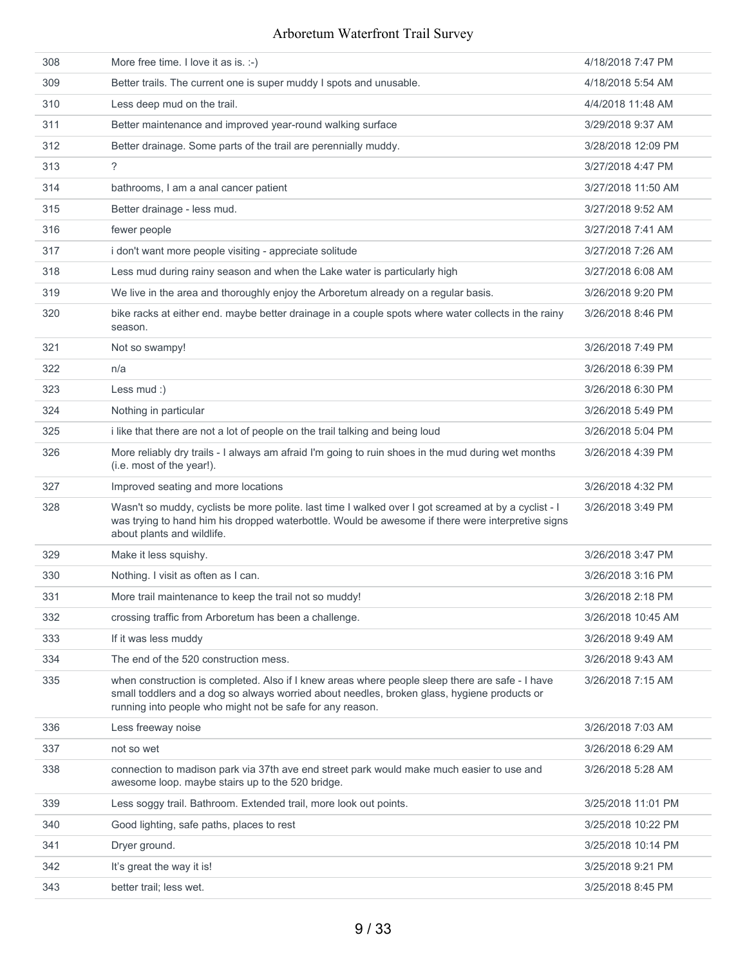| 308 | More free time. I love it as is. :-)                                                                                                                                                                                                                        | 4/18/2018 7:47 PM  |
|-----|-------------------------------------------------------------------------------------------------------------------------------------------------------------------------------------------------------------------------------------------------------------|--------------------|
| 309 | Better trails. The current one is super muddy I spots and unusable.                                                                                                                                                                                         | 4/18/2018 5:54 AM  |
| 310 | Less deep mud on the trail.                                                                                                                                                                                                                                 | 4/4/2018 11:48 AM  |
| 311 | Better maintenance and improved year-round walking surface                                                                                                                                                                                                  | 3/29/2018 9:37 AM  |
| 312 | Better drainage. Some parts of the trail are perennially muddy.                                                                                                                                                                                             | 3/28/2018 12:09 PM |
| 313 | ?                                                                                                                                                                                                                                                           | 3/27/2018 4:47 PM  |
| 314 | bathrooms, I am a anal cancer patient                                                                                                                                                                                                                       | 3/27/2018 11:50 AM |
| 315 | Better drainage - less mud.                                                                                                                                                                                                                                 | 3/27/2018 9:52 AM  |
| 316 | fewer people                                                                                                                                                                                                                                                | 3/27/2018 7:41 AM  |
| 317 | i don't want more people visiting - appreciate solitude                                                                                                                                                                                                     | 3/27/2018 7:26 AM  |
| 318 | Less mud during rainy season and when the Lake water is particularly high                                                                                                                                                                                   | 3/27/2018 6:08 AM  |
| 319 | We live in the area and thoroughly enjoy the Arboretum already on a regular basis.                                                                                                                                                                          | 3/26/2018 9:20 PM  |
| 320 | bike racks at either end. maybe better drainage in a couple spots where water collects in the rainy<br>season.                                                                                                                                              | 3/26/2018 8:46 PM  |
| 321 | Not so swampy!                                                                                                                                                                                                                                              | 3/26/2018 7:49 PM  |
| 322 | n/a                                                                                                                                                                                                                                                         | 3/26/2018 6:39 PM  |
| 323 | Less mud :)                                                                                                                                                                                                                                                 | 3/26/2018 6:30 PM  |
| 324 | Nothing in particular                                                                                                                                                                                                                                       | 3/26/2018 5:49 PM  |
| 325 | i like that there are not a lot of people on the trail talking and being loud                                                                                                                                                                               | 3/26/2018 5:04 PM  |
| 326 | More reliably dry trails - I always am afraid I'm going to ruin shoes in the mud during wet months<br>(i.e. most of the year!).                                                                                                                             | 3/26/2018 4:39 PM  |
| 327 | Improved seating and more locations                                                                                                                                                                                                                         | 3/26/2018 4:32 PM  |
| 328 | Wasn't so muddy, cyclists be more polite. last time I walked over I got screamed at by a cyclist - I<br>was trying to hand him his dropped waterbottle. Would be awesome if there were interpretive signs<br>about plants and wildlife.                     | 3/26/2018 3:49 PM  |
| 329 | Make it less squishy.                                                                                                                                                                                                                                       | 3/26/2018 3:47 PM  |
| 330 | Nothing. I visit as often as I can.                                                                                                                                                                                                                         | 3/26/2018 3:16 PM  |
| 331 | More trail maintenance to keep the trail not so muddy!                                                                                                                                                                                                      | 3/26/2018 2:18 PM  |
| 332 | crossing traffic from Arboretum has been a challenge.                                                                                                                                                                                                       | 3/26/2018 10:45 AM |
| 333 | If it was less muddy                                                                                                                                                                                                                                        | 3/26/2018 9:49 AM  |
| 334 | The end of the 520 construction mess.                                                                                                                                                                                                                       | 3/26/2018 9:43 AM  |
| 335 | when construction is completed. Also if I knew areas where people sleep there are safe - I have<br>small toddlers and a dog so always worried about needles, broken glass, hygiene products or<br>running into people who might not be safe for any reason. | 3/26/2018 7:15 AM  |
| 336 | Less freeway noise                                                                                                                                                                                                                                          | 3/26/2018 7:03 AM  |
| 337 |                                                                                                                                                                                                                                                             |                    |
|     | not so wet                                                                                                                                                                                                                                                  | 3/26/2018 6:29 AM  |
| 338 | connection to madison park via 37th ave end street park would make much easier to use and<br>awesome loop. maybe stairs up to the 520 bridge.                                                                                                               | 3/26/2018 5:28 AM  |
| 339 | Less soggy trail. Bathroom. Extended trail, more look out points.                                                                                                                                                                                           | 3/25/2018 11:01 PM |
| 340 | Good lighting, safe paths, places to rest                                                                                                                                                                                                                   | 3/25/2018 10:22 PM |
| 341 | Dryer ground.                                                                                                                                                                                                                                               | 3/25/2018 10:14 PM |
| 342 | It's great the way it is!                                                                                                                                                                                                                                   | 3/25/2018 9:21 PM  |
| 343 | better trail; less wet.                                                                                                                                                                                                                                     | 3/25/2018 8:45 PM  |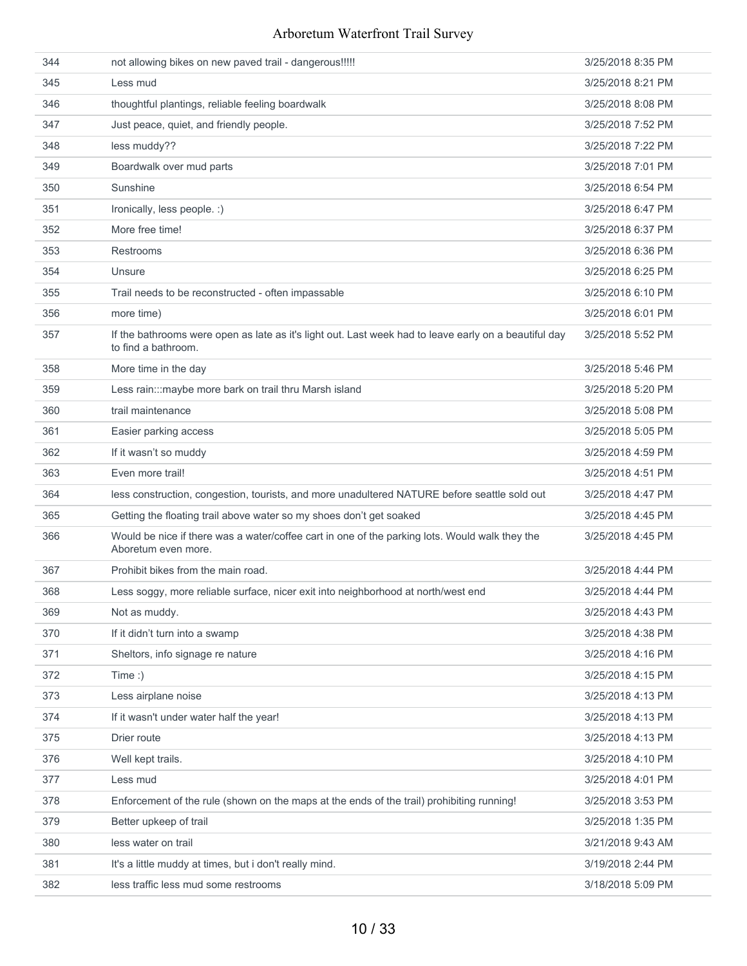| 344 | not allowing bikes on new paved trail - dangerous!!!!!                                                                       | 3/25/2018 8:35 PM |
|-----|------------------------------------------------------------------------------------------------------------------------------|-------------------|
| 345 | Less mud                                                                                                                     | 3/25/2018 8:21 PM |
| 346 | thoughtful plantings, reliable feeling boardwalk                                                                             | 3/25/2018 8:08 PM |
| 347 | Just peace, quiet, and friendly people.                                                                                      | 3/25/2018 7:52 PM |
| 348 | less muddy??                                                                                                                 | 3/25/2018 7:22 PM |
| 349 | Boardwalk over mud parts                                                                                                     | 3/25/2018 7:01 PM |
| 350 | Sunshine                                                                                                                     | 3/25/2018 6:54 PM |
| 351 | Ironically, less people. :)                                                                                                  | 3/25/2018 6:47 PM |
| 352 | More free time!                                                                                                              | 3/25/2018 6:37 PM |
| 353 | Restrooms                                                                                                                    | 3/25/2018 6:36 PM |
| 354 | Unsure                                                                                                                       | 3/25/2018 6:25 PM |
| 355 | Trail needs to be reconstructed - often impassable                                                                           | 3/25/2018 6:10 PM |
| 356 | more time)                                                                                                                   | 3/25/2018 6:01 PM |
| 357 | If the bathrooms were open as late as it's light out. Last week had to leave early on a beautiful day<br>to find a bathroom. | 3/25/2018 5:52 PM |
| 358 | More time in the day                                                                                                         | 3/25/2018 5:46 PM |
| 359 | Less rain:::maybe more bark on trail thru Marsh island                                                                       | 3/25/2018 5:20 PM |
| 360 | trail maintenance                                                                                                            | 3/25/2018 5:08 PM |
| 361 | Easier parking access                                                                                                        | 3/25/2018 5:05 PM |
| 362 | If it wasn't so muddy                                                                                                        | 3/25/2018 4:59 PM |
| 363 | Even more trail!                                                                                                             | 3/25/2018 4:51 PM |
| 364 | less construction, congestion, tourists, and more unadultered NATURE before seattle sold out                                 | 3/25/2018 4:47 PM |
| 365 | Getting the floating trail above water so my shoes don't get soaked                                                          | 3/25/2018 4:45 PM |
| 366 | Would be nice if there was a water/coffee cart in one of the parking lots. Would walk they the<br>Aboretum even more.        | 3/25/2018 4:45 PM |
| 367 | Prohibit bikes from the main road.                                                                                           | 3/25/2018 4:44 PM |
| 368 | Less soggy, more reliable surface, nicer exit into neighborhood at north/west end                                            | 3/25/2018 4:44 PM |
| 369 | Not as muddy.                                                                                                                | 3/25/2018 4:43 PM |
| 370 | If it didn't turn into a swamp                                                                                               | 3/25/2018 4:38 PM |
| 371 | Sheltors, info signage re nature                                                                                             | 3/25/2018 4:16 PM |
| 372 | $Time:$ )                                                                                                                    | 3/25/2018 4:15 PM |
| 373 | Less airplane noise                                                                                                          | 3/25/2018 4:13 PM |
| 374 | If it wasn't under water half the year!                                                                                      | 3/25/2018 4:13 PM |
| 375 | Drier route                                                                                                                  | 3/25/2018 4:13 PM |
| 376 | Well kept trails.                                                                                                            | 3/25/2018 4:10 PM |
| 377 | Less mud                                                                                                                     | 3/25/2018 4:01 PM |
| 378 | Enforcement of the rule (shown on the maps at the ends of the trail) prohibiting running!                                    | 3/25/2018 3:53 PM |
| 379 | Better upkeep of trail                                                                                                       | 3/25/2018 1:35 PM |
| 380 | less water on trail                                                                                                          | 3/21/2018 9:43 AM |
| 381 | It's a little muddy at times, but i don't really mind.                                                                       | 3/19/2018 2:44 PM |
| 382 | less traffic less mud some restrooms                                                                                         | 3/18/2018 5:09 PM |
|     |                                                                                                                              |                   |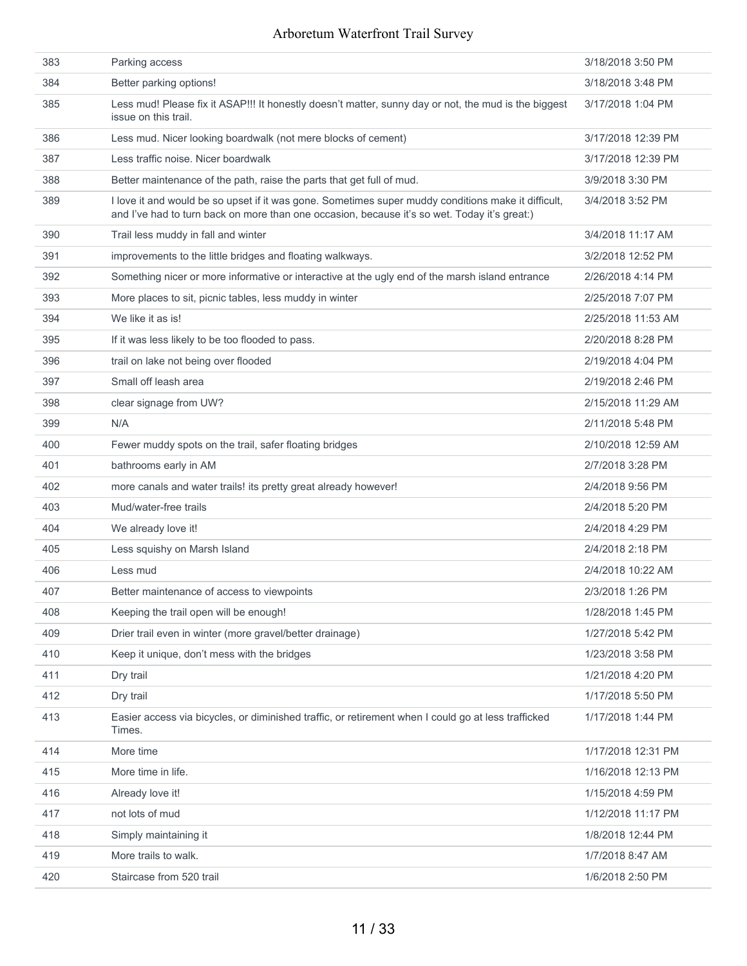| 383 | Parking access                                                                                                                                                                                      | 3/18/2018 3:50 PM  |
|-----|-----------------------------------------------------------------------------------------------------------------------------------------------------------------------------------------------------|--------------------|
| 384 | Better parking options!                                                                                                                                                                             | 3/18/2018 3:48 PM  |
| 385 | Less mud! Please fix it ASAP!!! It honestly doesn't matter, sunny day or not, the mud is the biggest<br>issue on this trail.                                                                        | 3/17/2018 1:04 PM  |
| 386 | Less mud. Nicer looking boardwalk (not mere blocks of cement)                                                                                                                                       | 3/17/2018 12:39 PM |
| 387 | Less traffic noise. Nicer boardwalk                                                                                                                                                                 | 3/17/2018 12:39 PM |
| 388 | Better maintenance of the path, raise the parts that get full of mud.                                                                                                                               | 3/9/2018 3:30 PM   |
| 389 | I love it and would be so upset if it was gone. Sometimes super muddy conditions make it difficult,<br>and I've had to turn back on more than one occasion, because it's so wet. Today it's great:) | 3/4/2018 3:52 PM   |
| 390 | Trail less muddy in fall and winter                                                                                                                                                                 | 3/4/2018 11:17 AM  |
| 391 | improvements to the little bridges and floating walkways.                                                                                                                                           | 3/2/2018 12:52 PM  |
| 392 | Something nicer or more informative or interactive at the ugly end of the marsh island entrance                                                                                                     | 2/26/2018 4:14 PM  |
| 393 | More places to sit, picnic tables, less muddy in winter                                                                                                                                             | 2/25/2018 7:07 PM  |
| 394 | We like it as is!                                                                                                                                                                                   | 2/25/2018 11:53 AM |
| 395 | If it was less likely to be too flooded to pass.                                                                                                                                                    | 2/20/2018 8:28 PM  |
| 396 | trail on lake not being over flooded                                                                                                                                                                | 2/19/2018 4:04 PM  |
| 397 | Small off leash area                                                                                                                                                                                | 2/19/2018 2:46 PM  |
| 398 | clear signage from UW?                                                                                                                                                                              | 2/15/2018 11:29 AM |
| 399 | N/A                                                                                                                                                                                                 | 2/11/2018 5:48 PM  |
| 400 | Fewer muddy spots on the trail, safer floating bridges                                                                                                                                              | 2/10/2018 12:59 AM |
| 401 | bathrooms early in AM                                                                                                                                                                               | 2/7/2018 3:28 PM   |
| 402 | more canals and water trails! its pretty great already however!                                                                                                                                     | 2/4/2018 9:56 PM   |
| 403 | Mud/water-free trails                                                                                                                                                                               | 2/4/2018 5:20 PM   |
| 404 | We already love it!                                                                                                                                                                                 | 2/4/2018 4:29 PM   |
| 405 | Less squishy on Marsh Island                                                                                                                                                                        | 2/4/2018 2:18 PM   |
| 406 | Less mud                                                                                                                                                                                            | 2/4/2018 10:22 AM  |
| 407 | Better maintenance of access to viewpoints                                                                                                                                                          | 2/3/2018 1:26 PM   |
| 408 | Keeping the trail open will be enough!                                                                                                                                                              | 1/28/2018 1:45 PM  |
| 409 | Drier trail even in winter (more gravel/better drainage)                                                                                                                                            | 1/27/2018 5:42 PM  |
| 410 | Keep it unique, don't mess with the bridges                                                                                                                                                         | 1/23/2018 3:58 PM  |
| 411 | Dry trail                                                                                                                                                                                           | 1/21/2018 4:20 PM  |
| 412 | Dry trail                                                                                                                                                                                           | 1/17/2018 5:50 PM  |
| 413 | Easier access via bicycles, or diminished traffic, or retirement when I could go at less trafficked<br>Times.                                                                                       | 1/17/2018 1:44 PM  |
| 414 | More time                                                                                                                                                                                           | 1/17/2018 12:31 PM |
| 415 | More time in life.                                                                                                                                                                                  | 1/16/2018 12:13 PM |
| 416 | Already love it!                                                                                                                                                                                    | 1/15/2018 4:59 PM  |
| 417 | not lots of mud                                                                                                                                                                                     | 1/12/2018 11:17 PM |
| 418 | Simply maintaining it                                                                                                                                                                               | 1/8/2018 12:44 PM  |
| 419 | More trails to walk.                                                                                                                                                                                | 1/7/2018 8:47 AM   |
| 420 | Staircase from 520 trail                                                                                                                                                                            | 1/6/2018 2:50 PM   |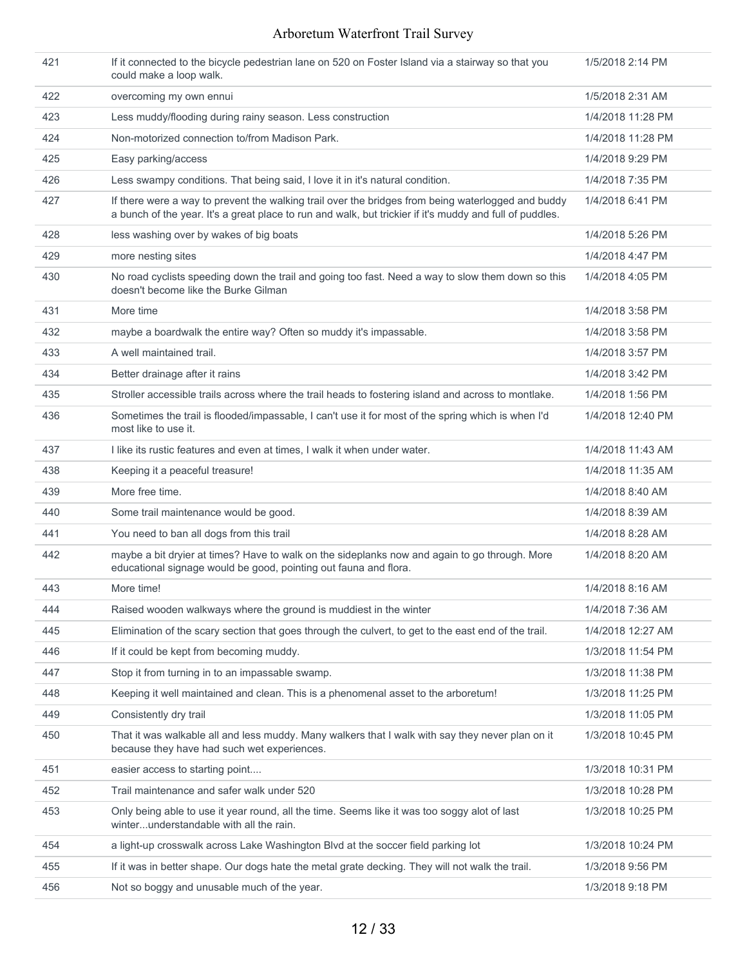| 421 | If it connected to the bicycle pedestrian lane on 520 on Foster Island via a stairway so that you<br>could make a loop walk.                                                                                   | 1/5/2018 2:14 PM  |
|-----|----------------------------------------------------------------------------------------------------------------------------------------------------------------------------------------------------------------|-------------------|
| 422 | overcoming my own ennui                                                                                                                                                                                        | 1/5/2018 2:31 AM  |
| 423 | Less muddy/flooding during rainy season. Less construction                                                                                                                                                     | 1/4/2018 11:28 PM |
| 424 | Non-motorized connection to/from Madison Park.                                                                                                                                                                 | 1/4/2018 11:28 PM |
| 425 | Easy parking/access                                                                                                                                                                                            | 1/4/2018 9:29 PM  |
| 426 | Less swampy conditions. That being said, I love it in it's natural condition.                                                                                                                                  | 1/4/2018 7:35 PM  |
| 427 | If there were a way to prevent the walking trail over the bridges from being waterlogged and buddy<br>a bunch of the year. It's a great place to run and walk, but trickier if it's muddy and full of puddles. | 1/4/2018 6:41 PM  |
| 428 | less washing over by wakes of big boats                                                                                                                                                                        | 1/4/2018 5:26 PM  |
| 429 | more nesting sites                                                                                                                                                                                             | 1/4/2018 4:47 PM  |
| 430 | No road cyclists speeding down the trail and going too fast. Need a way to slow them down so this<br>doesn't become like the Burke Gilman                                                                      | 1/4/2018 4:05 PM  |
| 431 | More time                                                                                                                                                                                                      | 1/4/2018 3:58 PM  |
| 432 | maybe a boardwalk the entire way? Often so muddy it's impassable.                                                                                                                                              | 1/4/2018 3:58 PM  |
| 433 | A well maintained trail.                                                                                                                                                                                       | 1/4/2018 3:57 PM  |
| 434 | Better drainage after it rains                                                                                                                                                                                 | 1/4/2018 3:42 PM  |
| 435 | Stroller accessible trails across where the trail heads to fostering island and across to montlake.                                                                                                            | 1/4/2018 1:56 PM  |
| 436 | Sometimes the trail is flooded/impassable, I can't use it for most of the spring which is when I'd<br>most like to use it.                                                                                     | 1/4/2018 12:40 PM |
| 437 | I like its rustic features and even at times, I walk it when under water.                                                                                                                                      | 1/4/2018 11:43 AM |
| 438 | Keeping it a peaceful treasure!                                                                                                                                                                                | 1/4/2018 11:35 AM |
| 439 | More free time.                                                                                                                                                                                                | 1/4/2018 8:40 AM  |
| 440 | Some trail maintenance would be good.                                                                                                                                                                          | 1/4/2018 8:39 AM  |
| 441 | You need to ban all dogs from this trail                                                                                                                                                                       | 1/4/2018 8:28 AM  |
| 442 | maybe a bit dryier at times? Have to walk on the sideplanks now and again to go through. More<br>educational signage would be good, pointing out fauna and flora.                                              | 1/4/2018 8:20 AM  |
| 443 | More time!                                                                                                                                                                                                     | 1/4/2018 8:16 AM  |
| 444 | Raised wooden walkways where the ground is muddiest in the winter                                                                                                                                              | 1/4/2018 7:36 AM  |
| 445 | Elimination of the scary section that goes through the culvert, to get to the east end of the trail.                                                                                                           | 1/4/2018 12:27 AM |
| 446 | If it could be kept from becoming muddy.                                                                                                                                                                       | 1/3/2018 11:54 PM |
| 447 | Stop it from turning in to an impassable swamp.                                                                                                                                                                | 1/3/2018 11:38 PM |
| 448 | Keeping it well maintained and clean. This is a phenomenal asset to the arboretum!                                                                                                                             | 1/3/2018 11:25 PM |
| 449 | Consistently dry trail                                                                                                                                                                                         | 1/3/2018 11:05 PM |
| 450 | That it was walkable all and less muddy. Many walkers that I walk with say they never plan on it<br>because they have had such wet experiences.                                                                | 1/3/2018 10:45 PM |
| 451 | easier access to starting point                                                                                                                                                                                | 1/3/2018 10:31 PM |
| 452 | Trail maintenance and safer walk under 520                                                                                                                                                                     | 1/3/2018 10:28 PM |
| 453 | Only being able to use it year round, all the time. Seems like it was too soggy alot of last<br>winterunderstandable with all the rain.                                                                        | 1/3/2018 10:25 PM |
| 454 | a light-up crosswalk across Lake Washington Blvd at the soccer field parking lot                                                                                                                               | 1/3/2018 10:24 PM |
| 455 | If it was in better shape. Our dogs hate the metal grate decking. They will not walk the trail.                                                                                                                | 1/3/2018 9:56 PM  |
| 456 | Not so boggy and unusable much of the year.                                                                                                                                                                    | 1/3/2018 9:18 PM  |
|     |                                                                                                                                                                                                                |                   |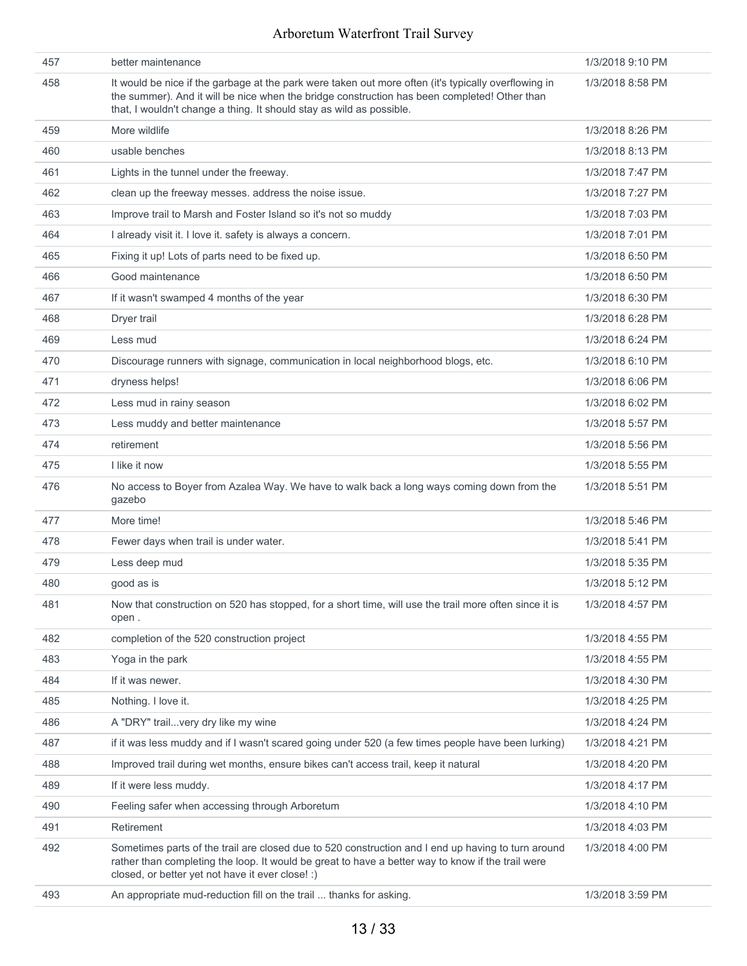| 457 | better maintenance                                                                                                                                                                                                                                                           | 1/3/2018 9:10 PM |
|-----|------------------------------------------------------------------------------------------------------------------------------------------------------------------------------------------------------------------------------------------------------------------------------|------------------|
| 458 | It would be nice if the garbage at the park were taken out more often (it's typically overflowing in<br>the summer). And it will be nice when the bridge construction has been completed! Other than<br>that, I wouldn't change a thing. It should stay as wild as possible. | 1/3/2018 8:58 PM |
| 459 | More wildlife                                                                                                                                                                                                                                                                | 1/3/2018 8:26 PM |
| 460 | usable benches                                                                                                                                                                                                                                                               | 1/3/2018 8:13 PM |
| 461 | Lights in the tunnel under the freeway.                                                                                                                                                                                                                                      | 1/3/2018 7:47 PM |
| 462 | clean up the freeway messes. address the noise issue.                                                                                                                                                                                                                        | 1/3/2018 7:27 PM |
| 463 | Improve trail to Marsh and Foster Island so it's not so muddy                                                                                                                                                                                                                | 1/3/2018 7:03 PM |
| 464 | I already visit it. I love it. safety is always a concern.                                                                                                                                                                                                                   | 1/3/2018 7:01 PM |
| 465 | Fixing it up! Lots of parts need to be fixed up.                                                                                                                                                                                                                             | 1/3/2018 6:50 PM |
| 466 | Good maintenance                                                                                                                                                                                                                                                             | 1/3/2018 6:50 PM |
| 467 | If it wasn't swamped 4 months of the year                                                                                                                                                                                                                                    | 1/3/2018 6:30 PM |
| 468 | Dryer trail                                                                                                                                                                                                                                                                  | 1/3/2018 6:28 PM |
| 469 | Less mud                                                                                                                                                                                                                                                                     | 1/3/2018 6:24 PM |
| 470 | Discourage runners with signage, communication in local neighborhood blogs, etc.                                                                                                                                                                                             | 1/3/2018 6:10 PM |
| 471 | dryness helps!                                                                                                                                                                                                                                                               | 1/3/2018 6:06 PM |
| 472 | Less mud in rainy season                                                                                                                                                                                                                                                     | 1/3/2018 6:02 PM |
| 473 | Less muddy and better maintenance                                                                                                                                                                                                                                            | 1/3/2018 5:57 PM |
| 474 | retirement                                                                                                                                                                                                                                                                   | 1/3/2018 5:56 PM |
| 475 | I like it now                                                                                                                                                                                                                                                                | 1/3/2018 5:55 PM |
| 476 | No access to Boyer from Azalea Way. We have to walk back a long ways coming down from the<br>gazebo                                                                                                                                                                          | 1/3/2018 5:51 PM |
| 477 | More time!                                                                                                                                                                                                                                                                   | 1/3/2018 5:46 PM |
| 478 | Fewer days when trail is under water.                                                                                                                                                                                                                                        | 1/3/2018 5:41 PM |
| 479 | Less deep mud                                                                                                                                                                                                                                                                | 1/3/2018 5:35 PM |
| 480 | good as is                                                                                                                                                                                                                                                                   | 1/3/2018 5:12 PM |
| 481 | Now that construction on 520 has stopped, for a short time, will use the trail more often since it is<br>open.                                                                                                                                                               | 1/3/2018 4:57 PM |
| 482 | completion of the 520 construction project                                                                                                                                                                                                                                   | 1/3/2018 4:55 PM |
| 483 | Yoga in the park                                                                                                                                                                                                                                                             | 1/3/2018 4:55 PM |
| 484 | If it was newer.                                                                                                                                                                                                                                                             | 1/3/2018 4:30 PM |
| 485 | Nothing. I love it.                                                                                                                                                                                                                                                          | 1/3/2018 4:25 PM |
| 486 | A "DRY" trailvery dry like my wine                                                                                                                                                                                                                                           | 1/3/2018 4:24 PM |
| 487 | if it was less muddy and if I wasn't scared going under 520 (a few times people have been lurking)                                                                                                                                                                           | 1/3/2018 4:21 PM |
| 488 | Improved trail during wet months, ensure bikes can't access trail, keep it natural                                                                                                                                                                                           | 1/3/2018 4:20 PM |
| 489 | If it were less muddy.                                                                                                                                                                                                                                                       | 1/3/2018 4:17 PM |
| 490 | Feeling safer when accessing through Arboretum                                                                                                                                                                                                                               | 1/3/2018 4:10 PM |
| 491 | Retirement                                                                                                                                                                                                                                                                   | 1/3/2018 4:03 PM |
| 492 | Sometimes parts of the trail are closed due to 520 construction and I end up having to turn around<br>rather than completing the loop. It would be great to have a better way to know if the trail were<br>closed, or better yet not have it ever close! :)                  | 1/3/2018 4:00 PM |
| 493 | An appropriate mud-reduction fill on the trail  thanks for asking.                                                                                                                                                                                                           | 1/3/2018 3:59 PM |
|     |                                                                                                                                                                                                                                                                              |                  |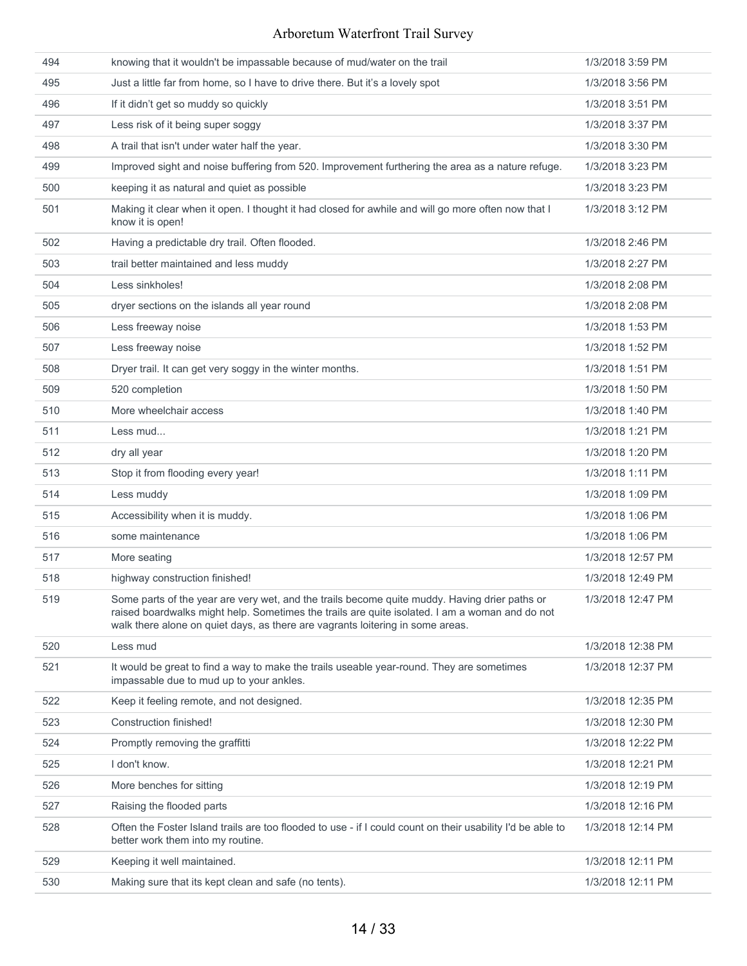| 494 | knowing that it wouldn't be impassable because of mud/water on the trail                                                                                                                                                                                                          | 1/3/2018 3:59 PM  |
|-----|-----------------------------------------------------------------------------------------------------------------------------------------------------------------------------------------------------------------------------------------------------------------------------------|-------------------|
| 495 | Just a little far from home, so I have to drive there. But it's a lovely spot                                                                                                                                                                                                     | 1/3/2018 3:56 PM  |
| 496 | If it didn't get so muddy so quickly                                                                                                                                                                                                                                              | 1/3/2018 3:51 PM  |
| 497 | Less risk of it being super soggy                                                                                                                                                                                                                                                 | 1/3/2018 3:37 PM  |
| 498 | A trail that isn't under water half the year.                                                                                                                                                                                                                                     | 1/3/2018 3:30 PM  |
| 499 | Improved sight and noise buffering from 520. Improvement furthering the area as a nature refuge.                                                                                                                                                                                  | 1/3/2018 3:23 PM  |
| 500 | keeping it as natural and quiet as possible                                                                                                                                                                                                                                       | 1/3/2018 3:23 PM  |
| 501 | Making it clear when it open. I thought it had closed for awhile and will go more often now that I<br>know it is open!                                                                                                                                                            | 1/3/2018 3:12 PM  |
| 502 | Having a predictable dry trail. Often flooded.                                                                                                                                                                                                                                    | 1/3/2018 2:46 PM  |
| 503 | trail better maintained and less muddy                                                                                                                                                                                                                                            | 1/3/2018 2:27 PM  |
| 504 | Less sinkholes!                                                                                                                                                                                                                                                                   | 1/3/2018 2:08 PM  |
| 505 | dryer sections on the islands all year round                                                                                                                                                                                                                                      | 1/3/2018 2:08 PM  |
| 506 | Less freeway noise                                                                                                                                                                                                                                                                | 1/3/2018 1:53 PM  |
| 507 | Less freeway noise                                                                                                                                                                                                                                                                | 1/3/2018 1:52 PM  |
| 508 | Dryer trail. It can get very soggy in the winter months.                                                                                                                                                                                                                          | 1/3/2018 1:51 PM  |
| 509 | 520 completion                                                                                                                                                                                                                                                                    | 1/3/2018 1:50 PM  |
| 510 | More wheelchair access                                                                                                                                                                                                                                                            | 1/3/2018 1:40 PM  |
| 511 | Less mud                                                                                                                                                                                                                                                                          | 1/3/2018 1:21 PM  |
| 512 | dry all year                                                                                                                                                                                                                                                                      | 1/3/2018 1:20 PM  |
| 513 | Stop it from flooding every year!                                                                                                                                                                                                                                                 | 1/3/2018 1:11 PM  |
| 514 | Less muddy                                                                                                                                                                                                                                                                        | 1/3/2018 1:09 PM  |
| 515 | Accessibility when it is muddy.                                                                                                                                                                                                                                                   | 1/3/2018 1:06 PM  |
| 516 | some maintenance                                                                                                                                                                                                                                                                  | 1/3/2018 1:06 PM  |
| 517 | More seating                                                                                                                                                                                                                                                                      | 1/3/2018 12:57 PM |
| 518 | highway construction finished!                                                                                                                                                                                                                                                    | 1/3/2018 12:49 PM |
| 519 | Some parts of the year are very wet, and the trails become quite muddy. Having drier paths or<br>raised boardwalks might help. Sometimes the trails are quite isolated. I am a woman and do not<br>walk there alone on quiet days, as there are vagrants loitering in some areas. | 1/3/2018 12:47 PM |
| 520 | Less mud                                                                                                                                                                                                                                                                          | 1/3/2018 12:38 PM |
| 521 | It would be great to find a way to make the trails useable year-round. They are sometimes<br>impassable due to mud up to your ankles.                                                                                                                                             | 1/3/2018 12:37 PM |
| 522 | Keep it feeling remote, and not designed.                                                                                                                                                                                                                                         | 1/3/2018 12:35 PM |
| 523 | Construction finished!                                                                                                                                                                                                                                                            | 1/3/2018 12:30 PM |
| 524 | Promptly removing the graffitti                                                                                                                                                                                                                                                   | 1/3/2018 12:22 PM |
| 525 | I don't know.                                                                                                                                                                                                                                                                     | 1/3/2018 12:21 PM |
| 526 | More benches for sitting                                                                                                                                                                                                                                                          | 1/3/2018 12:19 PM |
| 527 | Raising the flooded parts                                                                                                                                                                                                                                                         | 1/3/2018 12:16 PM |
| 528 | Often the Foster Island trails are too flooded to use - if I could count on their usability I'd be able to<br>better work them into my routine.                                                                                                                                   | 1/3/2018 12:14 PM |
| 529 | Keeping it well maintained.                                                                                                                                                                                                                                                       | 1/3/2018 12:11 PM |
| 530 | Making sure that its kept clean and safe (no tents).                                                                                                                                                                                                                              | 1/3/2018 12:11 PM |
|     |                                                                                                                                                                                                                                                                                   |                   |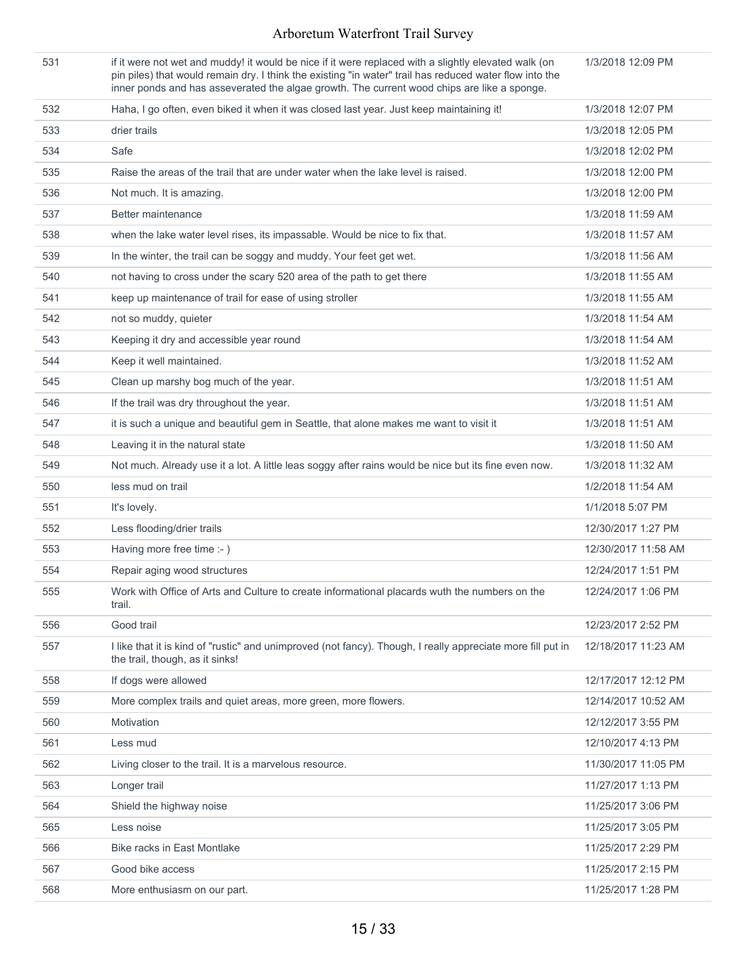| 531 | if it were not wet and muddy! it would be nice if it were replaced with a slightly elevated walk (on<br>pin piles) that would remain dry. I think the existing "in water" trail has reduced water flow into the<br>inner ponds and has asseverated the algae growth. The current wood chips are like a sponge. | 1/3/2018 12:09 PM   |
|-----|----------------------------------------------------------------------------------------------------------------------------------------------------------------------------------------------------------------------------------------------------------------------------------------------------------------|---------------------|
| 532 | Haha, I go often, even biked it when it was closed last year. Just keep maintaining it!                                                                                                                                                                                                                        | 1/3/2018 12:07 PM   |
| 533 | drier trails                                                                                                                                                                                                                                                                                                   | 1/3/2018 12:05 PM   |
| 534 | Safe                                                                                                                                                                                                                                                                                                           | 1/3/2018 12:02 PM   |
| 535 | Raise the areas of the trail that are under water when the lake level is raised.                                                                                                                                                                                                                               | 1/3/2018 12:00 PM   |
| 536 | Not much. It is amazing.                                                                                                                                                                                                                                                                                       | 1/3/2018 12:00 PM   |
| 537 | Better maintenance                                                                                                                                                                                                                                                                                             | 1/3/2018 11:59 AM   |
| 538 | when the lake water level rises, its impassable. Would be nice to fix that.                                                                                                                                                                                                                                    | 1/3/2018 11:57 AM   |
| 539 | In the winter, the trail can be soggy and muddy. Your feet get wet.                                                                                                                                                                                                                                            | 1/3/2018 11:56 AM   |
| 540 | not having to cross under the scary 520 area of the path to get there                                                                                                                                                                                                                                          | 1/3/2018 11:55 AM   |
| 541 | keep up maintenance of trail for ease of using stroller                                                                                                                                                                                                                                                        | 1/3/2018 11:55 AM   |
| 542 | not so muddy, quieter                                                                                                                                                                                                                                                                                          | 1/3/2018 11:54 AM   |
| 543 | Keeping it dry and accessible year round                                                                                                                                                                                                                                                                       | 1/3/2018 11:54 AM   |
| 544 | Keep it well maintained.                                                                                                                                                                                                                                                                                       | 1/3/2018 11:52 AM   |
| 545 | Clean up marshy bog much of the year.                                                                                                                                                                                                                                                                          | 1/3/2018 11:51 AM   |
| 546 | If the trail was dry throughout the year.                                                                                                                                                                                                                                                                      | 1/3/2018 11:51 AM   |
| 547 | it is such a unique and beautiful gem in Seattle, that alone makes me want to visit it                                                                                                                                                                                                                         | 1/3/2018 11:51 AM   |
| 548 | Leaving it in the natural state                                                                                                                                                                                                                                                                                | 1/3/2018 11:50 AM   |
| 549 | Not much. Already use it a lot. A little leas soggy after rains would be nice but its fine even now.                                                                                                                                                                                                           | 1/3/2018 11:32 AM   |
| 550 | less mud on trail                                                                                                                                                                                                                                                                                              | 1/2/2018 11:54 AM   |
| 551 | It's lovely.                                                                                                                                                                                                                                                                                                   | 1/1/2018 5:07 PM    |
| 552 | Less flooding/drier trails                                                                                                                                                                                                                                                                                     | 12/30/2017 1:27 PM  |
| 553 | Having more free time :- )                                                                                                                                                                                                                                                                                     | 12/30/2017 11:58 AM |
| 554 | Repair aging wood structures                                                                                                                                                                                                                                                                                   | 12/24/2017 1:51 PM  |
| 555 | Work with Office of Arts and Culture to create informational placards wuth the numbers on the<br>trail.                                                                                                                                                                                                        | 12/24/2017 1:06 PM  |
| 556 | Good trail                                                                                                                                                                                                                                                                                                     | 12/23/2017 2:52 PM  |
| 557 | I like that it is kind of "rustic" and unimproved (not fancy). Though, I really appreciate more fill put in<br>the trail, though, as it sinks!                                                                                                                                                                 | 12/18/2017 11:23 AM |
| 558 | If dogs were allowed                                                                                                                                                                                                                                                                                           | 12/17/2017 12:12 PM |
| 559 | More complex trails and quiet areas, more green, more flowers.                                                                                                                                                                                                                                                 | 12/14/2017 10:52 AM |
| 560 | Motivation                                                                                                                                                                                                                                                                                                     | 12/12/2017 3:55 PM  |
| 561 | Less mud                                                                                                                                                                                                                                                                                                       | 12/10/2017 4:13 PM  |
| 562 | Living closer to the trail. It is a marvelous resource.                                                                                                                                                                                                                                                        | 11/30/2017 11:05 PM |
| 563 | Longer trail                                                                                                                                                                                                                                                                                                   | 11/27/2017 1:13 PM  |
| 564 | Shield the highway noise                                                                                                                                                                                                                                                                                       | 11/25/2017 3:06 PM  |
| 565 | Less noise                                                                                                                                                                                                                                                                                                     | 11/25/2017 3:05 PM  |
| 566 | <b>Bike racks in East Montlake</b>                                                                                                                                                                                                                                                                             | 11/25/2017 2:29 PM  |
| 567 | Good bike access                                                                                                                                                                                                                                                                                               | 11/25/2017 2:15 PM  |
| 568 | More enthusiasm on our part.                                                                                                                                                                                                                                                                                   | 11/25/2017 1:28 PM  |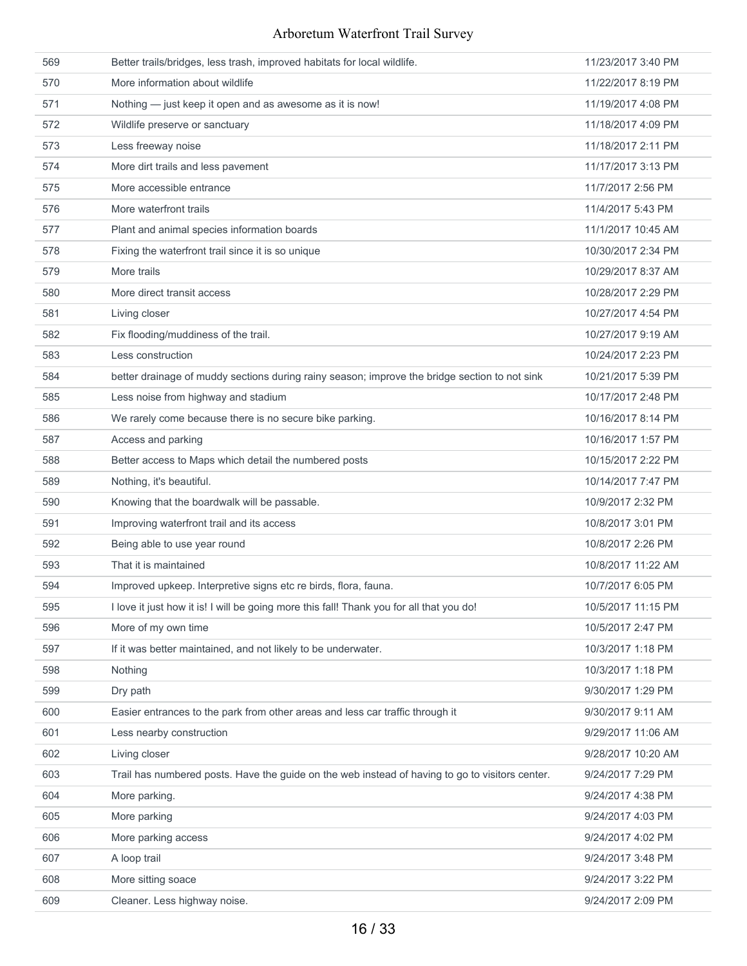| 569 | Better trails/bridges, less trash, improved habitats for local wildlife.                        | 11/23/2017 3:40 PM |
|-----|-------------------------------------------------------------------------------------------------|--------------------|
| 570 | More information about wildlife                                                                 | 11/22/2017 8:19 PM |
| 571 | Nothing - just keep it open and as awesome as it is now!                                        | 11/19/2017 4:08 PM |
| 572 | Wildlife preserve or sanctuary                                                                  | 11/18/2017 4:09 PM |
| 573 | Less freeway noise                                                                              | 11/18/2017 2:11 PM |
| 574 | More dirt trails and less pavement                                                              | 11/17/2017 3:13 PM |
| 575 | More accessible entrance                                                                        | 11/7/2017 2:56 PM  |
| 576 | More waterfront trails                                                                          | 11/4/2017 5:43 PM  |
| 577 | Plant and animal species information boards                                                     | 11/1/2017 10:45 AM |
| 578 | Fixing the waterfront trail since it is so unique                                               | 10/30/2017 2:34 PM |
| 579 | More trails                                                                                     | 10/29/2017 8:37 AM |
| 580 | More direct transit access                                                                      | 10/28/2017 2:29 PM |
| 581 | Living closer                                                                                   | 10/27/2017 4:54 PM |
| 582 | Fix flooding/muddiness of the trail.                                                            | 10/27/2017 9:19 AM |
| 583 | Less construction                                                                               | 10/24/2017 2:23 PM |
| 584 | better drainage of muddy sections during rainy season; improve the bridge section to not sink   | 10/21/2017 5:39 PM |
| 585 | Less noise from highway and stadium                                                             | 10/17/2017 2:48 PM |
| 586 | We rarely come because there is no secure bike parking.                                         | 10/16/2017 8:14 PM |
| 587 | Access and parking                                                                              | 10/16/2017 1:57 PM |
| 588 | Better access to Maps which detail the numbered posts                                           | 10/15/2017 2:22 PM |
| 589 | Nothing, it's beautiful.                                                                        | 10/14/2017 7:47 PM |
| 590 | Knowing that the boardwalk will be passable.                                                    | 10/9/2017 2:32 PM  |
| 591 | Improving waterfront trail and its access                                                       | 10/8/2017 3:01 PM  |
| 592 | Being able to use year round                                                                    | 10/8/2017 2:26 PM  |
| 593 | That it is maintained                                                                           | 10/8/2017 11:22 AM |
| 594 | Improved upkeep. Interpretive signs etc re birds, flora, fauna.                                 | 10/7/2017 6:05 PM  |
| 595 | I love it just how it is! I will be going more this fall! Thank you for all that you do!        | 10/5/2017 11:15 PM |
| 596 | More of my own time                                                                             | 10/5/2017 2:47 PM  |
| 597 | If it was better maintained, and not likely to be underwater.                                   | 10/3/2017 1:18 PM  |
| 598 | Nothing                                                                                         | 10/3/2017 1:18 PM  |
| 599 | Dry path                                                                                        | 9/30/2017 1:29 PM  |
| 600 | Easier entrances to the park from other areas and less car traffic through it                   | 9/30/2017 9:11 AM  |
| 601 | Less nearby construction                                                                        | 9/29/2017 11:06 AM |
| 602 | Living closer                                                                                   | 9/28/2017 10:20 AM |
| 603 | Trail has numbered posts. Have the guide on the web instead of having to go to visitors center. | 9/24/2017 7:29 PM  |
| 604 | More parking.                                                                                   | 9/24/2017 4:38 PM  |
| 605 | More parking                                                                                    | 9/24/2017 4:03 PM  |
| 606 | More parking access                                                                             | 9/24/2017 4:02 PM  |
| 607 | A loop trail                                                                                    | 9/24/2017 3:48 PM  |
| 608 | More sitting soace                                                                              | 9/24/2017 3:22 PM  |
| 609 | Cleaner. Less highway noise.                                                                    | 9/24/2017 2:09 PM  |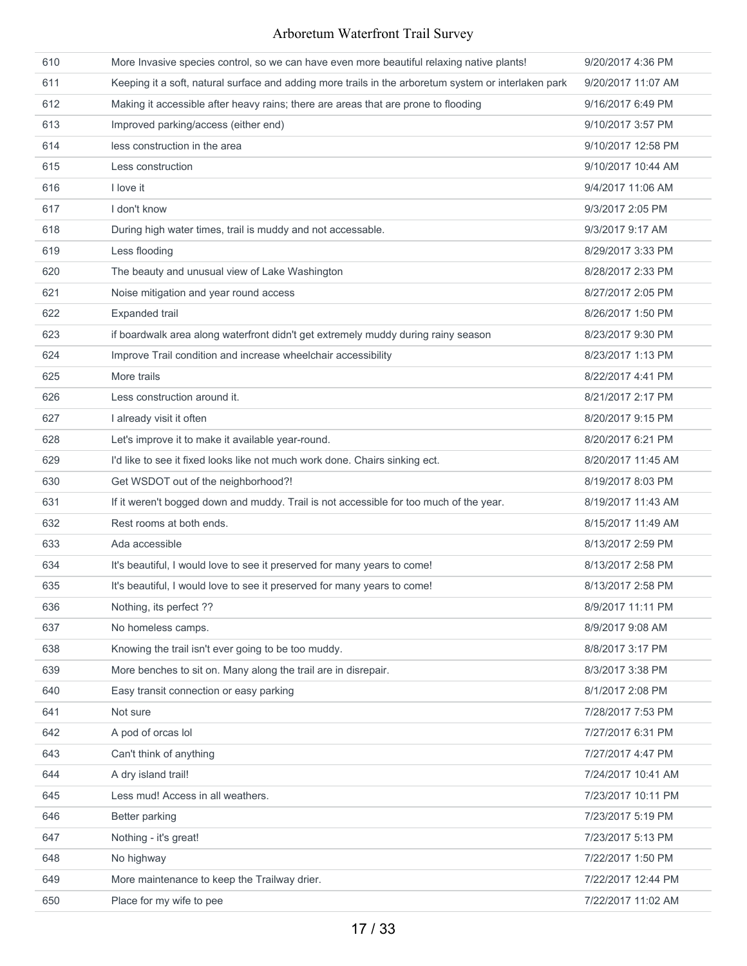| 610 | More Invasive species control, so we can have even more beautiful relaxing native plants!            | 9/20/2017 4:36 PM  |
|-----|------------------------------------------------------------------------------------------------------|--------------------|
| 611 | Keeping it a soft, natural surface and adding more trails in the arboretum system or interlaken park | 9/20/2017 11:07 AM |
| 612 | Making it accessible after heavy rains; there are areas that are prone to flooding                   | 9/16/2017 6:49 PM  |
| 613 | Improved parking/access (either end)                                                                 | 9/10/2017 3:57 PM  |
| 614 | less construction in the area                                                                        | 9/10/2017 12:58 PM |
| 615 | Less construction                                                                                    | 9/10/2017 10:44 AM |
| 616 | I love it                                                                                            | 9/4/2017 11:06 AM  |
| 617 | I don't know                                                                                         | 9/3/2017 2:05 PM   |
| 618 | During high water times, trail is muddy and not accessable.                                          | 9/3/2017 9:17 AM   |
| 619 | Less flooding                                                                                        | 8/29/2017 3:33 PM  |
| 620 | The beauty and unusual view of Lake Washington                                                       | 8/28/2017 2:33 PM  |
| 621 | Noise mitigation and year round access                                                               | 8/27/2017 2:05 PM  |
| 622 | Expanded trail                                                                                       | 8/26/2017 1:50 PM  |
| 623 | if boardwalk area along waterfront didn't get extremely muddy during rainy season                    | 8/23/2017 9:30 PM  |
| 624 | Improve Trail condition and increase wheelchair accessibility                                        | 8/23/2017 1:13 PM  |
| 625 | More trails                                                                                          | 8/22/2017 4:41 PM  |
| 626 | Less construction around it.                                                                         | 8/21/2017 2:17 PM  |
| 627 | I already visit it often                                                                             | 8/20/2017 9:15 PM  |
| 628 | Let's improve it to make it available year-round.                                                    | 8/20/2017 6:21 PM  |
| 629 | I'd like to see it fixed looks like not much work done. Chairs sinking ect.                          | 8/20/2017 11:45 AM |
| 630 | Get WSDOT out of the neighborhood?!                                                                  | 8/19/2017 8:03 PM  |
| 631 | If it weren't bogged down and muddy. Trail is not accessible for too much of the year.               | 8/19/2017 11:43 AM |
| 632 | Rest rooms at both ends.                                                                             | 8/15/2017 11:49 AM |
| 633 | Ada accessible                                                                                       | 8/13/2017 2:59 PM  |
| 634 | It's beautiful, I would love to see it preserved for many years to come!                             | 8/13/2017 2:58 PM  |
| 635 | It's beautiful, I would love to see it preserved for many years to come!                             | 8/13/2017 2:58 PM  |
| 636 | Nothing, its perfect ??                                                                              | 8/9/2017 11:11 PM  |
| 637 | No homeless camps.                                                                                   | 8/9/2017 9:08 AM   |
| 638 | Knowing the trail isn't ever going to be too muddy.                                                  | 8/8/2017 3:17 PM   |
| 639 | More benches to sit on. Many along the trail are in disrepair.                                       | 8/3/2017 3:38 PM   |
| 640 | Easy transit connection or easy parking                                                              | 8/1/2017 2:08 PM   |
| 641 | Not sure                                                                                             | 7/28/2017 7:53 PM  |
| 642 | A pod of orcas lol                                                                                   | 7/27/2017 6:31 PM  |
| 643 | Can't think of anything                                                                              | 7/27/2017 4:47 PM  |
| 644 | A dry island trail!                                                                                  | 7/24/2017 10:41 AM |
| 645 | Less mud! Access in all weathers.                                                                    | 7/23/2017 10:11 PM |
| 646 | Better parking                                                                                       | 7/23/2017 5:19 PM  |
| 647 | Nothing - it's great!                                                                                | 7/23/2017 5:13 PM  |
| 648 | No highway                                                                                           | 7/22/2017 1:50 PM  |
| 649 | More maintenance to keep the Trailway drier.                                                         | 7/22/2017 12:44 PM |
| 650 | Place for my wife to pee                                                                             | 7/22/2017 11:02 AM |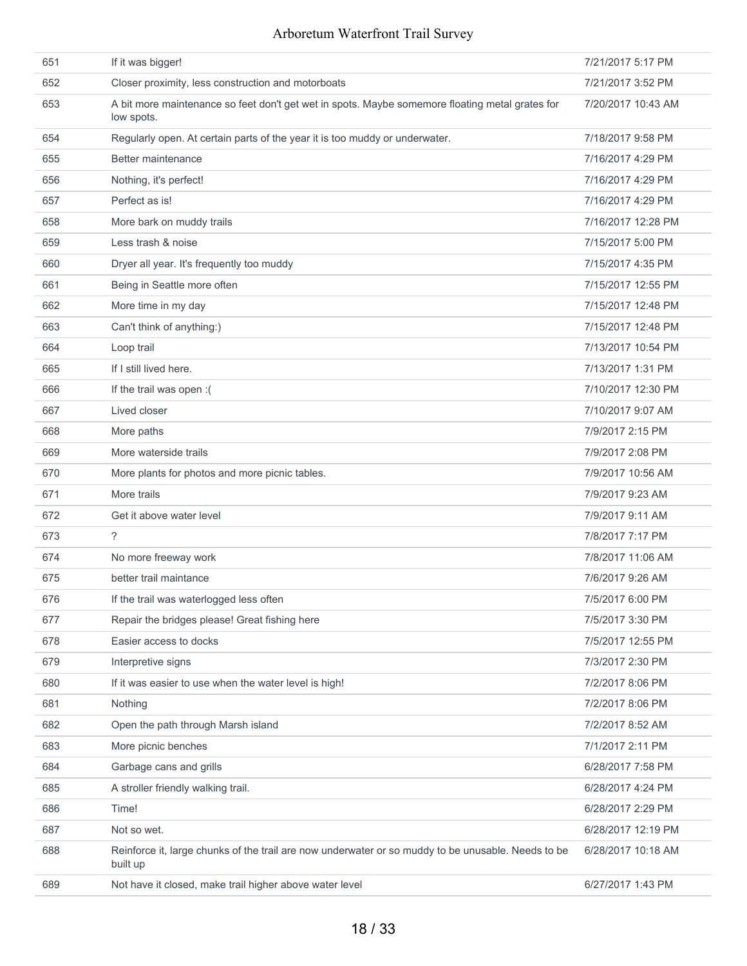| 651 | If it was bigger!                                                                                              | 7/21/2017 5:17 PM  |
|-----|----------------------------------------------------------------------------------------------------------------|--------------------|
| 652 | Closer proximity, less construction and motorboats                                                             | 7/21/2017 3:52 PM  |
| 653 | A bit more maintenance so feet don't get wet in spots. Maybe somemore floating metal grates for<br>low spots.  | 7/20/2017 10:43 AM |
| 654 | Regularly open. At certain parts of the year it is too muddy or underwater.                                    | 7/18/2017 9:58 PM  |
| 655 | Better maintenance                                                                                             | 7/16/2017 4:29 PM  |
| 656 | Nothing, it's perfect!                                                                                         | 7/16/2017 4:29 PM  |
| 657 | Perfect as is!                                                                                                 | 7/16/2017 4:29 PM  |
| 658 | More bark on muddy trails                                                                                      | 7/16/2017 12:28 PM |
| 659 | Less trash & noise                                                                                             | 7/15/2017 5:00 PM  |
| 660 | Dryer all year. It's frequently too muddy                                                                      | 7/15/2017 4:35 PM  |
| 661 | Being in Seattle more often                                                                                    | 7/15/2017 12:55 PM |
| 662 | More time in my day                                                                                            | 7/15/2017 12:48 PM |
| 663 | Can't think of anything:)                                                                                      | 7/15/2017 12:48 PM |
| 664 | Loop trail                                                                                                     | 7/13/2017 10:54 PM |
| 665 | If I still lived here.                                                                                         | 7/13/2017 1:31 PM  |
| 666 | If the trail was open : (                                                                                      | 7/10/2017 12:30 PM |
| 667 | Lived closer                                                                                                   | 7/10/2017 9:07 AM  |
| 668 | More paths                                                                                                     | 7/9/2017 2:15 PM   |
| 669 | More waterside trails                                                                                          | 7/9/2017 2:08 PM   |
| 670 | More plants for photos and more picnic tables.                                                                 | 7/9/2017 10:56 AM  |
| 671 | More trails                                                                                                    | 7/9/2017 9:23 AM   |
| 672 | Get it above water level                                                                                       | 7/9/2017 9:11 AM   |
| 673 | $\tilde{?}$                                                                                                    | 7/8/2017 7:17 PM   |
| 674 | No more freeway work                                                                                           | 7/8/2017 11:06 AM  |
| 675 | better trail maintance                                                                                         | 7/6/2017 9:26 AM   |
| 676 | If the trail was waterlogged less often                                                                        | 7/5/2017 6:00 PM   |
| 677 | Repair the bridges please! Great fishing here                                                                  | 7/5/2017 3:30 PM   |
| 678 | Easier access to docks                                                                                         | 7/5/2017 12:55 PM  |
| 679 | Interpretive signs                                                                                             | 7/3/2017 2:30 PM   |
| 680 | If it was easier to use when the water level is high!                                                          | 7/2/2017 8:06 PM   |
| 681 | Nothing                                                                                                        | 7/2/2017 8:06 PM   |
| 682 | Open the path through Marsh island                                                                             | 7/2/2017 8:52 AM   |
| 683 | More picnic benches                                                                                            | 7/1/2017 2:11 PM   |
| 684 | Garbage cans and grills                                                                                        | 6/28/2017 7:58 PM  |
| 685 | A stroller friendly walking trail.                                                                             | 6/28/2017 4:24 PM  |
| 686 | Time!                                                                                                          | 6/28/2017 2:29 PM  |
| 687 | Not so wet.                                                                                                    | 6/28/2017 12:19 PM |
| 688 | Reinforce it, large chunks of the trail are now underwater or so muddy to be unusable. Needs to be<br>built up | 6/28/2017 10:18 AM |
| 689 | Not have it closed, make trail higher above water level                                                        | 6/27/2017 1:43 PM  |
|     |                                                                                                                |                    |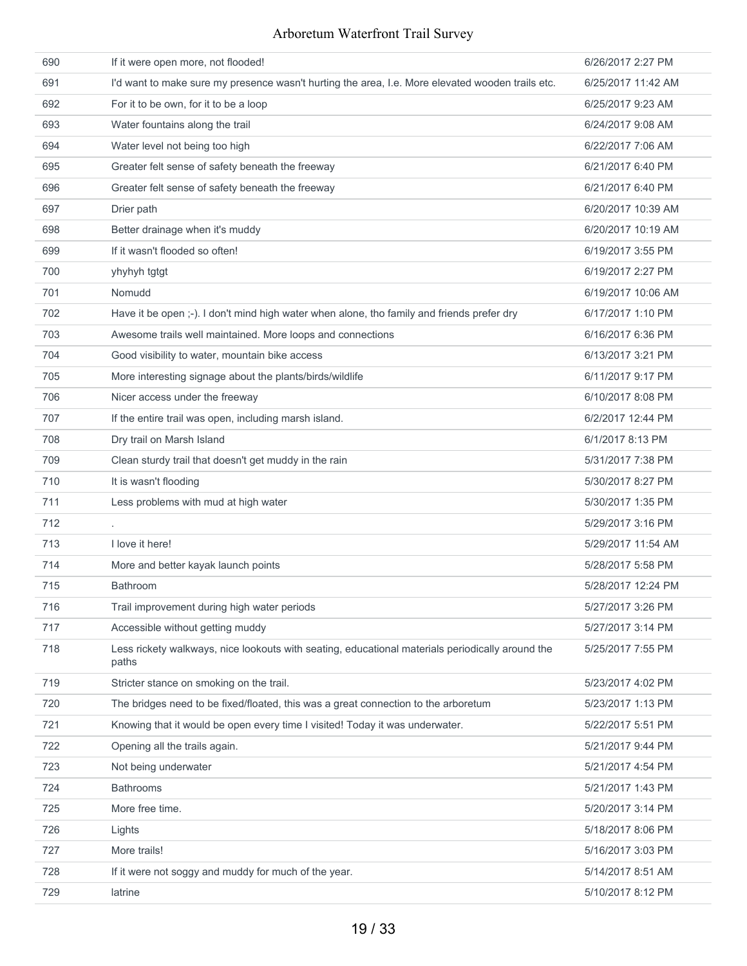| 690 | If it were open more, not flooded!                                                                        | 6/26/2017 2:27 PM  |
|-----|-----------------------------------------------------------------------------------------------------------|--------------------|
| 691 | I'd want to make sure my presence wasn't hurting the area, I.e. More elevated wooden trails etc.          | 6/25/2017 11:42 AM |
| 692 | For it to be own, for it to be a loop                                                                     | 6/25/2017 9:23 AM  |
| 693 | Water fountains along the trail                                                                           | 6/24/2017 9:08 AM  |
| 694 | Water level not being too high                                                                            | 6/22/2017 7:06 AM  |
| 695 | Greater felt sense of safety beneath the freeway                                                          | 6/21/2017 6:40 PM  |
| 696 | Greater felt sense of safety beneath the freeway                                                          | 6/21/2017 6:40 PM  |
| 697 | Drier path                                                                                                | 6/20/2017 10:39 AM |
| 698 | Better drainage when it's muddy                                                                           | 6/20/2017 10:19 AM |
| 699 | If it wasn't flooded so often!                                                                            | 6/19/2017 3:55 PM  |
| 700 | yhyhyh tgtgt                                                                                              | 6/19/2017 2:27 PM  |
| 701 | Nomudd                                                                                                    | 6/19/2017 10:06 AM |
| 702 | Have it be open ;-). I don't mind high water when alone, tho family and friends prefer dry                | 6/17/2017 1:10 PM  |
| 703 | Awesome trails well maintained. More loops and connections                                                | 6/16/2017 6:36 PM  |
| 704 | Good visibility to water, mountain bike access                                                            | 6/13/2017 3:21 PM  |
| 705 | More interesting signage about the plants/birds/wildlife                                                  | 6/11/2017 9:17 PM  |
| 706 | Nicer access under the freeway                                                                            | 6/10/2017 8:08 PM  |
| 707 | If the entire trail was open, including marsh island.                                                     | 6/2/2017 12:44 PM  |
| 708 | Dry trail on Marsh Island                                                                                 | 6/1/2017 8:13 PM   |
| 709 | Clean sturdy trail that doesn't get muddy in the rain                                                     | 5/31/2017 7:38 PM  |
| 710 | It is wasn't flooding                                                                                     | 5/30/2017 8:27 PM  |
| 711 | Less problems with mud at high water                                                                      | 5/30/2017 1:35 PM  |
| 712 |                                                                                                           | 5/29/2017 3:16 PM  |
| 713 | I love it here!                                                                                           | 5/29/2017 11:54 AM |
| 714 | More and better kayak launch points                                                                       | 5/28/2017 5:58 PM  |
| 715 | <b>Bathroom</b>                                                                                           | 5/28/2017 12:24 PM |
| 716 | Trail improvement during high water periods                                                               | 5/27/2017 3:26 PM  |
| 717 | Accessible without getting muddy                                                                          | 5/27/2017 3:14 PM  |
| 718 | Less rickety walkways, nice lookouts with seating, educational materials periodically around the<br>paths | 5/25/2017 7:55 PM  |
| 719 | Stricter stance on smoking on the trail.                                                                  | 5/23/2017 4:02 PM  |
| 720 | The bridges need to be fixed/floated, this was a great connection to the arboretum                        | 5/23/2017 1:13 PM  |
| 721 | Knowing that it would be open every time I visited! Today it was underwater.                              | 5/22/2017 5:51 PM  |
| 722 | Opening all the trails again.                                                                             | 5/21/2017 9:44 PM  |
| 723 | Not being underwater                                                                                      | 5/21/2017 4:54 PM  |
| 724 | <b>Bathrooms</b>                                                                                          | 5/21/2017 1:43 PM  |
| 725 | More free time.                                                                                           | 5/20/2017 3:14 PM  |
| 726 | Lights                                                                                                    | 5/18/2017 8:06 PM  |
| 727 | More trails!                                                                                              | 5/16/2017 3:03 PM  |
| 728 | If it were not soggy and muddy for much of the year.                                                      | 5/14/2017 8:51 AM  |
| 729 | latrine                                                                                                   | 5/10/2017 8:12 PM  |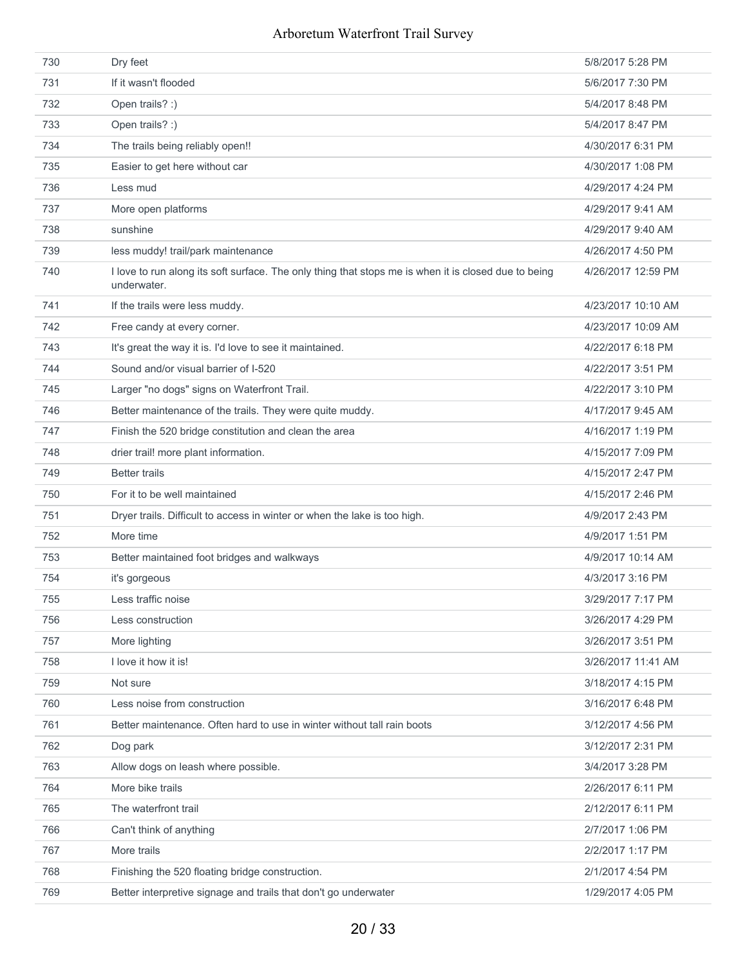| 730 | Dry feet                                                                                                            | 5/8/2017 5:28 PM   |
|-----|---------------------------------------------------------------------------------------------------------------------|--------------------|
| 731 | If it wasn't flooded                                                                                                | 5/6/2017 7:30 PM   |
| 732 | Open trails? :)                                                                                                     | 5/4/2017 8:48 PM   |
| 733 | Open trails? :)                                                                                                     | 5/4/2017 8:47 PM   |
| 734 | The trails being reliably open!!                                                                                    | 4/30/2017 6:31 PM  |
| 735 | Easier to get here without car                                                                                      | 4/30/2017 1:08 PM  |
| 736 | Less mud                                                                                                            | 4/29/2017 4:24 PM  |
| 737 | More open platforms                                                                                                 | 4/29/2017 9:41 AM  |
| 738 | sunshine                                                                                                            | 4/29/2017 9:40 AM  |
| 739 | less muddy! trail/park maintenance                                                                                  | 4/26/2017 4:50 PM  |
| 740 | I love to run along its soft surface. The only thing that stops me is when it is closed due to being<br>underwater. | 4/26/2017 12:59 PM |
| 741 | If the trails were less muddy.                                                                                      | 4/23/2017 10:10 AM |
| 742 | Free candy at every corner.                                                                                         | 4/23/2017 10:09 AM |
| 743 | It's great the way it is. I'd love to see it maintained.                                                            | 4/22/2017 6:18 PM  |
| 744 | Sound and/or visual barrier of I-520                                                                                | 4/22/2017 3:51 PM  |
| 745 | Larger "no dogs" signs on Waterfront Trail.                                                                         | 4/22/2017 3:10 PM  |
| 746 | Better maintenance of the trails. They were quite muddy.                                                            | 4/17/2017 9:45 AM  |
| 747 | Finish the 520 bridge constitution and clean the area                                                               | 4/16/2017 1:19 PM  |
| 748 | drier trail! more plant information.                                                                                | 4/15/2017 7:09 PM  |
| 749 | <b>Better trails</b>                                                                                                | 4/15/2017 2:47 PM  |
| 750 | For it to be well maintained                                                                                        | 4/15/2017 2:46 PM  |
| 751 | Dryer trails. Difficult to access in winter or when the lake is too high.                                           | 4/9/2017 2:43 PM   |
| 752 | More time                                                                                                           | 4/9/2017 1:51 PM   |
| 753 | Better maintained foot bridges and walkways                                                                         | 4/9/2017 10:14 AM  |
| 754 | it's gorgeous                                                                                                       | 4/3/2017 3:16 PM   |
| 755 | Less traffic noise                                                                                                  | 3/29/2017 7:17 PM  |
| 756 | Less construction                                                                                                   | 3/26/2017 4:29 PM  |
| 757 | More lighting                                                                                                       | 3/26/2017 3:51 PM  |
| 758 | I love it how it is!                                                                                                | 3/26/2017 11:41 AM |
| 759 | Not sure                                                                                                            | 3/18/2017 4:15 PM  |
| 760 | Less noise from construction                                                                                        | 3/16/2017 6:48 PM  |
| 761 | Better maintenance. Often hard to use in winter without tall rain boots                                             | 3/12/2017 4:56 PM  |
| 762 | Dog park                                                                                                            | 3/12/2017 2:31 PM  |
| 763 | Allow dogs on leash where possible.                                                                                 | 3/4/2017 3:28 PM   |
| 764 | More bike trails                                                                                                    | 2/26/2017 6:11 PM  |
| 765 | The waterfront trail                                                                                                | 2/12/2017 6:11 PM  |
| 766 | Can't think of anything                                                                                             | 2/7/2017 1:06 PM   |
| 767 | More trails                                                                                                         | 2/2/2017 1:17 PM   |
| 768 | Finishing the 520 floating bridge construction.                                                                     | 2/1/2017 4:54 PM   |
| 769 | Better interpretive signage and trails that don't go underwater                                                     | 1/29/2017 4:05 PM  |
|     |                                                                                                                     |                    |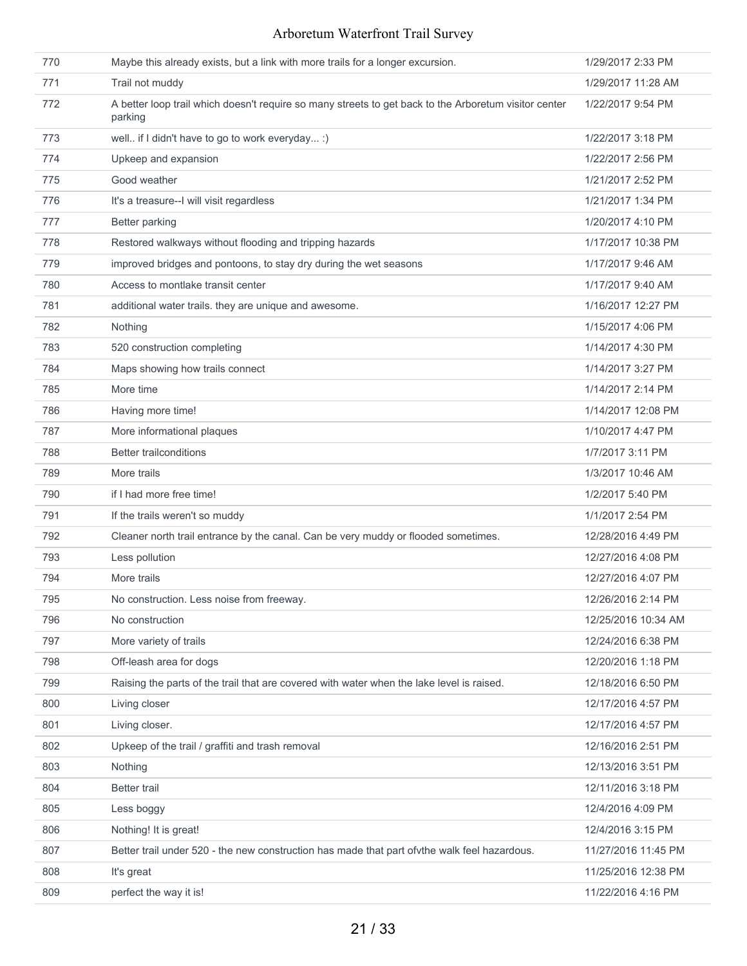| 770 | Maybe this already exists, but a link with more trails for a longer excursion.                                   | 1/29/2017 2:33 PM   |
|-----|------------------------------------------------------------------------------------------------------------------|---------------------|
| 771 | Trail not muddy                                                                                                  | 1/29/2017 11:28 AM  |
| 772 | A better loop trail which doesn't require so many streets to get back to the Arboretum visitor center<br>parking | 1/22/2017 9:54 PM   |
| 773 | well if I didn't have to go to work everyday :)                                                                  | 1/22/2017 3:18 PM   |
| 774 | Upkeep and expansion                                                                                             | 1/22/2017 2:56 PM   |
| 775 | Good weather                                                                                                     | 1/21/2017 2:52 PM   |
| 776 | It's a treasure--I will visit regardless                                                                         | 1/21/2017 1:34 PM   |
| 777 | Better parking                                                                                                   | 1/20/2017 4:10 PM   |
| 778 | Restored walkways without flooding and tripping hazards                                                          | 1/17/2017 10:38 PM  |
| 779 | improved bridges and pontoons, to stay dry during the wet seasons                                                | 1/17/2017 9:46 AM   |
| 780 | Access to montlake transit center                                                                                | 1/17/2017 9:40 AM   |
| 781 | additional water trails. they are unique and awesome.                                                            | 1/16/2017 12:27 PM  |
| 782 | Nothing                                                                                                          | 1/15/2017 4:06 PM   |
| 783 | 520 construction completing                                                                                      | 1/14/2017 4:30 PM   |
| 784 | Maps showing how trails connect                                                                                  | 1/14/2017 3:27 PM   |
| 785 | More time                                                                                                        | 1/14/2017 2:14 PM   |
| 786 | Having more time!                                                                                                | 1/14/2017 12:08 PM  |
| 787 | More informational plaques                                                                                       | 1/10/2017 4:47 PM   |
| 788 | <b>Better trailconditions</b>                                                                                    | 1/7/2017 3:11 PM    |
| 789 | More trails                                                                                                      | 1/3/2017 10:46 AM   |
| 790 | if I had more free time!                                                                                         | 1/2/2017 5:40 PM    |
| 791 | If the trails weren't so muddy                                                                                   | 1/1/2017 2:54 PM    |
| 792 | Cleaner north trail entrance by the canal. Can be very muddy or flooded sometimes.                               | 12/28/2016 4:49 PM  |
| 793 | Less pollution                                                                                                   | 12/27/2016 4:08 PM  |
| 794 | More trails                                                                                                      | 12/27/2016 4:07 PM  |
| 795 | No construction. Less noise from freeway.                                                                        | 12/26/2016 2:14 PM  |
| 796 | No construction                                                                                                  | 12/25/2016 10:34 AM |
| 797 | More variety of trails                                                                                           | 12/24/2016 6:38 PM  |
| 798 | Off-leash area for dogs                                                                                          | 12/20/2016 1:18 PM  |
| 799 | Raising the parts of the trail that are covered with water when the lake level is raised.                        | 12/18/2016 6:50 PM  |
| 800 | Living closer                                                                                                    | 12/17/2016 4:57 PM  |
| 801 | Living closer.                                                                                                   | 12/17/2016 4:57 PM  |
| 802 | Upkeep of the trail / graffiti and trash removal                                                                 | 12/16/2016 2:51 PM  |
| 803 | Nothing                                                                                                          | 12/13/2016 3:51 PM  |
| 804 | <b>Better trail</b>                                                                                              | 12/11/2016 3:18 PM  |
| 805 | Less boggy                                                                                                       | 12/4/2016 4:09 PM   |
| 806 | Nothing! It is great!                                                                                            | 12/4/2016 3:15 PM   |
| 807 | Better trail under 520 - the new construction has made that part of vthe walk feel hazardous.                    | 11/27/2016 11:45 PM |
| 808 | It's great                                                                                                       | 11/25/2016 12:38 PM |
| 809 | perfect the way it is!                                                                                           | 11/22/2016 4:16 PM  |
|     |                                                                                                                  |                     |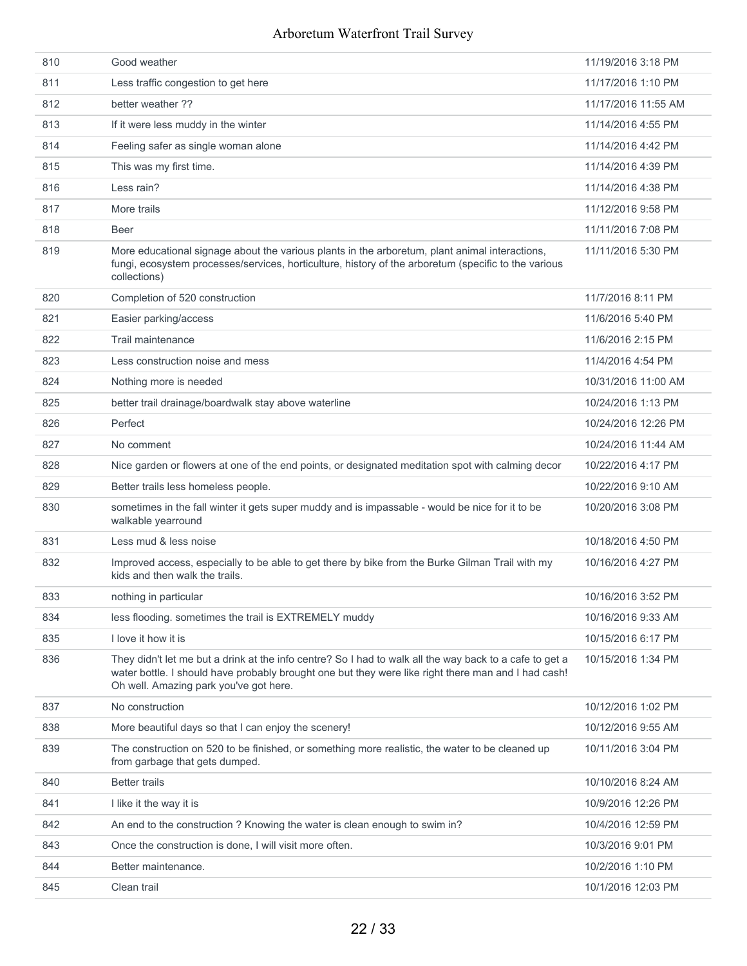| 810 | Good weather                                                                                                                                                                                                                                             | 11/19/2016 3:18 PM  |
|-----|----------------------------------------------------------------------------------------------------------------------------------------------------------------------------------------------------------------------------------------------------------|---------------------|
| 811 | Less traffic congestion to get here                                                                                                                                                                                                                      | 11/17/2016 1:10 PM  |
| 812 | better weather ??                                                                                                                                                                                                                                        | 11/17/2016 11:55 AM |
| 813 | If it were less muddy in the winter                                                                                                                                                                                                                      | 11/14/2016 4:55 PM  |
| 814 | Feeling safer as single woman alone                                                                                                                                                                                                                      | 11/14/2016 4:42 PM  |
| 815 | This was my first time.                                                                                                                                                                                                                                  | 11/14/2016 4:39 PM  |
| 816 | Less rain?                                                                                                                                                                                                                                               | 11/14/2016 4:38 PM  |
| 817 | More trails                                                                                                                                                                                                                                              | 11/12/2016 9:58 PM  |
| 818 | Beer                                                                                                                                                                                                                                                     | 11/11/2016 7:08 PM  |
| 819 | More educational signage about the various plants in the arboretum, plant animal interactions,<br>fungi, ecosystem processes/services, horticulture, history of the arboretum (specific to the various<br>collections)                                   | 11/11/2016 5:30 PM  |
| 820 | Completion of 520 construction                                                                                                                                                                                                                           | 11/7/2016 8:11 PM   |
| 821 | Easier parking/access                                                                                                                                                                                                                                    | 11/6/2016 5:40 PM   |
| 822 | Trail maintenance                                                                                                                                                                                                                                        | 11/6/2016 2:15 PM   |
| 823 | Less construction noise and mess                                                                                                                                                                                                                         | 11/4/2016 4:54 PM   |
| 824 | Nothing more is needed                                                                                                                                                                                                                                   | 10/31/2016 11:00 AM |
| 825 | better trail drainage/boardwalk stay above waterline                                                                                                                                                                                                     | 10/24/2016 1:13 PM  |
| 826 | Perfect                                                                                                                                                                                                                                                  | 10/24/2016 12:26 PM |
| 827 | No comment                                                                                                                                                                                                                                               | 10/24/2016 11:44 AM |
| 828 | Nice garden or flowers at one of the end points, or designated meditation spot with calming decor                                                                                                                                                        | 10/22/2016 4:17 PM  |
| 829 | Better trails less homeless people.                                                                                                                                                                                                                      | 10/22/2016 9:10 AM  |
| 830 | sometimes in the fall winter it gets super muddy and is impassable - would be nice for it to be<br>walkable yearround                                                                                                                                    | 10/20/2016 3:08 PM  |
| 831 | Less mud & less noise                                                                                                                                                                                                                                    | 10/18/2016 4:50 PM  |
| 832 | Improved access, especially to be able to get there by bike from the Burke Gilman Trail with my<br>kids and then walk the trails.                                                                                                                        | 10/16/2016 4:27 PM  |
| 833 | nothing in particular                                                                                                                                                                                                                                    | 10/16/2016 3:52 PM  |
| 834 | less flooding. sometimes the trail is EXTREMELY muddy                                                                                                                                                                                                    | 10/16/2016 9:33 AM  |
| 835 | I love it how it is                                                                                                                                                                                                                                      | 10/15/2016 6:17 PM  |
| 836 | They didn't let me but a drink at the info centre? So I had to walk all the way back to a cafe to get a<br>water bottle. I should have probably brought one but they were like right there man and I had cash!<br>Oh well. Amazing park you've got here. | 10/15/2016 1:34 PM  |
| 837 | No construction                                                                                                                                                                                                                                          | 10/12/2016 1:02 PM  |
| 838 | More beautiful days so that I can enjoy the scenery!                                                                                                                                                                                                     | 10/12/2016 9:55 AM  |
| 839 | The construction on 520 to be finished, or something more realistic, the water to be cleaned up<br>from garbage that gets dumped.                                                                                                                        | 10/11/2016 3:04 PM  |
| 840 | <b>Better trails</b>                                                                                                                                                                                                                                     | 10/10/2016 8:24 AM  |
| 841 | I like it the way it is                                                                                                                                                                                                                                  | 10/9/2016 12:26 PM  |
| 842 | An end to the construction ? Knowing the water is clean enough to swim in?                                                                                                                                                                               | 10/4/2016 12:59 PM  |
| 843 | Once the construction is done, I will visit more often.                                                                                                                                                                                                  | 10/3/2016 9:01 PM   |
| 844 | Better maintenance.                                                                                                                                                                                                                                      | 10/2/2016 1:10 PM   |
| 845 | Clean trail                                                                                                                                                                                                                                              | 10/1/2016 12:03 PM  |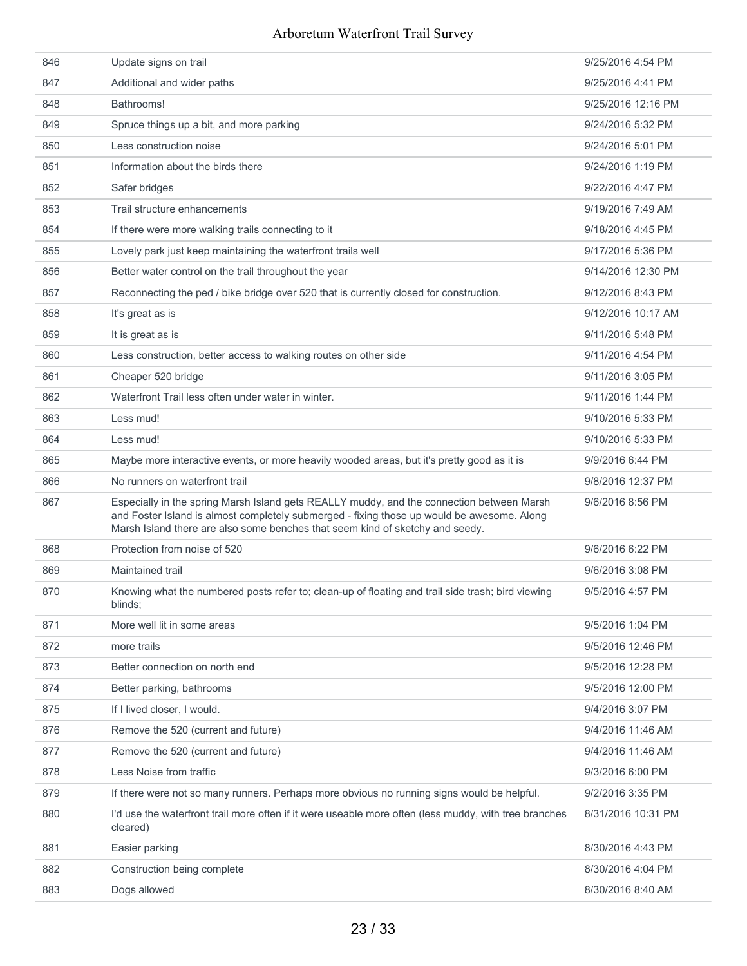| 846 | Update signs on trail                                                                                                                                                                                                                                                    | 9/25/2016 4:54 PM  |
|-----|--------------------------------------------------------------------------------------------------------------------------------------------------------------------------------------------------------------------------------------------------------------------------|--------------------|
| 847 | Additional and wider paths                                                                                                                                                                                                                                               | 9/25/2016 4:41 PM  |
| 848 | Bathrooms!                                                                                                                                                                                                                                                               | 9/25/2016 12:16 PM |
| 849 | Spruce things up a bit, and more parking                                                                                                                                                                                                                                 | 9/24/2016 5:32 PM  |
| 850 | Less construction noise                                                                                                                                                                                                                                                  | 9/24/2016 5:01 PM  |
| 851 | Information about the birds there                                                                                                                                                                                                                                        | 9/24/2016 1:19 PM  |
| 852 | Safer bridges                                                                                                                                                                                                                                                            | 9/22/2016 4:47 PM  |
| 853 | Trail structure enhancements                                                                                                                                                                                                                                             | 9/19/2016 7:49 AM  |
| 854 | If there were more walking trails connecting to it                                                                                                                                                                                                                       | 9/18/2016 4:45 PM  |
| 855 | Lovely park just keep maintaining the waterfront trails well                                                                                                                                                                                                             | 9/17/2016 5:36 PM  |
| 856 | Better water control on the trail throughout the year                                                                                                                                                                                                                    | 9/14/2016 12:30 PM |
| 857 | Reconnecting the ped / bike bridge over 520 that is currently closed for construction.                                                                                                                                                                                   | 9/12/2016 8:43 PM  |
| 858 | It's great as is                                                                                                                                                                                                                                                         | 9/12/2016 10:17 AM |
| 859 | It is great as is                                                                                                                                                                                                                                                        | 9/11/2016 5:48 PM  |
| 860 | Less construction, better access to walking routes on other side                                                                                                                                                                                                         | 9/11/2016 4:54 PM  |
| 861 | Cheaper 520 bridge                                                                                                                                                                                                                                                       | 9/11/2016 3:05 PM  |
| 862 | Waterfront Trail less often under water in winter.                                                                                                                                                                                                                       | 9/11/2016 1:44 PM  |
| 863 | Less mud!                                                                                                                                                                                                                                                                | 9/10/2016 5:33 PM  |
| 864 | Less mud!                                                                                                                                                                                                                                                                | 9/10/2016 5:33 PM  |
| 865 | Maybe more interactive events, or more heavily wooded areas, but it's pretty good as it is                                                                                                                                                                               | 9/9/2016 6:44 PM   |
| 866 | No runners on waterfront trail                                                                                                                                                                                                                                           | 9/8/2016 12:37 PM  |
| 867 | Especially in the spring Marsh Island gets REALLY muddy, and the connection between Marsh<br>and Foster Island is almost completely submerged - fixing those up would be awesome. Along<br>Marsh Island there are also some benches that seem kind of sketchy and seedy. | 9/6/2016 8:56 PM   |
| 868 | Protection from noise of 520                                                                                                                                                                                                                                             | 9/6/2016 6:22 PM   |
| 869 | Maintained trail                                                                                                                                                                                                                                                         | 9/6/2016 3:08 PM   |
| 870 | Knowing what the numbered posts refer to; clean-up of floating and trail side trash; bird viewing<br>blinds;                                                                                                                                                             | 9/5/2016 4:57 PM   |
| 871 | More well lit in some areas                                                                                                                                                                                                                                              | 9/5/2016 1:04 PM   |
| 872 | more trails                                                                                                                                                                                                                                                              | 9/5/2016 12:46 PM  |
| 873 | Better connection on north end                                                                                                                                                                                                                                           | 9/5/2016 12:28 PM  |
| 874 | Better parking, bathrooms                                                                                                                                                                                                                                                | 9/5/2016 12:00 PM  |
| 875 | If I lived closer, I would.                                                                                                                                                                                                                                              | 9/4/2016 3:07 PM   |
| 876 | Remove the 520 (current and future)                                                                                                                                                                                                                                      | 9/4/2016 11:46 AM  |
| 877 | Remove the 520 (current and future)                                                                                                                                                                                                                                      | 9/4/2016 11:46 AM  |
| 878 | Less Noise from traffic                                                                                                                                                                                                                                                  | 9/3/2016 6:00 PM   |
| 879 | If there were not so many runners. Perhaps more obvious no running signs would be helpful.                                                                                                                                                                               | 9/2/2016 3:35 PM   |
| 880 | I'd use the waterfront trail more often if it were useable more often (less muddy, with tree branches<br>cleared)                                                                                                                                                        | 8/31/2016 10:31 PM |
| 881 | Easier parking                                                                                                                                                                                                                                                           | 8/30/2016 4:43 PM  |
| 882 | Construction being complete                                                                                                                                                                                                                                              | 8/30/2016 4:04 PM  |
| 883 | Dogs allowed                                                                                                                                                                                                                                                             | 8/30/2016 8:40 AM  |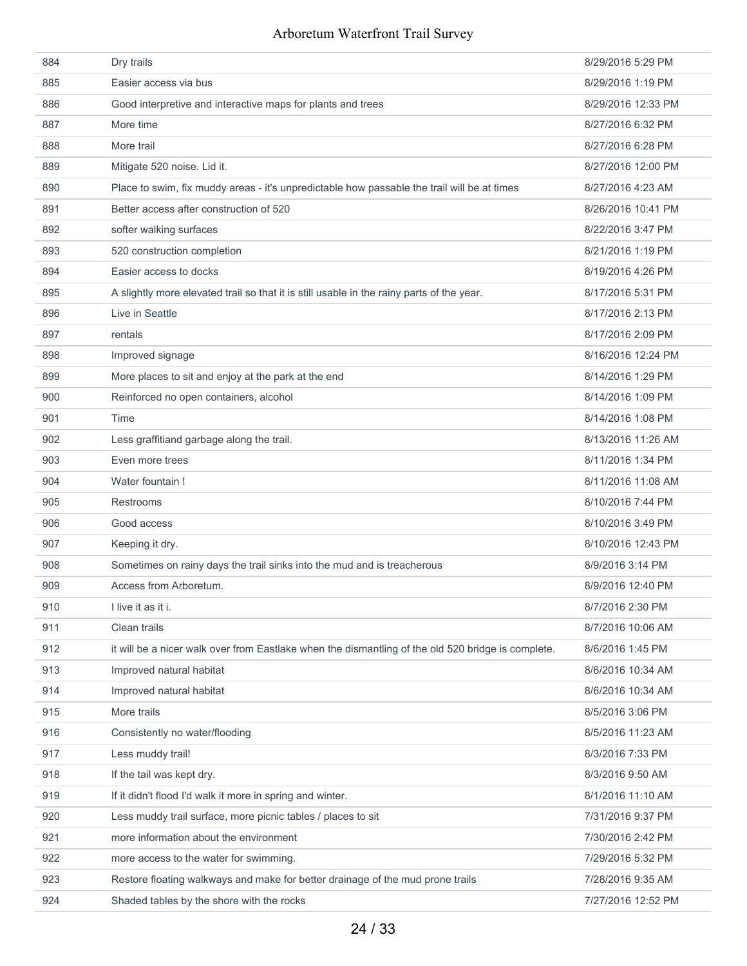| 884 | Dry trails                                                                                         | 8/29/2016 5:29 PM  |
|-----|----------------------------------------------------------------------------------------------------|--------------------|
| 885 | Easier access via bus                                                                              | 8/29/2016 1:19 PM  |
| 886 | Good interpretive and interactive maps for plants and trees                                        | 8/29/2016 12:33 PM |
| 887 | More time                                                                                          | 8/27/2016 6:32 PM  |
| 888 | More trail                                                                                         | 8/27/2016 6:28 PM  |
| 889 | Mitigate 520 noise. Lid it.                                                                        | 8/27/2016 12:00 PM |
| 890 | Place to swim, fix muddy areas - it's unpredictable how passable the trail will be at times        | 8/27/2016 4:23 AM  |
| 891 | Better access after construction of 520                                                            | 8/26/2016 10:41 PM |
| 892 | softer walking surfaces                                                                            | 8/22/2016 3:47 PM  |
| 893 | 520 construction completion                                                                        | 8/21/2016 1:19 PM  |
| 894 | Easier access to docks                                                                             | 8/19/2016 4:26 PM  |
| 895 | A slightly more elevated trail so that it is still usable in the rainy parts of the year.          | 8/17/2016 5:31 PM  |
| 896 | Live in Seattle                                                                                    | 8/17/2016 2:13 PM  |
| 897 | rentals                                                                                            | 8/17/2016 2:09 PM  |
| 898 | Improved signage                                                                                   | 8/16/2016 12:24 PM |
| 899 | More places to sit and enjoy at the park at the end                                                | 8/14/2016 1:29 PM  |
| 900 | Reinforced no open containers, alcohol                                                             | 8/14/2016 1:09 PM  |
| 901 | Time                                                                                               | 8/14/2016 1:08 PM  |
| 902 | Less graffitiand garbage along the trail.                                                          | 8/13/2016 11:26 AM |
| 903 | Even more trees                                                                                    | 8/11/2016 1:34 PM  |
| 904 | Water fountain!                                                                                    | 8/11/2016 11:08 AM |
| 905 | Restrooms                                                                                          | 8/10/2016 7:44 PM  |
| 906 | Good access                                                                                        | 8/10/2016 3:49 PM  |
| 907 | Keeping it dry.                                                                                    | 8/10/2016 12:43 PM |
| 908 | Sometimes on rainy days the trail sinks into the mud and is treacherous                            | 8/9/2016 3:14 PM   |
| 909 | Access from Arboretum.                                                                             | 8/9/2016 12:40 PM  |
| 910 | I live it as it i.                                                                                 | 8/7/2016 2:30 PM   |
| 911 | Clean trails                                                                                       | 8/7/2016 10:06 AM  |
| 912 | it will be a nicer walk over from Eastlake when the dismantling of the old 520 bridge is complete. | 8/6/2016 1:45 PM   |
| 913 | Improved natural habitat                                                                           | 8/6/2016 10:34 AM  |
| 914 | Improved natural habitat                                                                           | 8/6/2016 10:34 AM  |
| 915 | More trails                                                                                        | 8/5/2016 3:06 PM   |
| 916 | Consistently no water/flooding                                                                     | 8/5/2016 11:23 AM  |
| 917 | Less muddy trail!                                                                                  | 8/3/2016 7:33 PM   |
| 918 | If the tail was kept dry.                                                                          | 8/3/2016 9:50 AM   |
| 919 | If it didn't flood I'd walk it more in spring and winter.                                          | 8/1/2016 11:10 AM  |
| 920 | Less muddy trail surface, more picnic tables / places to sit                                       | 7/31/2016 9:37 PM  |
| 921 | more information about the environment                                                             | 7/30/2016 2:42 PM  |
| 922 | more access to the water for swimming.                                                             | 7/29/2016 5:32 PM  |
| 923 | Restore floating walkways and make for better drainage of the mud prone trails                     | 7/28/2016 9:35 AM  |
| 924 | Shaded tables by the shore with the rocks                                                          | 7/27/2016 12:52 PM |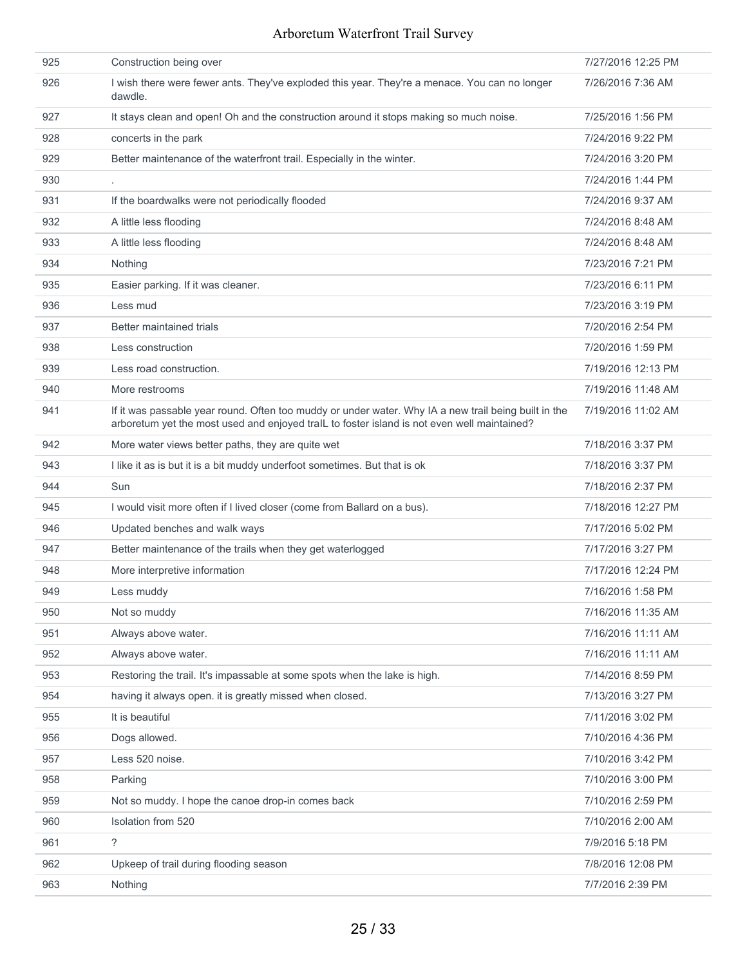| 925 | Construction being over                                                                                                                                                                             | 7/27/2016 12:25 PM |
|-----|-----------------------------------------------------------------------------------------------------------------------------------------------------------------------------------------------------|--------------------|
| 926 | I wish there were fewer ants. They've exploded this year. They're a menace. You can no longer<br>dawdle.                                                                                            | 7/26/2016 7:36 AM  |
| 927 | It stays clean and open! Oh and the construction around it stops making so much noise.                                                                                                              | 7/25/2016 1:56 PM  |
| 928 | concerts in the park                                                                                                                                                                                | 7/24/2016 9:22 PM  |
| 929 | Better maintenance of the waterfront trail. Especially in the winter.                                                                                                                               | 7/24/2016 3:20 PM  |
| 930 |                                                                                                                                                                                                     | 7/24/2016 1:44 PM  |
| 931 | If the boardwalks were not periodically flooded                                                                                                                                                     | 7/24/2016 9:37 AM  |
| 932 | A little less flooding                                                                                                                                                                              | 7/24/2016 8:48 AM  |
| 933 | A little less flooding                                                                                                                                                                              | 7/24/2016 8:48 AM  |
| 934 | Nothing                                                                                                                                                                                             | 7/23/2016 7:21 PM  |
| 935 | Easier parking. If it was cleaner.                                                                                                                                                                  | 7/23/2016 6:11 PM  |
| 936 | Less mud                                                                                                                                                                                            | 7/23/2016 3:19 PM  |
| 937 | Better maintained trials                                                                                                                                                                            | 7/20/2016 2:54 PM  |
| 938 | Less construction                                                                                                                                                                                   | 7/20/2016 1:59 PM  |
| 939 | Less road construction.                                                                                                                                                                             | 7/19/2016 12:13 PM |
| 940 | More restrooms                                                                                                                                                                                      | 7/19/2016 11:48 AM |
| 941 | If it was passable year round. Often too muddy or under water. Why IA a new trail being built in the<br>arboretum yet the most used and enjoyed tralL to foster island is not even well maintained? | 7/19/2016 11:02 AM |
| 942 | More water views better paths, they are quite wet                                                                                                                                                   | 7/18/2016 3:37 PM  |
| 943 | I like it as is but it is a bit muddy underfoot sometimes. But that is ok                                                                                                                           | 7/18/2016 3:37 PM  |
| 944 | Sun                                                                                                                                                                                                 | 7/18/2016 2:37 PM  |
| 945 | I would visit more often if I lived closer (come from Ballard on a bus).                                                                                                                            | 7/18/2016 12:27 PM |
| 946 | Updated benches and walk ways                                                                                                                                                                       | 7/17/2016 5:02 PM  |
| 947 | Better maintenance of the trails when they get waterlogged                                                                                                                                          | 7/17/2016 3:27 PM  |
| 948 | More interpretive information                                                                                                                                                                       | 7/17/2016 12:24 PM |
| 949 | Less muddy                                                                                                                                                                                          | 7/16/2016 1:58 PM  |
| 950 | Not so muddy                                                                                                                                                                                        | 7/16/2016 11:35 AM |
| 951 | Always above water.                                                                                                                                                                                 | 7/16/2016 11:11 AM |
| 952 | Always above water.                                                                                                                                                                                 | 7/16/2016 11:11 AM |
| 953 | Restoring the trail. It's impassable at some spots when the lake is high.                                                                                                                           | 7/14/2016 8:59 PM  |
| 954 | having it always open. it is greatly missed when closed.                                                                                                                                            | 7/13/2016 3:27 PM  |
| 955 | It is beautiful                                                                                                                                                                                     | 7/11/2016 3:02 PM  |
| 956 | Dogs allowed.                                                                                                                                                                                       | 7/10/2016 4:36 PM  |
| 957 | Less 520 noise.                                                                                                                                                                                     | 7/10/2016 3:42 PM  |
| 958 | Parking                                                                                                                                                                                             | 7/10/2016 3:00 PM  |
| 959 | Not so muddy. I hope the canoe drop-in comes back                                                                                                                                                   | 7/10/2016 2:59 PM  |
| 960 | Isolation from 520                                                                                                                                                                                  | 7/10/2016 2:00 AM  |
| 961 | $\tilde{?}$                                                                                                                                                                                         | 7/9/2016 5:18 PM   |
| 962 | Upkeep of trail during flooding season                                                                                                                                                              | 7/8/2016 12:08 PM  |
| 963 | Nothing                                                                                                                                                                                             | 7/7/2016 2:39 PM   |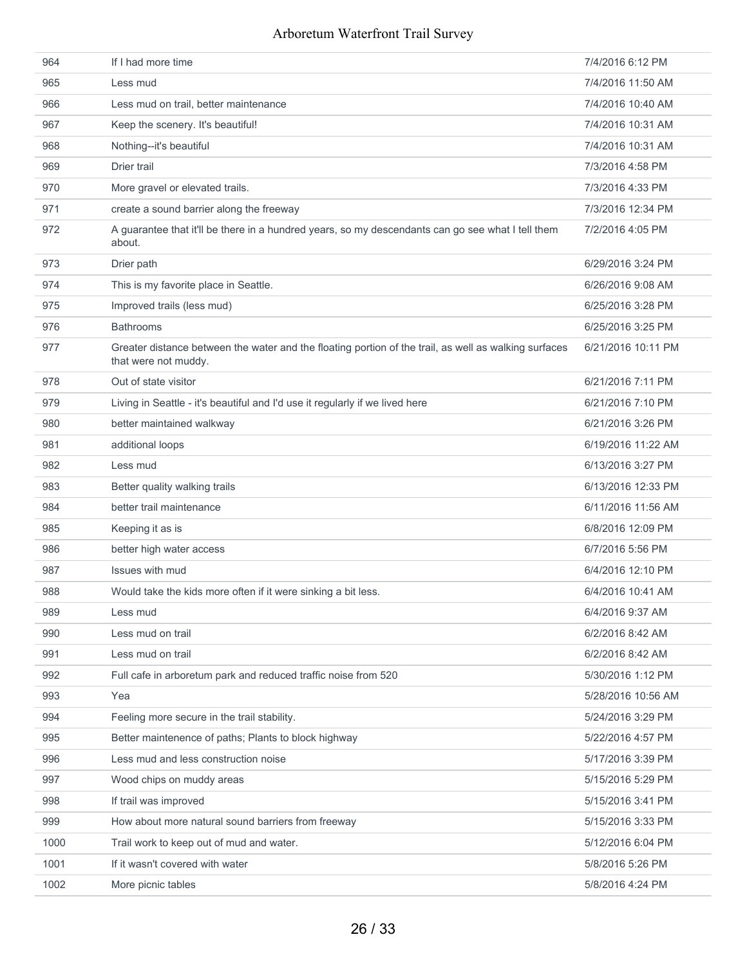| 964  | If I had more time                                                                                                            | 7/4/2016 6:12 PM   |
|------|-------------------------------------------------------------------------------------------------------------------------------|--------------------|
| 965  | Less mud                                                                                                                      | 7/4/2016 11:50 AM  |
| 966  | Less mud on trail, better maintenance                                                                                         | 7/4/2016 10:40 AM  |
| 967  | Keep the scenery. It's beautiful!                                                                                             | 7/4/2016 10:31 AM  |
| 968  | Nothing--it's beautiful                                                                                                       | 7/4/2016 10:31 AM  |
| 969  | Drier trail                                                                                                                   | 7/3/2016 4:58 PM   |
| 970  | More gravel or elevated trails.                                                                                               | 7/3/2016 4:33 PM   |
| 971  | create a sound barrier along the freeway                                                                                      | 7/3/2016 12:34 PM  |
| 972  | A guarantee that it'll be there in a hundred years, so my descendants can go see what I tell them<br>about.                   | 7/2/2016 4:05 PM   |
| 973  | Drier path                                                                                                                    | 6/29/2016 3:24 PM  |
| 974  | This is my favorite place in Seattle.                                                                                         | 6/26/2016 9:08 AM  |
| 975  | Improved trails (less mud)                                                                                                    | 6/25/2016 3:28 PM  |
| 976  | <b>Bathrooms</b>                                                                                                              | 6/25/2016 3:25 PM  |
| 977  | Greater distance between the water and the floating portion of the trail, as well as walking surfaces<br>that were not muddy. | 6/21/2016 10:11 PM |
| 978  | Out of state visitor                                                                                                          | 6/21/2016 7:11 PM  |
| 979  | Living in Seattle - it's beautiful and I'd use it regularly if we lived here                                                  | 6/21/2016 7:10 PM  |
| 980  | better maintained walkway                                                                                                     | 6/21/2016 3:26 PM  |
| 981  | additional loops                                                                                                              | 6/19/2016 11:22 AM |
| 982  | Less mud                                                                                                                      | 6/13/2016 3:27 PM  |
| 983  | Better quality walking trails                                                                                                 | 6/13/2016 12:33 PM |
| 984  | better trail maintenance                                                                                                      | 6/11/2016 11:56 AM |
| 985  | Keeping it as is                                                                                                              | 6/8/2016 12:09 PM  |
| 986  | better high water access                                                                                                      | 6/7/2016 5:56 PM   |
| 987  | Issues with mud                                                                                                               | 6/4/2016 12:10 PM  |
| 988  | Would take the kids more often if it were sinking a bit less.                                                                 | 6/4/2016 10:41 AM  |
| 989  | Less mud                                                                                                                      | 6/4/2016 9:37 AM   |
| 990  | Less mud on trail                                                                                                             | 6/2/2016 8:42 AM   |
| 991  | Less mud on trail                                                                                                             | 6/2/2016 8:42 AM   |
| 992  | Full cafe in arboretum park and reduced traffic noise from 520                                                                | 5/30/2016 1:12 PM  |
| 993  | Yea                                                                                                                           | 5/28/2016 10:56 AM |
| 994  | Feeling more secure in the trail stability.                                                                                   | 5/24/2016 3:29 PM  |
| 995  | Better maintenence of paths; Plants to block highway                                                                          | 5/22/2016 4:57 PM  |
| 996  | Less mud and less construction noise                                                                                          | 5/17/2016 3:39 PM  |
| 997  | Wood chips on muddy areas                                                                                                     | 5/15/2016 5:29 PM  |
| 998  | If trail was improved                                                                                                         | 5/15/2016 3:41 PM  |
| 999  | How about more natural sound barriers from freeway                                                                            | 5/15/2016 3:33 PM  |
| 1000 | Trail work to keep out of mud and water.                                                                                      | 5/12/2016 6:04 PM  |
| 1001 | If it wasn't covered with water                                                                                               | 5/8/2016 5:26 PM   |
| 1002 | More picnic tables                                                                                                            | 5/8/2016 4:24 PM   |
|      |                                                                                                                               |                    |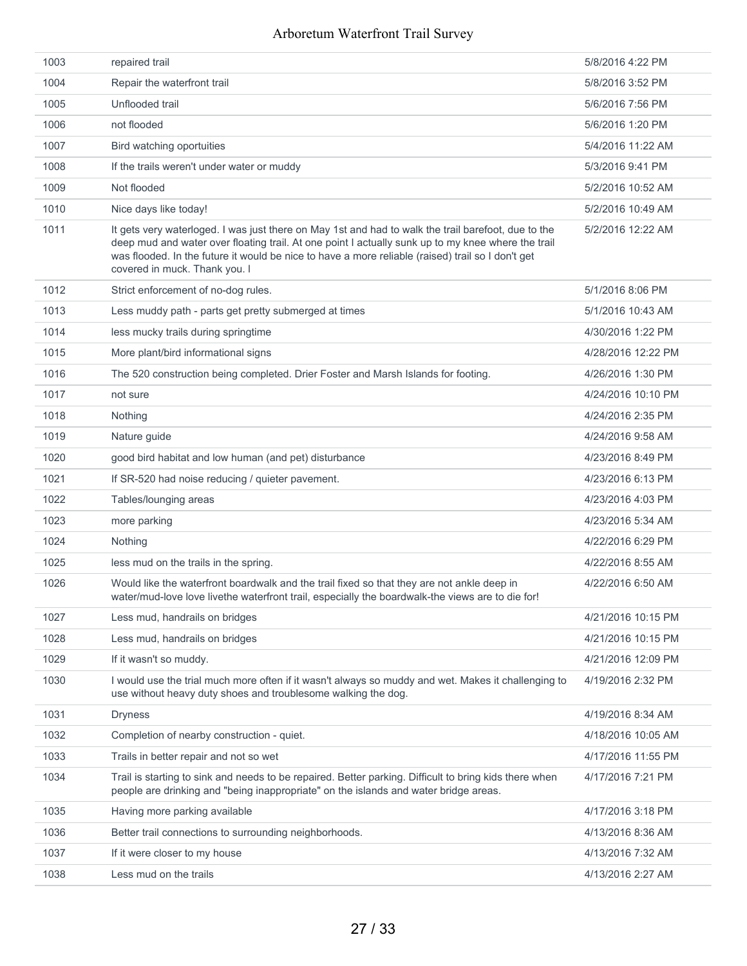| 1003 | repaired trail                                                                                                                                                                                                                                                                                                                                  | 5/8/2016 4:22 PM   |
|------|-------------------------------------------------------------------------------------------------------------------------------------------------------------------------------------------------------------------------------------------------------------------------------------------------------------------------------------------------|--------------------|
| 1004 | Repair the waterfront trail                                                                                                                                                                                                                                                                                                                     | 5/8/2016 3:52 PM   |
| 1005 | Unflooded trail                                                                                                                                                                                                                                                                                                                                 | 5/6/2016 7:56 PM   |
| 1006 | not flooded                                                                                                                                                                                                                                                                                                                                     | 5/6/2016 1:20 PM   |
| 1007 | Bird watching oportuities                                                                                                                                                                                                                                                                                                                       | 5/4/2016 11:22 AM  |
| 1008 | If the trails weren't under water or muddy                                                                                                                                                                                                                                                                                                      | 5/3/2016 9:41 PM   |
| 1009 | Not flooded                                                                                                                                                                                                                                                                                                                                     | 5/2/2016 10:52 AM  |
| 1010 | Nice days like today!                                                                                                                                                                                                                                                                                                                           | 5/2/2016 10:49 AM  |
| 1011 | It gets very waterloged. I was just there on May 1st and had to walk the trail barefoot, due to the<br>deep mud and water over floating trail. At one point I actually sunk up to my knee where the trail<br>was flooded. In the future it would be nice to have a more reliable (raised) trail so I don't get<br>covered in muck. Thank you. I | 5/2/2016 12:22 AM  |
| 1012 | Strict enforcement of no-dog rules.                                                                                                                                                                                                                                                                                                             | 5/1/2016 8:06 PM   |
| 1013 | Less muddy path - parts get pretty submerged at times                                                                                                                                                                                                                                                                                           | 5/1/2016 10:43 AM  |
| 1014 | less mucky trails during springtime                                                                                                                                                                                                                                                                                                             | 4/30/2016 1:22 PM  |
| 1015 | More plant/bird informational signs                                                                                                                                                                                                                                                                                                             | 4/28/2016 12:22 PM |
| 1016 | The 520 construction being completed. Drier Foster and Marsh Islands for footing.                                                                                                                                                                                                                                                               | 4/26/2016 1:30 PM  |
| 1017 | not sure                                                                                                                                                                                                                                                                                                                                        | 4/24/2016 10:10 PM |
| 1018 | Nothing                                                                                                                                                                                                                                                                                                                                         | 4/24/2016 2:35 PM  |
| 1019 | Nature guide                                                                                                                                                                                                                                                                                                                                    | 4/24/2016 9:58 AM  |
| 1020 | good bird habitat and low human (and pet) disturbance                                                                                                                                                                                                                                                                                           | 4/23/2016 8:49 PM  |
| 1021 | If SR-520 had noise reducing / quieter pavement.                                                                                                                                                                                                                                                                                                | 4/23/2016 6:13 PM  |
| 1022 | Tables/lounging areas                                                                                                                                                                                                                                                                                                                           | 4/23/2016 4:03 PM  |
| 1023 | more parking                                                                                                                                                                                                                                                                                                                                    | 4/23/2016 5:34 AM  |
| 1024 | Nothing                                                                                                                                                                                                                                                                                                                                         | 4/22/2016 6:29 PM  |
| 1025 | less mud on the trails in the spring.                                                                                                                                                                                                                                                                                                           | 4/22/2016 8:55 AM  |
| 1026 | Would like the waterfront boardwalk and the trail fixed so that they are not ankle deep in<br>water/mud-love love livethe waterfront trail, especially the boardwalk-the views are to die for!                                                                                                                                                  | 4/22/2016 6:50 AM  |
| 1027 | Less mud, handrails on bridges                                                                                                                                                                                                                                                                                                                  | 4/21/2016 10:15 PM |
| 1028 | Less mud, handrails on bridges                                                                                                                                                                                                                                                                                                                  | 4/21/2016 10:15 PM |
| 1029 | If it wasn't so muddy.                                                                                                                                                                                                                                                                                                                          | 4/21/2016 12:09 PM |
| 1030 | I would use the trial much more often if it wasn't always so muddy and wet. Makes it challenging to<br>use without heavy duty shoes and troublesome walking the dog.                                                                                                                                                                            | 4/19/2016 2:32 PM  |
| 1031 | <b>Dryness</b>                                                                                                                                                                                                                                                                                                                                  | 4/19/2016 8:34 AM  |
| 1032 | Completion of nearby construction - quiet.                                                                                                                                                                                                                                                                                                      | 4/18/2016 10:05 AM |
| 1033 | Trails in better repair and not so wet                                                                                                                                                                                                                                                                                                          | 4/17/2016 11:55 PM |
| 1034 | Trail is starting to sink and needs to be repaired. Better parking. Difficult to bring kids there when<br>people are drinking and "being inappropriate" on the islands and water bridge areas.                                                                                                                                                  | 4/17/2016 7:21 PM  |
| 1035 | Having more parking available                                                                                                                                                                                                                                                                                                                   | 4/17/2016 3:18 PM  |
| 1036 | Better trail connections to surrounding neighborhoods.                                                                                                                                                                                                                                                                                          | 4/13/2016 8:36 AM  |
| 1037 | If it were closer to my house                                                                                                                                                                                                                                                                                                                   | 4/13/2016 7:32 AM  |
| 1038 | Less mud on the trails                                                                                                                                                                                                                                                                                                                          | 4/13/2016 2:27 AM  |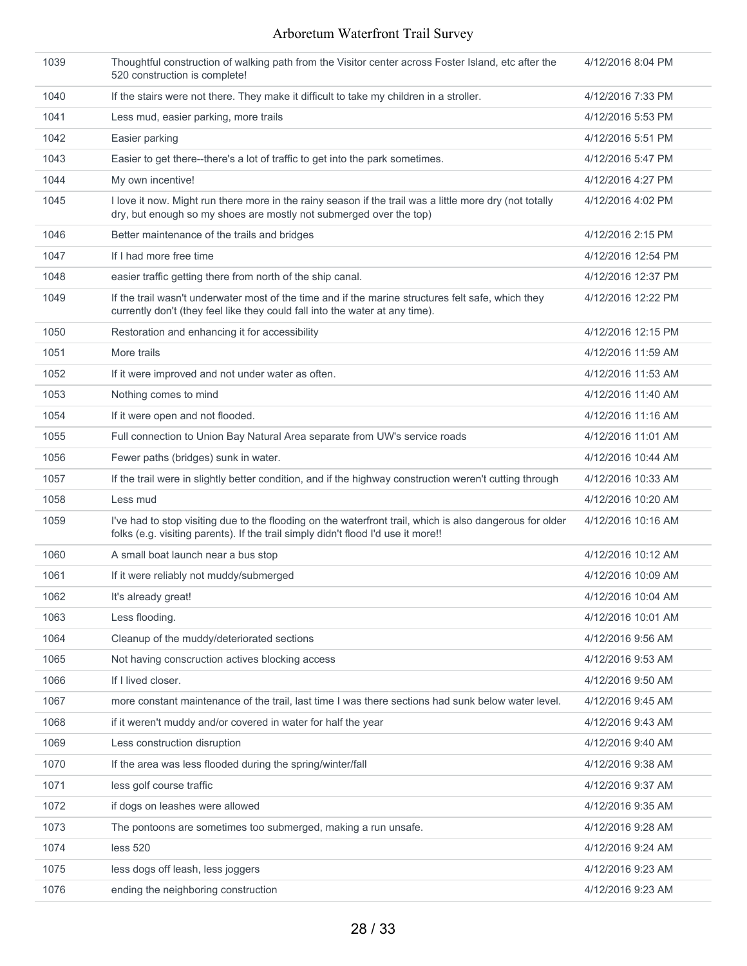| 1039 | Thoughtful construction of walking path from the Visitor center across Foster Island, etc after the<br>520 construction is complete!                                                          | 4/12/2016 8:04 PM  |
|------|-----------------------------------------------------------------------------------------------------------------------------------------------------------------------------------------------|--------------------|
| 1040 | If the stairs were not there. They make it difficult to take my children in a stroller.                                                                                                       | 4/12/2016 7:33 PM  |
| 1041 | Less mud, easier parking, more trails                                                                                                                                                         | 4/12/2016 5:53 PM  |
| 1042 | Easier parking                                                                                                                                                                                | 4/12/2016 5:51 PM  |
| 1043 | Easier to get there--there's a lot of traffic to get into the park sometimes.                                                                                                                 | 4/12/2016 5:47 PM  |
| 1044 | My own incentive!                                                                                                                                                                             | 4/12/2016 4:27 PM  |
| 1045 | I love it now. Might run there more in the rainy season if the trail was a little more dry (not totally<br>dry, but enough so my shoes are mostly not submerged over the top)                 | 4/12/2016 4:02 PM  |
| 1046 | Better maintenance of the trails and bridges                                                                                                                                                  | 4/12/2016 2:15 PM  |
| 1047 | If I had more free time                                                                                                                                                                       | 4/12/2016 12:54 PM |
| 1048 | easier traffic getting there from north of the ship canal.                                                                                                                                    | 4/12/2016 12:37 PM |
| 1049 | If the trail wasn't underwater most of the time and if the marine structures felt safe, which they<br>currently don't (they feel like they could fall into the water at any time).            | 4/12/2016 12:22 PM |
| 1050 | Restoration and enhancing it for accessibility                                                                                                                                                | 4/12/2016 12:15 PM |
| 1051 | More trails                                                                                                                                                                                   | 4/12/2016 11:59 AM |
| 1052 | If it were improved and not under water as often.                                                                                                                                             | 4/12/2016 11:53 AM |
| 1053 | Nothing comes to mind                                                                                                                                                                         | 4/12/2016 11:40 AM |
| 1054 | If it were open and not flooded.                                                                                                                                                              | 4/12/2016 11:16 AM |
| 1055 | Full connection to Union Bay Natural Area separate from UW's service roads                                                                                                                    | 4/12/2016 11:01 AM |
| 1056 | Fewer paths (bridges) sunk in water.                                                                                                                                                          | 4/12/2016 10:44 AM |
| 1057 | If the trail were in slightly better condition, and if the highway construction weren't cutting through                                                                                       | 4/12/2016 10:33 AM |
| 1058 | Less mud                                                                                                                                                                                      | 4/12/2016 10:20 AM |
| 1059 | I've had to stop visiting due to the flooding on the waterfront trail, which is also dangerous for older<br>folks (e.g. visiting parents). If the trail simply didn't flood I'd use it more!! | 4/12/2016 10:16 AM |
| 1060 | A small boat launch near a bus stop                                                                                                                                                           | 4/12/2016 10:12 AM |
| 1061 | If it were reliably not muddy/submerged                                                                                                                                                       | 4/12/2016 10:09 AM |
| 1062 | It's already great!                                                                                                                                                                           | 4/12/2016 10:04 AM |
| 1063 | Less flooding.                                                                                                                                                                                | 4/12/2016 10:01 AM |
| 1064 | Cleanup of the muddy/deteriorated sections                                                                                                                                                    | 4/12/2016 9:56 AM  |
| 1065 | Not having conscruction actives blocking access                                                                                                                                               | 4/12/2016 9:53 AM  |
| 1066 | If I lived closer.                                                                                                                                                                            | 4/12/2016 9:50 AM  |
| 1067 | more constant maintenance of the trail, last time I was there sections had sunk below water level.                                                                                            | 4/12/2016 9:45 AM  |
| 1068 | if it weren't muddy and/or covered in water for half the year                                                                                                                                 | 4/12/2016 9:43 AM  |
| 1069 | Less construction disruption                                                                                                                                                                  | 4/12/2016 9:40 AM  |
| 1070 | If the area was less flooded during the spring/winter/fall                                                                                                                                    | 4/12/2016 9:38 AM  |
| 1071 | less golf course traffic                                                                                                                                                                      | 4/12/2016 9:37 AM  |
| 1072 | if dogs on leashes were allowed                                                                                                                                                               | 4/12/2016 9:35 AM  |
| 1073 | The pontoons are sometimes too submerged, making a run unsafe.                                                                                                                                | 4/12/2016 9:28 AM  |
| 1074 | less 520                                                                                                                                                                                      | 4/12/2016 9:24 AM  |
| 1075 | less dogs off leash, less joggers                                                                                                                                                             | 4/12/2016 9:23 AM  |
| 1076 | ending the neighboring construction                                                                                                                                                           | 4/12/2016 9:23 AM  |
|      |                                                                                                                                                                                               |                    |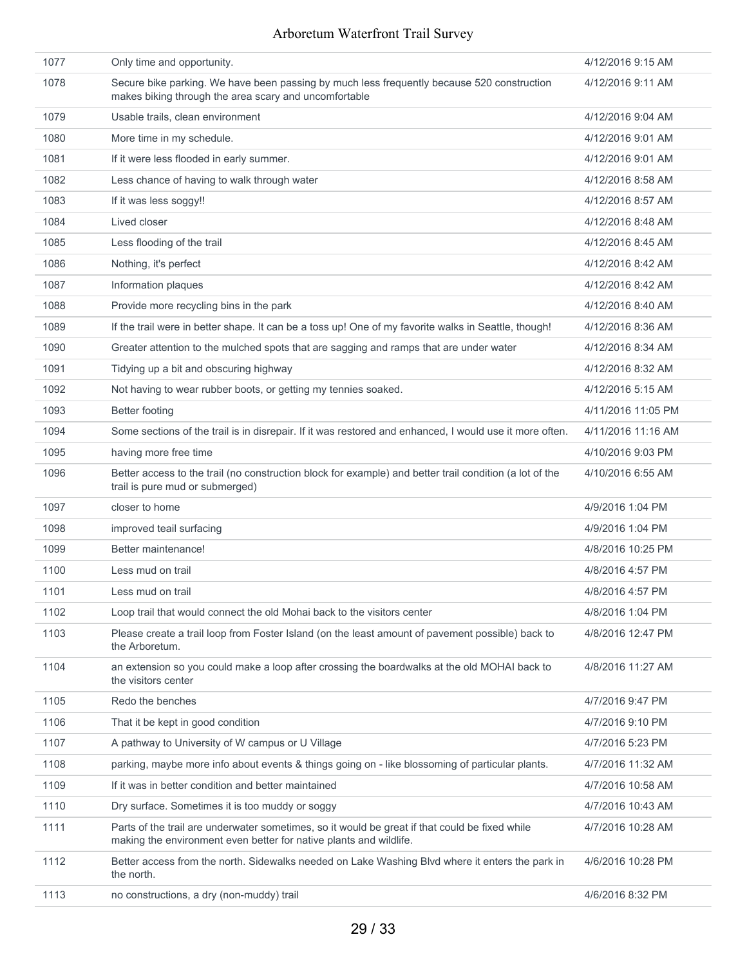| 1077 | Only time and opportunity.                                                                                                                                           | 4/12/2016 9:15 AM  |
|------|----------------------------------------------------------------------------------------------------------------------------------------------------------------------|--------------------|
| 1078 | Secure bike parking. We have been passing by much less frequently because 520 construction<br>makes biking through the area scary and uncomfortable                  | 4/12/2016 9:11 AM  |
| 1079 | Usable trails, clean environment                                                                                                                                     | 4/12/2016 9:04 AM  |
| 1080 | More time in my schedule.                                                                                                                                            | 4/12/2016 9:01 AM  |
| 1081 | If it were less flooded in early summer.                                                                                                                             | 4/12/2016 9:01 AM  |
| 1082 | Less chance of having to walk through water                                                                                                                          | 4/12/2016 8:58 AM  |
| 1083 | If it was less soggy!!                                                                                                                                               | 4/12/2016 8:57 AM  |
| 1084 | Lived closer                                                                                                                                                         | 4/12/2016 8:48 AM  |
| 1085 | Less flooding of the trail                                                                                                                                           | 4/12/2016 8:45 AM  |
| 1086 | Nothing, it's perfect                                                                                                                                                | 4/12/2016 8:42 AM  |
| 1087 | Information plaques                                                                                                                                                  | 4/12/2016 8:42 AM  |
| 1088 | Provide more recycling bins in the park                                                                                                                              | 4/12/2016 8:40 AM  |
| 1089 | If the trail were in better shape. It can be a toss up! One of my favorite walks in Seattle, though!                                                                 | 4/12/2016 8:36 AM  |
| 1090 | Greater attention to the mulched spots that are sagging and ramps that are under water                                                                               | 4/12/2016 8:34 AM  |
| 1091 | Tidying up a bit and obscuring highway                                                                                                                               | 4/12/2016 8:32 AM  |
| 1092 | Not having to wear rubber boots, or getting my tennies soaked.                                                                                                       | 4/12/2016 5:15 AM  |
| 1093 | <b>Better footing</b>                                                                                                                                                | 4/11/2016 11:05 PM |
| 1094 | Some sections of the trail is in disrepair. If it was restored and enhanced, I would use it more often.                                                              | 4/11/2016 11:16 AM |
| 1095 | having more free time                                                                                                                                                | 4/10/2016 9:03 PM  |
| 1096 | Better access to the trail (no construction block for example) and better trail condition (a lot of the<br>trail is pure mud or submerged)                           | 4/10/2016 6:55 AM  |
| 1097 | closer to home                                                                                                                                                       | 4/9/2016 1:04 PM   |
| 1098 | improved teail surfacing                                                                                                                                             | 4/9/2016 1:04 PM   |
| 1099 | Better maintenance!                                                                                                                                                  | 4/8/2016 10:25 PM  |
| 1100 | Less mud on trail                                                                                                                                                    | 4/8/2016 4:57 PM   |
| 1101 | Less mud on trail                                                                                                                                                    | 4/8/2016 4:57 PM   |
| 1102 | Loop trail that would connect the old Mohai back to the visitors center                                                                                              | 4/8/2016 1:04 PM   |
| 1103 | Please create a trail loop from Foster Island (on the least amount of pavement possible) back to<br>the Arboretum.                                                   | 4/8/2016 12:47 PM  |
| 1104 | an extension so you could make a loop after crossing the boardwalks at the old MOHAI back to<br>the visitors center                                                  | 4/8/2016 11:27 AM  |
| 1105 | Redo the benches                                                                                                                                                     | 4/7/2016 9:47 PM   |
| 1106 | That it be kept in good condition                                                                                                                                    | 4/7/2016 9:10 PM   |
| 1107 | A pathway to University of W campus or U Village                                                                                                                     | 4/7/2016 5:23 PM   |
| 1108 | parking, maybe more info about events & things going on - like blossoming of particular plants.                                                                      | 4/7/2016 11:32 AM  |
| 1109 | If it was in better condition and better maintained                                                                                                                  | 4/7/2016 10:58 AM  |
| 1110 | Dry surface. Sometimes it is too muddy or soggy                                                                                                                      | 4/7/2016 10:43 AM  |
| 1111 | Parts of the trail are underwater sometimes, so it would be great if that could be fixed while<br>making the environment even better for native plants and wildlife. | 4/7/2016 10:28 AM  |
| 1112 | Better access from the north. Sidewalks needed on Lake Washing Blvd where it enters the park in<br>the north.                                                        | 4/6/2016 10:28 PM  |
| 1113 | no constructions, a dry (non-muddy) trail                                                                                                                            | 4/6/2016 8:32 PM   |
|      |                                                                                                                                                                      |                    |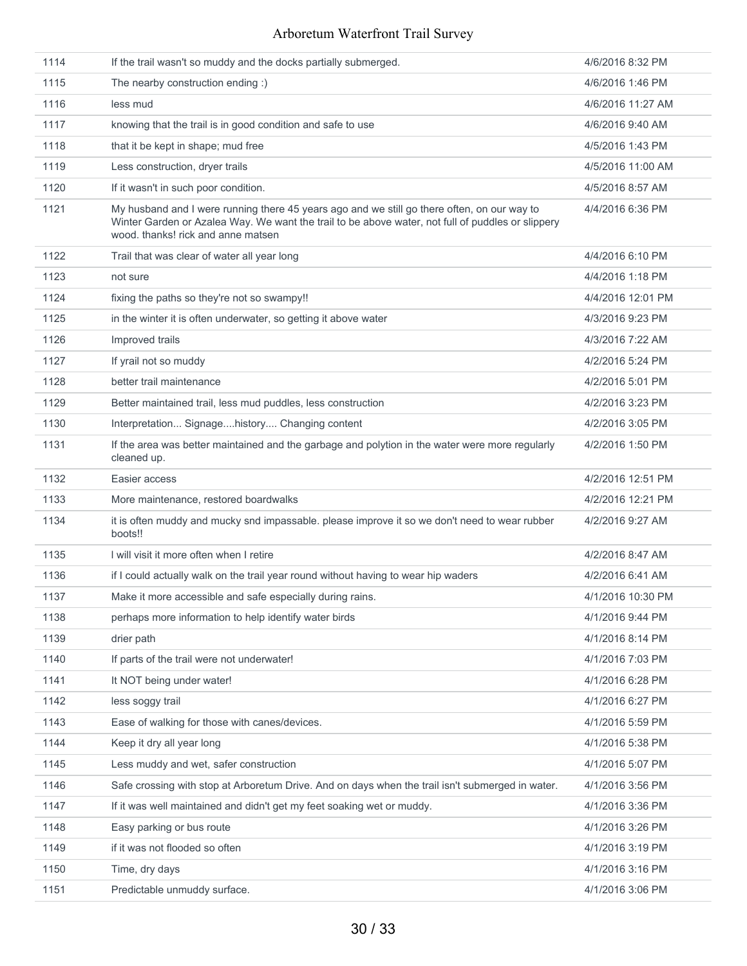| 1114 | If the trail wasn't so muddy and the docks partially submerged.                                                                                                                                                                        | 4/6/2016 8:32 PM  |
|------|----------------------------------------------------------------------------------------------------------------------------------------------------------------------------------------------------------------------------------------|-------------------|
| 1115 | The nearby construction ending :)                                                                                                                                                                                                      | 4/6/2016 1:46 PM  |
| 1116 | less mud                                                                                                                                                                                                                               | 4/6/2016 11:27 AM |
| 1117 | knowing that the trail is in good condition and safe to use                                                                                                                                                                            | 4/6/2016 9:40 AM  |
| 1118 | that it be kept in shape; mud free                                                                                                                                                                                                     | 4/5/2016 1:43 PM  |
| 1119 | Less construction, dryer trails                                                                                                                                                                                                        | 4/5/2016 11:00 AM |
| 1120 | If it wasn't in such poor condition.                                                                                                                                                                                                   | 4/5/2016 8:57 AM  |
| 1121 | My husband and I were running there 45 years ago and we still go there often, on our way to<br>Winter Garden or Azalea Way. We want the trail to be above water, not full of puddles or slippery<br>wood, thanks! rick and anne matsen | 4/4/2016 6:36 PM  |
| 1122 | Trail that was clear of water all year long                                                                                                                                                                                            | 4/4/2016 6:10 PM  |
| 1123 | not sure                                                                                                                                                                                                                               | 4/4/2016 1:18 PM  |
| 1124 | fixing the paths so they're not so swampy!!                                                                                                                                                                                            | 4/4/2016 12:01 PM |
| 1125 | in the winter it is often underwater, so getting it above water                                                                                                                                                                        | 4/3/2016 9:23 PM  |
| 1126 | Improved trails                                                                                                                                                                                                                        | 4/3/2016 7:22 AM  |
| 1127 | If yrail not so muddy                                                                                                                                                                                                                  | 4/2/2016 5:24 PM  |
| 1128 | better trail maintenance                                                                                                                                                                                                               | 4/2/2016 5:01 PM  |
| 1129 | Better maintained trail, less mud puddles, less construction                                                                                                                                                                           | 4/2/2016 3:23 PM  |
| 1130 | Interpretation Signagehistory Changing content                                                                                                                                                                                         | 4/2/2016 3:05 PM  |
| 1131 | If the area was better maintained and the garbage and polytion in the water were more regularly<br>cleaned up.                                                                                                                         | 4/2/2016 1:50 PM  |
| 1132 | Easier access                                                                                                                                                                                                                          | 4/2/2016 12:51 PM |
| 1133 | More maintenance, restored boardwalks                                                                                                                                                                                                  | 4/2/2016 12:21 PM |
| 1134 | it is often muddy and mucky snd impassable. please improve it so we don't need to wear rubber<br>boots!!                                                                                                                               | 4/2/2016 9:27 AM  |
| 1135 | I will visit it more often when I retire                                                                                                                                                                                               | 4/2/2016 8:47 AM  |
| 1136 | if I could actually walk on the trail year round without having to wear hip waders                                                                                                                                                     | 4/2/2016 6:41 AM  |
| 1137 | Make it more accessible and safe especially during rains.                                                                                                                                                                              | 4/1/2016 10:30 PM |
| 1138 | perhaps more information to help identify water birds                                                                                                                                                                                  | 4/1/2016 9:44 PM  |
| 1139 | drier path                                                                                                                                                                                                                             | 4/1/2016 8:14 PM  |
| 1140 | If parts of the trail were not underwater!                                                                                                                                                                                             | 4/1/2016 7:03 PM  |
| 1141 | It NOT being under water!                                                                                                                                                                                                              | 4/1/2016 6:28 PM  |
| 1142 | less soggy trail                                                                                                                                                                                                                       | 4/1/2016 6:27 PM  |
| 1143 | Ease of walking for those with canes/devices.                                                                                                                                                                                          | 4/1/2016 5:59 PM  |
| 1144 | Keep it dry all year long                                                                                                                                                                                                              | 4/1/2016 5:38 PM  |
| 1145 | Less muddy and wet, safer construction                                                                                                                                                                                                 | 4/1/2016 5:07 PM  |
| 1146 | Safe crossing with stop at Arboretum Drive. And on days when the trail isn't submerged in water.                                                                                                                                       | 4/1/2016 3:56 PM  |
| 1147 | If it was well maintained and didn't get my feet soaking wet or muddy.                                                                                                                                                                 | 4/1/2016 3:36 PM  |
| 1148 | Easy parking or bus route                                                                                                                                                                                                              | 4/1/2016 3:26 PM  |
| 1149 | if it was not flooded so often                                                                                                                                                                                                         | 4/1/2016 3:19 PM  |
| 1150 | Time, dry days                                                                                                                                                                                                                         | 4/1/2016 3:16 PM  |
| 1151 | Predictable unmuddy surface.                                                                                                                                                                                                           | 4/1/2016 3:06 PM  |
|      |                                                                                                                                                                                                                                        |                   |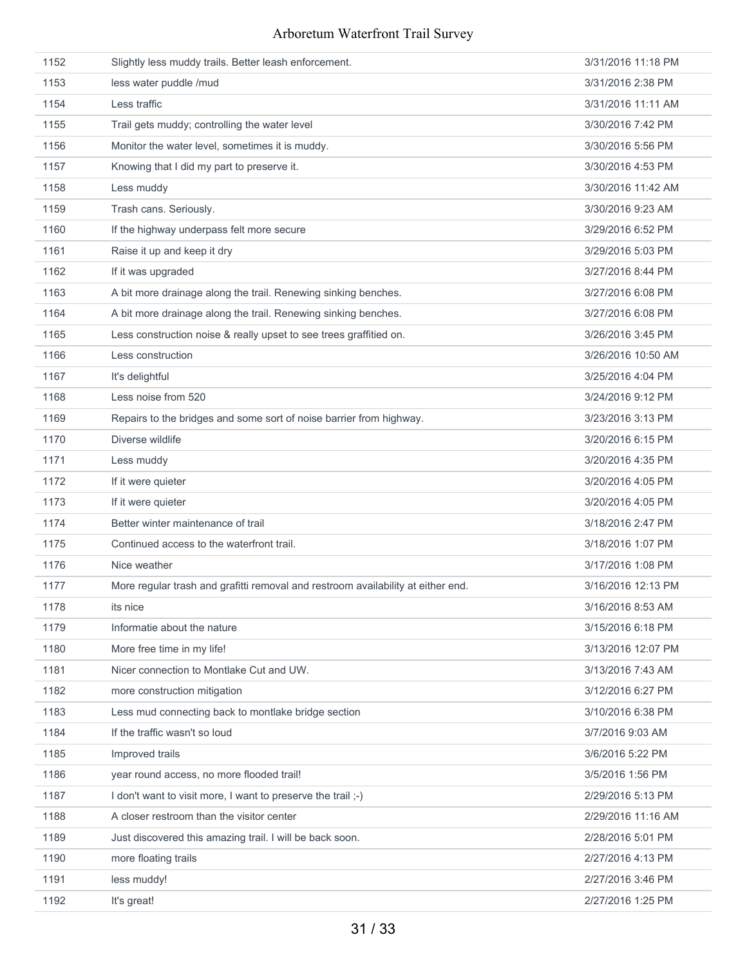| 1152 | Slightly less muddy trails. Better leash enforcement.                            | 3/31/2016 11:18 PM |
|------|----------------------------------------------------------------------------------|--------------------|
| 1153 | less water puddle /mud                                                           | 3/31/2016 2:38 PM  |
| 1154 | Less traffic                                                                     | 3/31/2016 11:11 AM |
| 1155 | Trail gets muddy; controlling the water level                                    | 3/30/2016 7:42 PM  |
| 1156 | Monitor the water level, sometimes it is muddy.                                  | 3/30/2016 5:56 PM  |
| 1157 | Knowing that I did my part to preserve it.                                       | 3/30/2016 4:53 PM  |
| 1158 | Less muddy                                                                       | 3/30/2016 11:42 AM |
| 1159 | Trash cans. Seriously.                                                           | 3/30/2016 9:23 AM  |
| 1160 | If the highway underpass felt more secure                                        | 3/29/2016 6:52 PM  |
| 1161 | Raise it up and keep it dry                                                      | 3/29/2016 5:03 PM  |
| 1162 | If it was upgraded                                                               | 3/27/2016 8:44 PM  |
| 1163 | A bit more drainage along the trail. Renewing sinking benches.                   | 3/27/2016 6:08 PM  |
| 1164 | A bit more drainage along the trail. Renewing sinking benches.                   | 3/27/2016 6:08 PM  |
| 1165 | Less construction noise & really upset to see trees graffitied on.               | 3/26/2016 3:45 PM  |
| 1166 | Less construction                                                                | 3/26/2016 10:50 AM |
| 1167 | It's delightful                                                                  | 3/25/2016 4:04 PM  |
| 1168 | Less noise from 520                                                              | 3/24/2016 9:12 PM  |
| 1169 | Repairs to the bridges and some sort of noise barrier from highway.              | 3/23/2016 3:13 PM  |
| 1170 | Diverse wildlife                                                                 | 3/20/2016 6:15 PM  |
| 1171 | Less muddy                                                                       | 3/20/2016 4:35 PM  |
| 1172 | If it were quieter                                                               | 3/20/2016 4:05 PM  |
| 1173 | If it were quieter                                                               | 3/20/2016 4:05 PM  |
| 1174 | Better winter maintenance of trail                                               | 3/18/2016 2:47 PM  |
| 1175 | Continued access to the waterfront trail.                                        | 3/18/2016 1:07 PM  |
| 1176 | Nice weather                                                                     | 3/17/2016 1:08 PM  |
| 1177 | More regular trash and grafitti removal and restroom availability at either end. | 3/16/2016 12:13 PM |
| 1178 | its nice                                                                         | 3/16/2016 8:53 AM  |
| 1179 | Informatie about the nature                                                      | 3/15/2016 6:18 PM  |
| 1180 | More free time in my life!                                                       | 3/13/2016 12:07 PM |
| 1181 | Nicer connection to Montlake Cut and UW.                                         | 3/13/2016 7:43 AM  |
| 1182 | more construction mitigation                                                     | 3/12/2016 6:27 PM  |
| 1183 | Less mud connecting back to montlake bridge section                              | 3/10/2016 6:38 PM  |
| 1184 | If the traffic wasn't so loud                                                    | 3/7/2016 9:03 AM   |
| 1185 | Improved trails                                                                  | 3/6/2016 5:22 PM   |
| 1186 | year round access, no more flooded trail!                                        | 3/5/2016 1:56 PM   |
| 1187 | I don't want to visit more, I want to preserve the trail;-)                      | 2/29/2016 5:13 PM  |
| 1188 | A closer restroom than the visitor center                                        | 2/29/2016 11:16 AM |
| 1189 | Just discovered this amazing trail. I will be back soon.                         | 2/28/2016 5:01 PM  |
| 1190 | more floating trails                                                             | 2/27/2016 4:13 PM  |
| 1191 | less muddy!                                                                      | 2/27/2016 3:46 PM  |
| 1192 | It's great!                                                                      | 2/27/2016 1:25 PM  |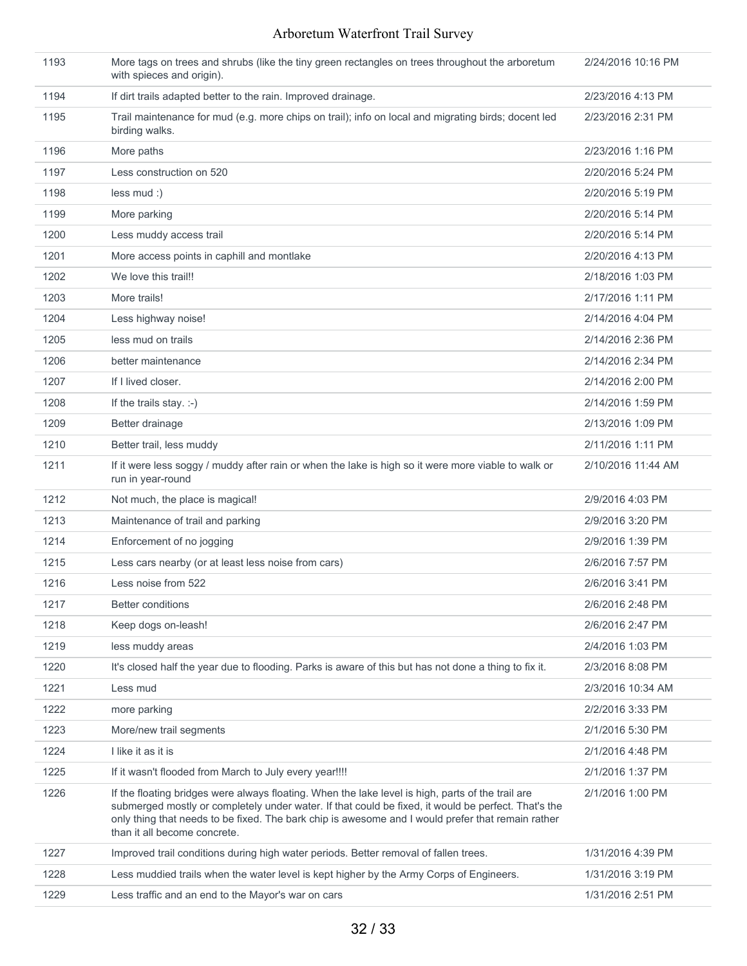| 1193 | More tags on trees and shrubs (like the tiny green rectangles on trees throughout the arboretum<br>with spieces and origin).                                                                                                                                                                                                                  | 2/24/2016 10:16 PM |
|------|-----------------------------------------------------------------------------------------------------------------------------------------------------------------------------------------------------------------------------------------------------------------------------------------------------------------------------------------------|--------------------|
| 1194 | If dirt trails adapted better to the rain. Improved drainage.                                                                                                                                                                                                                                                                                 | 2/23/2016 4:13 PM  |
| 1195 | Trail maintenance for mud (e.g. more chips on trail); info on local and migrating birds; docent led<br>birding walks.                                                                                                                                                                                                                         | 2/23/2016 2:31 PM  |
| 1196 | More paths                                                                                                                                                                                                                                                                                                                                    | 2/23/2016 1:16 PM  |
| 1197 | Less construction on 520                                                                                                                                                                                                                                                                                                                      | 2/20/2016 5:24 PM  |
| 1198 | less mud :)                                                                                                                                                                                                                                                                                                                                   | 2/20/2016 5:19 PM  |
| 1199 | More parking                                                                                                                                                                                                                                                                                                                                  | 2/20/2016 5:14 PM  |
| 1200 | Less muddy access trail                                                                                                                                                                                                                                                                                                                       | 2/20/2016 5:14 PM  |
| 1201 | More access points in caphill and montlake                                                                                                                                                                                                                                                                                                    | 2/20/2016 4:13 PM  |
| 1202 | We love this trail!!                                                                                                                                                                                                                                                                                                                          | 2/18/2016 1:03 PM  |
| 1203 | More trails!                                                                                                                                                                                                                                                                                                                                  | 2/17/2016 1:11 PM  |
| 1204 | Less highway noise!                                                                                                                                                                                                                                                                                                                           | 2/14/2016 4:04 PM  |
| 1205 | less mud on trails                                                                                                                                                                                                                                                                                                                            | 2/14/2016 2:36 PM  |
| 1206 | better maintenance                                                                                                                                                                                                                                                                                                                            | 2/14/2016 2:34 PM  |
| 1207 | If I lived closer.                                                                                                                                                                                                                                                                                                                            | 2/14/2016 2:00 PM  |
| 1208 | If the trails stay. $:-)$                                                                                                                                                                                                                                                                                                                     | 2/14/2016 1:59 PM  |
| 1209 | Better drainage                                                                                                                                                                                                                                                                                                                               | 2/13/2016 1:09 PM  |
| 1210 | Better trail, less muddy                                                                                                                                                                                                                                                                                                                      | 2/11/2016 1:11 PM  |
| 1211 | If it were less soggy / muddy after rain or when the lake is high so it were more viable to walk or<br>run in year-round                                                                                                                                                                                                                      | 2/10/2016 11:44 AM |
| 1212 | Not much, the place is magical!                                                                                                                                                                                                                                                                                                               | 2/9/2016 4:03 PM   |
| 1213 | Maintenance of trail and parking                                                                                                                                                                                                                                                                                                              | 2/9/2016 3:20 PM   |
| 1214 | Enforcement of no jogging                                                                                                                                                                                                                                                                                                                     | 2/9/2016 1:39 PM   |
| 1215 | Less cars nearby (or at least less noise from cars)                                                                                                                                                                                                                                                                                           | 2/6/2016 7:57 PM   |
| 1216 | Less noise from 522                                                                                                                                                                                                                                                                                                                           | 2/6/2016 3:41 PM   |
| 1217 | <b>Better conditions</b>                                                                                                                                                                                                                                                                                                                      | 2/6/2016 2:48 PM   |
| 1218 | Keep dogs on-leash!                                                                                                                                                                                                                                                                                                                           | 2/6/2016 2:47 PM   |
| 1219 | less muddy areas                                                                                                                                                                                                                                                                                                                              | 2/4/2016 1:03 PM   |
| 1220 | It's closed half the year due to flooding. Parks is aware of this but has not done a thing to fix it.                                                                                                                                                                                                                                         | 2/3/2016 8:08 PM   |
| 1221 | Less mud                                                                                                                                                                                                                                                                                                                                      | 2/3/2016 10:34 AM  |
| 1222 | more parking                                                                                                                                                                                                                                                                                                                                  | 2/2/2016 3:33 PM   |
| 1223 | More/new trail segments                                                                                                                                                                                                                                                                                                                       | 2/1/2016 5:30 PM   |
| 1224 | I like it as it is                                                                                                                                                                                                                                                                                                                            | 2/1/2016 4:48 PM   |
| 1225 | If it wasn't flooded from March to July every year!!!!                                                                                                                                                                                                                                                                                        | 2/1/2016 1:37 PM   |
| 1226 | If the floating bridges were always floating. When the lake level is high, parts of the trail are<br>submerged mostly or completely under water. If that could be fixed, it would be perfect. That's the<br>only thing that needs to be fixed. The bark chip is awesome and I would prefer that remain rather<br>than it all become concrete. | 2/1/2016 1:00 PM   |
| 1227 | Improved trail conditions during high water periods. Better removal of fallen trees.                                                                                                                                                                                                                                                          | 1/31/2016 4:39 PM  |
| 1228 | Less muddied trails when the water level is kept higher by the Army Corps of Engineers.                                                                                                                                                                                                                                                       | 1/31/2016 3:19 PM  |
| 1229 | Less traffic and an end to the Mayor's war on cars                                                                                                                                                                                                                                                                                            | 1/31/2016 2:51 PM  |